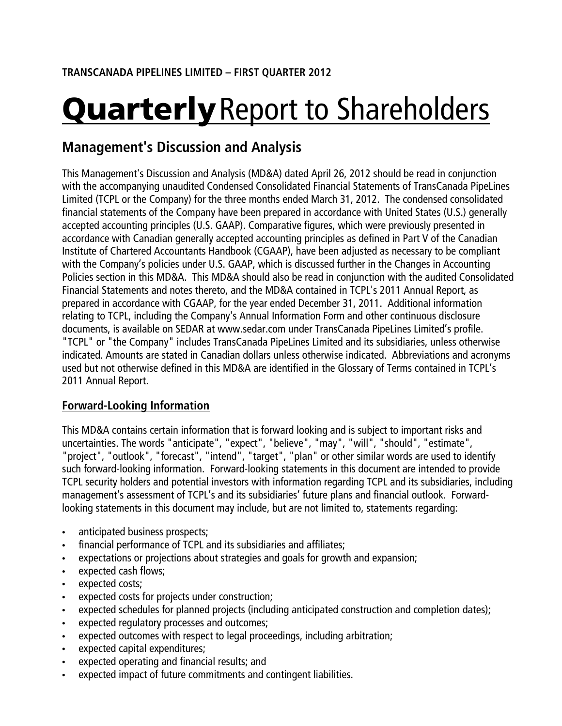# Quarterly Report to Shareholders

# **Management's Discussion and Analysis**

This Management's Discussion and Analysis (MD&A) dated April 26, 2012 should be read in conjunction with the accompanying unaudited Condensed Consolidated Financial Statements of TransCanada PipeLines Limited (TCPL or the Company) for the three months ended March 31, 2012. The condensed consolidated financial statements of the Company have been prepared in accordance with United States (U.S.) generally accepted accounting principles (U.S. GAAP). Comparative figures, which were previously presented in accordance with Canadian generally accepted accounting principles as defined in Part V of the Canadian Institute of Chartered Accountants Handbook (CGAAP), have been adjusted as necessary to be compliant with the Company's policies under U.S. GAAP, which is discussed further in the Changes in Accounting Policies section in this MD&A. This MD&A should also be read in conjunction with the audited Consolidated Financial Statements and notes thereto, and the MD&A contained in TCPL's 2011 Annual Report, as prepared in accordance with CGAAP, for the year ended December 31, 2011. Additional information relating to TCPL, including the Company's Annual Information Form and other continuous disclosure documents, is available on SEDAR at www.sedar.com under TransCanada PipeLines Limited's profile. "TCPL" or "the Company" includes TransCanada PipeLines Limited and its subsidiaries, unless otherwise indicated. Amounts are stated in Canadian dollars unless otherwise indicated. Abbreviations and acronyms used but not otherwise defined in this MD&A are identified in the Glossary of Terms contained in TCPL's 2011 Annual Report.

# **Forward-Looking Information**

This MD&A contains certain information that is forward looking and is subject to important risks and uncertainties. The words "anticipate", "expect", "believe", "may", "will", "should", "estimate", "project", "outlook", "forecast", "intend", "target", "plan" or other similar words are used to identify such forward-looking information. Forward-looking statements in this document are intended to provide TCPL security holders and potential investors with information regarding TCPL and its subsidiaries, including management's assessment of TCPL's and its subsidiaries' future plans and financial outlook. Forwardlooking statements in this document may include, but are not limited to, statements regarding:

- anticipated business prospects;
- financial performance of TCPL and its subsidiaries and affiliates;
- expectations or projections about strategies and goals for growth and expansion;
- expected cash flows;
- expected costs;
- expected costs for projects under construction;
- expected schedules for planned projects (including anticipated construction and completion dates);
- expected regulatory processes and outcomes;
- expected outcomes with respect to legal proceedings, including arbitration;
- expected capital expenditures;
- expected operating and financial results; and
- expected impact of future commitments and contingent liabilities.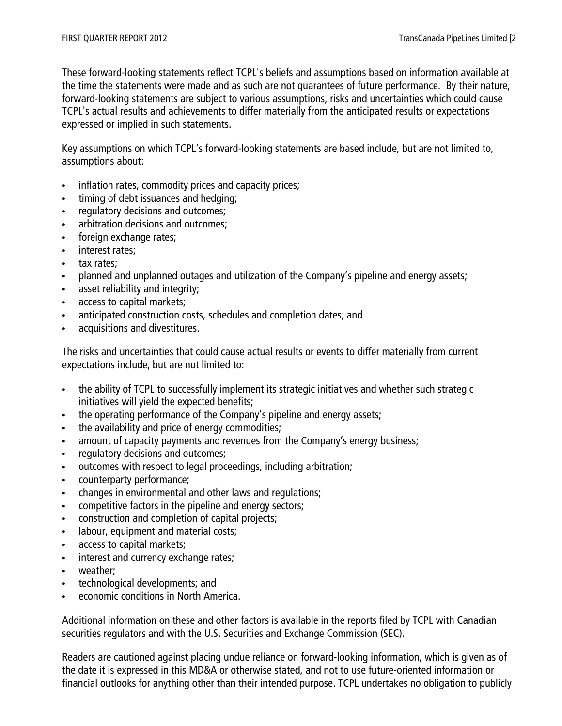These forward-looking statements reflect TCPL's beliefs and assumptions based on information available at the time the statements were made and as such are not guarantees of future performance. By their nature, forward-looking statements are subject to various assumptions, risks and uncertainties which could cause TCPL's actual results and achievements to differ materially from the anticipated results or expectations expressed or implied in such statements.

Key assumptions on which TCPL's forward-looking statements are based include, but are not limited to, assumptions about:

- inflation rates, commodity prices and capacity prices;
- timing of debt issuances and hedging;
- regulatory decisions and outcomes;
- arbitration decisions and outcomes;
- foreign exchange rates;
- interest rates;
- tax rates;
- planned and unplanned outages and utilization of the Company's pipeline and energy assets;
- asset reliability and integrity;
- access to capital markets;
- anticipated construction costs, schedules and completion dates; and
- acquisitions and divestitures.

The risks and uncertainties that could cause actual results or events to differ materially from current expectations include, but are not limited to:

- the ability of TCPL to successfully implement its strategic initiatives and whether such strategic initiatives will yield the expected benefits;
- the operating performance of the Company's pipeline and energy assets;
- the availability and price of energy commodities;
- amount of capacity payments and revenues from the Company's energy business;
- regulatory decisions and outcomes;
- outcomes with respect to legal proceedings, including arbitration;
- counterparty performance;
- changes in environmental and other laws and regulations;
- competitive factors in the pipeline and energy sectors;
- construction and completion of capital projects;
- labour, equipment and material costs;
- access to capital markets;
- interest and currency exchange rates;
- weather;
- technological developments; and
- economic conditions in North America.

Additional information on these and other factors is available in the reports filed by TCPL with Canadian securities regulators and with the U.S. Securities and Exchange Commission (SEC).

Readers are cautioned against placing undue reliance on forward-looking information, which is given as of the date it is expressed in this MD&A or otherwise stated, and not to use future-oriented information or financial outlooks for anything other than their intended purpose. TCPL undertakes no obligation to publicly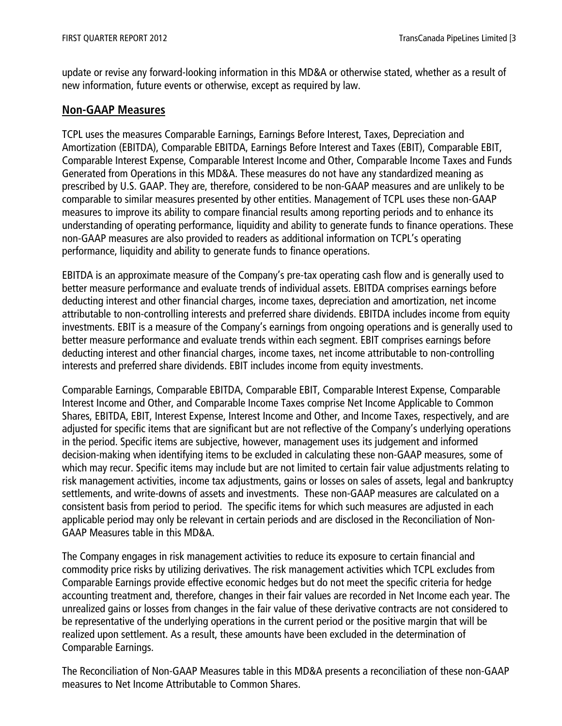update or revise any forward-looking information in this MD&A or otherwise stated, whether as a result of new information, future events or otherwise, except as required by law.

# **Non-GAAP Measures**

TCPL uses the measures Comparable Earnings, Earnings Before Interest, Taxes, Depreciation and Amortization (EBITDA), Comparable EBITDA, Earnings Before Interest and Taxes (EBIT), Comparable EBIT, Comparable Interest Expense, Comparable Interest Income and Other, Comparable Income Taxes and Funds Generated from Operations in this MD&A. These measures do not have any standardized meaning as prescribed by U.S. GAAP. They are, therefore, considered to be non-GAAP measures and are unlikely to be comparable to similar measures presented by other entities. Management of TCPL uses these non-GAAP measures to improve its ability to compare financial results among reporting periods and to enhance its understanding of operating performance, liquidity and ability to generate funds to finance operations. These non-GAAP measures are also provided to readers as additional information on TCPL's operating performance, liquidity and ability to generate funds to finance operations.

EBITDA is an approximate measure of the Company's pre-tax operating cash flow and is generally used to better measure performance and evaluate trends of individual assets. EBITDA comprises earnings before deducting interest and other financial charges, income taxes, depreciation and amortization, net income attributable to non-controlling interests and preferred share dividends. EBITDA includes income from equity investments. EBIT is a measure of the Company's earnings from ongoing operations and is generally used to better measure performance and evaluate trends within each segment. EBIT comprises earnings before deducting interest and other financial charges, income taxes, net income attributable to non-controlling interests and preferred share dividends. EBIT includes income from equity investments.

Comparable Earnings, Comparable EBITDA, Comparable EBIT, Comparable Interest Expense, Comparable Interest Income and Other, and Comparable Income Taxes comprise Net Income Applicable to Common Shares, EBITDA, EBIT, Interest Expense, Interest Income and Other, and Income Taxes, respectively, and are adjusted for specific items that are significant but are not reflective of the Company's underlying operations in the period. Specific items are subjective, however, management uses its judgement and informed decision-making when identifying items to be excluded in calculating these non-GAAP measures, some of which may recur. Specific items may include but are not limited to certain fair value adjustments relating to risk management activities, income tax adjustments, gains or losses on sales of assets, legal and bankruptcy settlements, and write-downs of assets and investments. These non-GAAP measures are calculated on a consistent basis from period to period. The specific items for which such measures are adjusted in each applicable period may only be relevant in certain periods and are disclosed in the Reconciliation of Non-GAAP Measures table in this MD&A.

The Company engages in risk management activities to reduce its exposure to certain financial and commodity price risks by utilizing derivatives. The risk management activities which TCPL excludes from Comparable Earnings provide effective economic hedges but do not meet the specific criteria for hedge accounting treatment and, therefore, changes in their fair values are recorded in Net Income each year. The unrealized gains or losses from changes in the fair value of these derivative contracts are not considered to be representative of the underlying operations in the current period or the positive margin that will be realized upon settlement. As a result, these amounts have been excluded in the determination of Comparable Earnings.

The Reconciliation of Non-GAAP Measures table in this MD&A presents a reconciliation of these non-GAAP measures to Net Income Attributable to Common Shares.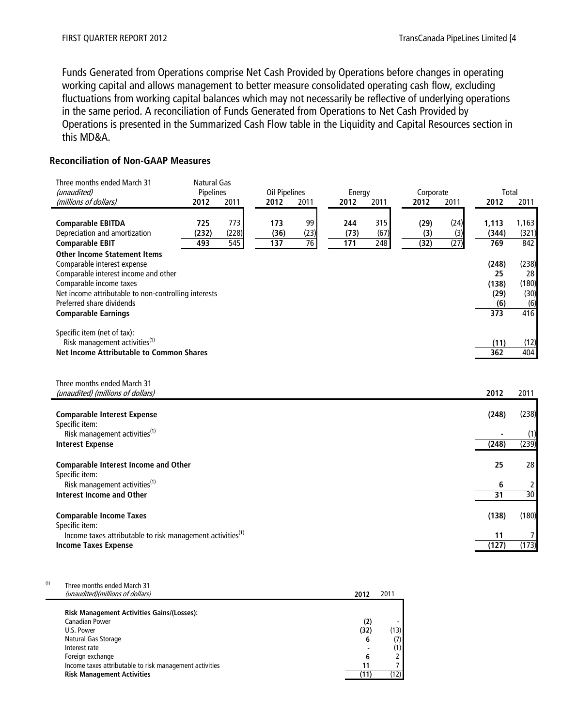Funds Generated from Operations comprise Net Cash Provided by Operations before changes in operating working capital and allows management to better measure consolidated operating cash flow, excluding fluctuations from working capital balances which may not necessarily be reflective of underlying operations in the same period. A reconciliation of Funds Generated from Operations to Net Cash Provided by Operations is presented in the Summarized Cash Flow table in the Liquidity and Capital Resources section in this MD&A.

#### **Reconciliation of Non-GAAP Measures**

| Three months ended March 31                                            | <b>Natural Gas</b> |       |                      |      |        |      |           |      |       |       |
|------------------------------------------------------------------------|--------------------|-------|----------------------|------|--------|------|-----------|------|-------|-------|
| (unaudited)                                                            | Pipelines          |       | <b>Oil Pipelines</b> |      | Energy |      | Corporate |      | Total |       |
| (millions of dollars)                                                  | 2012               | 2011  | 2012                 | 2011 | 2012   | 2011 | 2012      | 2011 | 2012  | 2011  |
|                                                                        |                    |       |                      |      |        |      |           |      |       |       |
| <b>Comparable EBITDA</b>                                               | 725                | 773   | 173                  | 99   | 244    | 315  | (29)      | (24) | 1,113 | 1,163 |
| Depreciation and amortization                                          | (232)              | (228) | (36)                 | (23) | (73)   | (67) | (3)       | (3)  | (344) | (321) |
| <b>Comparable EBIT</b>                                                 | 493                | 545   | 137                  | 76   | 171    | 248  | (32)      | (27) | 769   | 842   |
| <b>Other Income Statement Items</b>                                    |                    |       |                      |      |        |      |           |      |       |       |
| Comparable interest expense                                            |                    |       |                      |      |        |      |           |      | (248) | (238) |
| Comparable interest income and other                                   |                    |       |                      |      |        |      |           |      | 25    | 28    |
| Comparable income taxes                                                |                    |       |                      |      |        |      |           |      | (138) | (180) |
| Net income attributable to non-controlling interests                   |                    |       |                      |      |        |      |           |      | (29)  | (30)  |
| Preferred share dividends                                              |                    |       |                      |      |        |      |           |      | (6)   | (6)   |
| <b>Comparable Earnings</b>                                             |                    |       |                      |      |        |      |           |      | 373   | 416   |
|                                                                        |                    |       |                      |      |        |      |           |      |       |       |
| Specific item (net of tax):                                            |                    |       |                      |      |        |      |           |      |       |       |
| Risk management activities <sup>(1)</sup>                              |                    |       |                      |      |        |      |           |      | (11)  | (12)  |
| <b>Net Income Attributable to Common Shares</b>                        |                    |       |                      |      |        |      |           |      | 362   | 404   |
|                                                                        |                    |       |                      |      |        |      |           |      |       |       |
|                                                                        |                    |       |                      |      |        |      |           |      |       |       |
| Three months ended March 31                                            |                    |       |                      |      |        |      |           |      |       |       |
| (unaudited) (millions of dollars)                                      |                    |       |                      |      |        |      |           |      | 2012  | 2011  |
|                                                                        |                    |       |                      |      |        |      |           |      |       |       |
| <b>Comparable Interest Expense</b>                                     |                    |       |                      |      |        |      |           |      | (248) | (238) |
| Specific item:                                                         |                    |       |                      |      |        |      |           |      |       |       |
| Risk management activities <sup>(1)</sup>                              |                    |       |                      |      |        |      |           |      |       | (1)   |
| <b>Interest Expense</b>                                                |                    |       |                      |      |        |      |           |      | (248) | (239) |
|                                                                        |                    |       |                      |      |        |      |           |      |       |       |
| <b>Comparable Interest Income and Other</b>                            |                    |       |                      |      |        |      |           |      | 25    | 28    |
| Specific item:                                                         |                    |       |                      |      |        |      |           |      |       |       |
| Risk management activities <sup>(1)</sup>                              |                    |       |                      |      |        |      |           |      | 6     | 2     |
| Interest Income and Other                                              |                    |       |                      |      |        |      |           |      | 31    | 30    |
|                                                                        |                    |       |                      |      |        |      |           |      |       |       |
| <b>Comparable Income Taxes</b>                                         |                    |       |                      |      |        |      |           |      | (138) | (180) |
| Specific item:                                                         |                    |       |                      |      |        |      |           |      |       |       |
| Income taxes attributable to risk management activities <sup>(1)</sup> |                    |       |                      |      |        |      |           |      | 11    | 7     |
| <b>Income Taxes Expense</b>                                            |                    |       |                      |      |        |      |           |      | (127) | (173) |
|                                                                        |                    |       |                      |      |        |      |           |      |       |       |

| (1) | Three months ended March 31<br>(unaudited)(millions of dollars) | 2012 | 2011 |
|-----|-----------------------------------------------------------------|------|------|
|     | <b>Risk Management Activities Gains/(Losses):</b>               |      |      |
|     | Canadian Power                                                  | (2)  |      |
|     | U.S. Power                                                      | (32) | (13) |
|     | Natural Gas Storage                                             | 6    |      |
|     | Interest rate                                                   |      |      |
|     | Foreign exchange                                                | 6    |      |
|     | Income taxes attributable to risk management activities         | 11   |      |
|     | <b>Risk Management Activities</b>                               | (11  |      |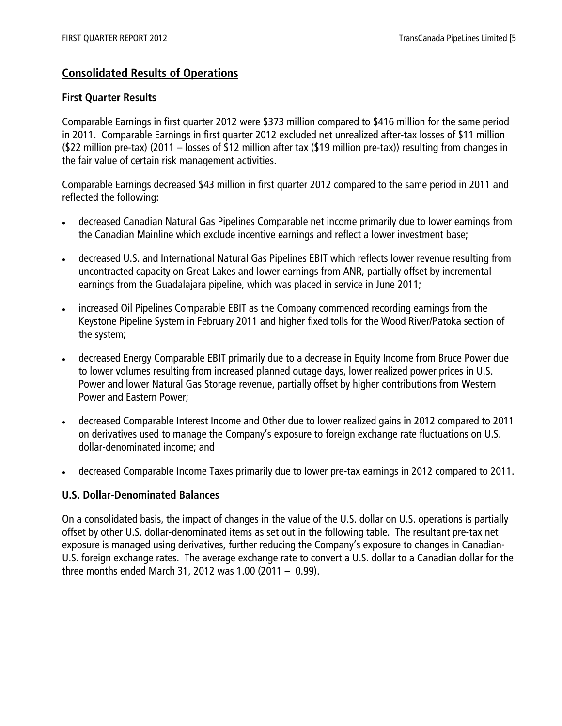# **Consolidated Results of Operations**

#### **First Quarter Results**

Comparable Earnings in first quarter 2012 were \$373 million compared to \$416 million for the same period in 2011. Comparable Earnings in first quarter 2012 excluded net unrealized after-tax losses of \$11 million (\$22 million pre-tax) (2011 – losses of \$12 million after tax (\$19 million pre-tax)) resulting from changes in the fair value of certain risk management activities.

Comparable Earnings decreased \$43 million in first quarter 2012 compared to the same period in 2011 and reflected the following:

- decreased Canadian Natural Gas Pipelines Comparable net income primarily due to lower earnings from the Canadian Mainline which exclude incentive earnings and reflect a lower investment base;
- decreased U.S. and International Natural Gas Pipelines EBIT which reflects lower revenue resulting from uncontracted capacity on Great Lakes and lower earnings from ANR, partially offset by incremental earnings from the Guadalajara pipeline, which was placed in service in June 2011;
- increased Oil Pipelines Comparable EBIT as the Company commenced recording earnings from the Keystone Pipeline System in February 2011 and higher fixed tolls for the Wood River/Patoka section of the system;
- decreased Energy Comparable EBIT primarily due to a decrease in Equity Income from Bruce Power due to lower volumes resulting from increased planned outage days, lower realized power prices in U.S. Power and lower Natural Gas Storage revenue, partially offset by higher contributions from Western Power and Eastern Power;
- decreased Comparable Interest Income and Other due to lower realized gains in 2012 compared to 2011 on derivatives used to manage the Company's exposure to foreign exchange rate fluctuations on U.S. dollar-denominated income; and
- decreased Comparable Income Taxes primarily due to lower pre-tax earnings in 2012 compared to 2011.

# **U.S. Dollar-Denominated Balances**

On a consolidated basis, the impact of changes in the value of the U.S. dollar on U.S. operations is partially offset by other U.S. dollar-denominated items as set out in the following table. The resultant pre-tax net exposure is managed using derivatives, further reducing the Company's exposure to changes in Canadian-U.S. foreign exchange rates. The average exchange rate to convert a U.S. dollar to a Canadian dollar for the three months ended March 31, 2012 was 1.00 (2011 – 0.99).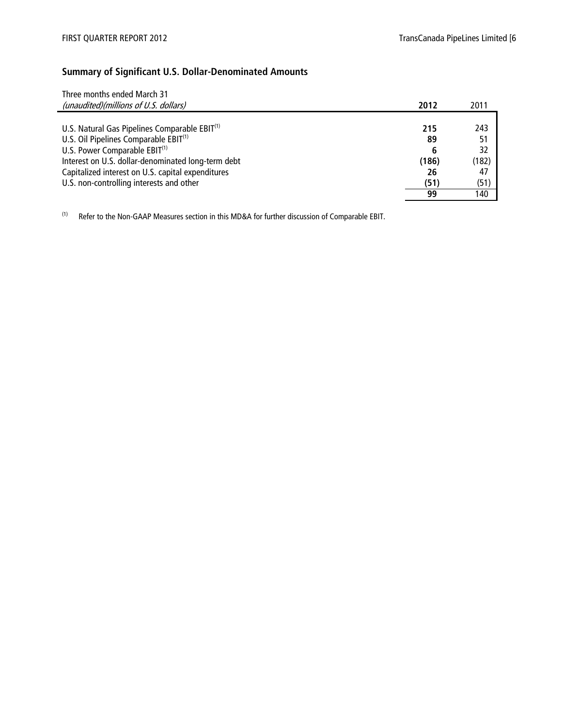## **Summary of Significant U.S. Dollar-Denominated Amounts**

| Three months ended March 31                               |       |       |
|-----------------------------------------------------------|-------|-------|
| (unaudited)(millions of U.S. dollars)                     | 2012  | 2011  |
|                                                           |       |       |
| U.S. Natural Gas Pipelines Comparable EBIT <sup>(1)</sup> | 215   | 243   |
| U.S. Oil Pipelines Comparable EBIT <sup>(1)</sup>         | 89    | 51    |
| U.S. Power Comparable EBIT <sup>(1)</sup>                 | 6     | 32    |
| Interest on U.S. dollar-denominated long-term debt        | (186) | (182) |
| Capitalized interest on U.S. capital expenditures         | 26    | 47    |
| U.S. non-controlling interests and other                  | (51)  | (51)  |
|                                                           | 99    | 140   |

(1) Refer to the Non-GAAP Measures section in this MD&A for further discussion of Comparable EBIT.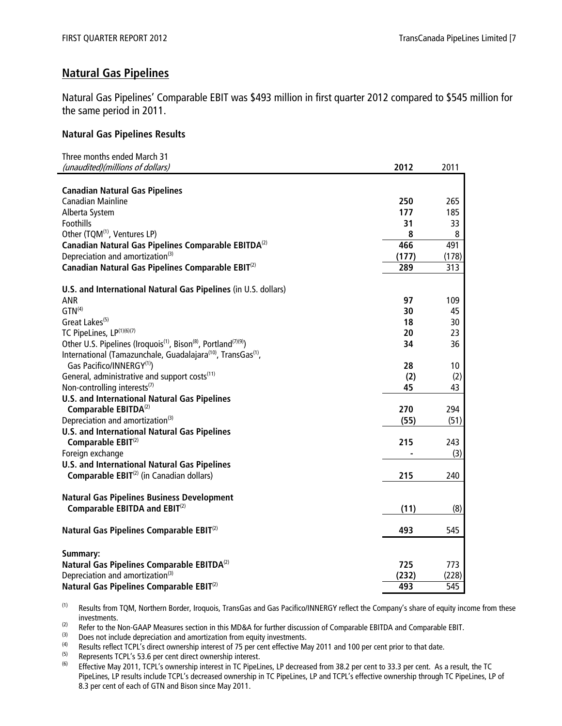# **Natural Gas Pipelines**

Natural Gas Pipelines' Comparable EBIT was \$493 million in first quarter 2012 compared to \$545 million for the same period in 2011.

#### **Natural Gas Pipelines Results**

| Three months ended March 31<br>(unaudited)(millions of dollars)                                     | 2012  | 2011  |
|-----------------------------------------------------------------------------------------------------|-------|-------|
|                                                                                                     |       |       |
| <b>Canadian Natural Gas Pipelines</b>                                                               |       |       |
| <b>Canadian Mainline</b>                                                                            | 250   | 265   |
| Alberta System                                                                                      | 177   | 185   |
| Foothills                                                                                           | 31    | 33    |
| Other (TQM <sup>(1)</sup> , Ventures LP)                                                            | 8     | 8     |
| Canadian Natural Gas Pipelines Comparable EBITDA <sup>(2)</sup>                                     | 466   | 491   |
| Depreciation and amortization <sup>(3)</sup>                                                        | (177) | (178) |
| Canadian Natural Gas Pipelines Comparable EBIT <sup>(2)</sup>                                       | 289   | 313   |
| U.S. and International Natural Gas Pipelines (in U.S. dollars)                                      |       |       |
| ANR                                                                                                 | 97    | 109   |
| $GTN^{(4)}$                                                                                         | 30    | 45    |
| Great Lakes <sup>(5)</sup>                                                                          | 18    | 30    |
| TC PipeLines, LP(1)(6)(7)                                                                           | 20    | 23    |
| Other U.S. Pipelines (Iroquois <sup>(1)</sup> , Bison <sup>(8)</sup> , Portland <sup>(7)(9)</sup> ) | 34    | 36    |
| International (Tamazunchale, Guadalajara <sup>(10)</sup> , TransGas <sup>(1)</sup> ,                |       |       |
| Gas Pacifico/INNERGY(1)                                                                             | 28    | 10    |
| General, administrative and support costs <sup>(11)</sup>                                           | (2)   | (2)   |
| Non-controlling interests <sup>(7)</sup>                                                            | 45    | 43    |
| <b>U.S. and International Natural Gas Pipelines</b>                                                 |       |       |
| Comparable EBITDA <sup>(2)</sup>                                                                    | 270   | 294   |
| Depreciation and amortization <sup>(3)</sup>                                                        | (55)  | (51)  |
| <b>U.S. and International Natural Gas Pipelines</b>                                                 |       |       |
| Comparable EBIT <sup>(2)</sup>                                                                      | 215   | 243   |
| Foreign exchange                                                                                    |       | (3)   |
| <b>U.S. and International Natural Gas Pipelines</b>                                                 |       |       |
| Comparable EBIT <sup>(2)</sup> (in Canadian dollars)                                                | 215   | 240   |
|                                                                                                     |       |       |
| <b>Natural Gas Pipelines Business Development</b>                                                   |       |       |
| Comparable EBITDA and EBIT <sup>(2)</sup>                                                           | (11)  | (8)   |
| Natural Gas Pipelines Comparable EBIT <sup>(2)</sup>                                                | 493   | 545   |
|                                                                                                     |       |       |
| Summary:                                                                                            |       |       |
| Natural Gas Pipelines Comparable EBITDA <sup>(2)</sup>                                              | 725   | 773   |
| Depreciation and amortization <sup>(3)</sup>                                                        | (232) | (228) |
| Natural Gas Pipelines Comparable EBIT <sup>(2)</sup>                                                | 493   | 545   |

(1) Results from TQM, Northern Border, Iroquois, TransGas and Gas Pacifico/INNERGY reflect the Company's share of equity income from these investments.

(2) Refer to the Non-GAAP Measures section in this MD&A for further discussion of Comparable EBITDA and Comparable EBIT.<br>(3) Deep not include depreciation and amerization from equity investments

(3) Does not include depreciation and amortization from equity investments.<br>(4) Besults reflect TCBI's direct ownership interest of 75 per cent effective M:

(4) Results reflect TCPL's direct ownership interest of 75 per cent effective May 2011 and 100 per cent prior to that date.<br>  $\frac{(5)}{2}$  Penrosents TCPL's 53.6 per cent direct ownership interest

<sup>(5)</sup> Represents TCPL's 53.6 per cent direct ownership interest.<br>
Final interest in TC Pinel interest.

Effective May 2011, TCPL's ownership interest in TC PipeLines, LP decreased from 38.2 per cent to 33.3 per cent. As a result, the TC PipeLines, LP results include TCPL's decreased ownership in TC PipeLines, LP and TCPL's effective ownership through TC PipeLines, LP of 8.3 per cent of each of GTN and Bison since May 2011.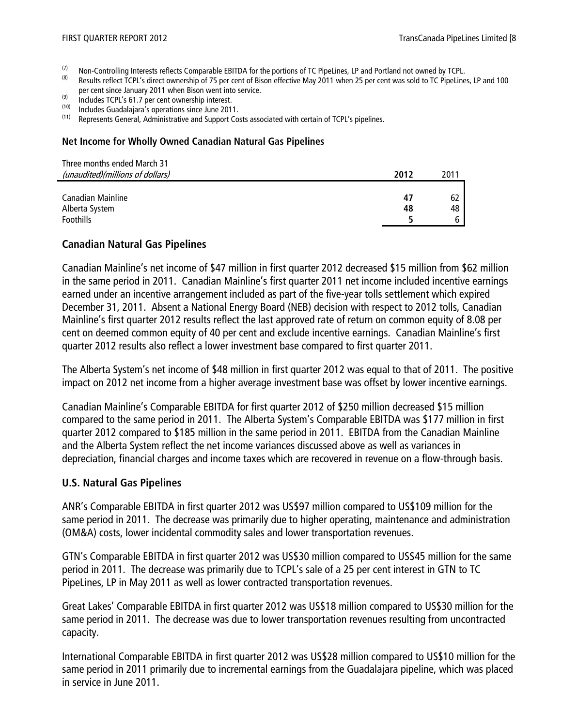- (7) Non-Controlling Interests reflects Comparable EBITDA for the portions of TC PipeLines, LP and Portland not owned by TCPL.
- Results reflect TCPL's direct ownership of 75 per cent of Bison effective May 2011 when 25 per cent was sold to TC PipeLines, LP and 100 per cent since January 2011 when Bison went into service.
- $^{(9)}$  Includes TCPL's 61.7 per cent ownership interest.
- (10) Includes Guadalajara's operations since June 2011.
- Represents General, Administrative and Support Costs associated with certain of TCPL's pipelines.

#### **Net Income for Wholly Owned Canadian Natural Gas Pipelines**

| Three months ended March 31<br>(unaudited)(millions of dollars) | 2012     | 2011     |
|-----------------------------------------------------------------|----------|----------|
| Canadian Mainline<br>Alberta System<br><b>Foothills</b>         | 47<br>48 | 62<br>48 |

#### **Canadian Natural Gas Pipelines**

Canadian Mainline's net income of \$47 million in first quarter 2012 decreased \$15 million from \$62 million in the same period in 2011. Canadian Mainline's first quarter 2011 net income included incentive earnings earned under an incentive arrangement included as part of the five-year tolls settlement which expired December 31, 2011. Absent a National Energy Board (NEB) decision with respect to 2012 tolls, Canadian Mainline's first quarter 2012 results reflect the last approved rate of return on common equity of 8.08 per cent on deemed common equity of 40 per cent and exclude incentive earnings. Canadian Mainline's first quarter 2012 results also reflect a lower investment base compared to first quarter 2011.

The Alberta System's net income of \$48 million in first quarter 2012 was equal to that of 2011. The positive impact on 2012 net income from a higher average investment base was offset by lower incentive earnings.

Canadian Mainline's Comparable EBITDA for first quarter 2012 of \$250 million decreased \$15 million compared to the same period in 2011. The Alberta System's Comparable EBITDA was \$177 million in first quarter 2012 compared to \$185 million in the same period in 2011. EBITDA from the Canadian Mainline and the Alberta System reflect the net income variances discussed above as well as variances in depreciation, financial charges and income taxes which are recovered in revenue on a flow-through basis.

#### **U.S. Natural Gas Pipelines**

ANR's Comparable EBITDA in first quarter 2012 was US\$97 million compared to US\$109 million for the same period in 2011. The decrease was primarily due to higher operating, maintenance and administration (OM&A) costs, lower incidental commodity sales and lower transportation revenues.

GTN's Comparable EBITDA in first quarter 2012 was US\$30 million compared to US\$45 million for the same period in 2011. The decrease was primarily due to TCPL's sale of a 25 per cent interest in GTN to TC PipeLines, LP in May 2011 as well as lower contracted transportation revenues.

Great Lakes' Comparable EBITDA in first quarter 2012 was US\$18 million compared to US\$30 million for the same period in 2011. The decrease was due to lower transportation revenues resulting from uncontracted capacity.

International Comparable EBITDA in first quarter 2012 was US\$28 million compared to US\$10 million for the same period in 2011 primarily due to incremental earnings from the Guadalajara pipeline, which was placed in service in June 2011.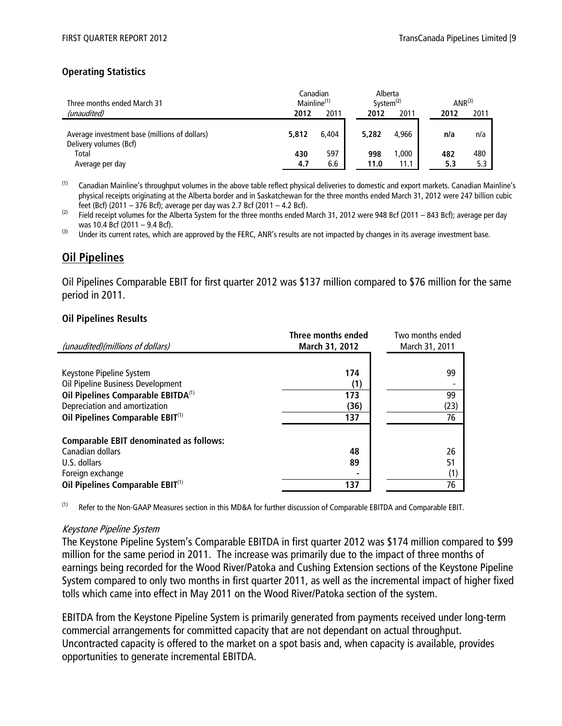#### **Operating Statistics**

| Three months ended March 31                                             | Canadian<br>Mainline <sup>(1)</sup> |       | Alberta<br>System $(2)$ |       | $ANR^{(3)}$ |      |
|-------------------------------------------------------------------------|-------------------------------------|-------|-------------------------|-------|-------------|------|
| (unaudited)                                                             | 2012                                | 2011  | 2012                    | 2011  | 2012        | 2011 |
| Average investment base (millions of dollars)<br>Delivery volumes (Bcf) | 5.812                               | 6.404 | 5.282                   | 4.966 | n/a         | n/a  |
| Total                                                                   | 430                                 | 597   | 998                     | 1.000 | 482         | 480  |
| Average per day                                                         | 4.7                                 | 6.6   | 11.0                    | 11.1  | 5.3         | 5.3  |

<sup>(1)</sup> Canadian Mainline's throughput volumes in the above table reflect physical deliveries to domestic and export markets. Canadian Mainline's physical receipts originating at the Alberta border and in Saskatchewan for the three months ended March 31, 2012 were 247 billion cubic feet (Bcf) (2011 – 376 Bcf); average per day was 2.7 Bcf (2011 – 4.2 Bcf).

 $^{(2)}$  Field receipt volumes for the Alberta System for the three months ended March 31, 2012 were 948 Bcf (2011 – 843 Bcf); average per day was 10.4 Bcf (2011 – 9.4 Bcf).

 $^{(3)}$  Under its current rates, which are approved by the FERC, ANR's results are not impacted by changes in its average investment base.

## **Oil Pipelines**

Oil Pipelines Comparable EBIT for first quarter 2012 was \$137 million compared to \$76 million for the same period in 2011.

#### **Oil Pipelines Results**

| (unaudited)(millions of dollars)               | Three months ended<br><b>March 31, 2012</b> | Two months ended<br>March 31, 2011 |
|------------------------------------------------|---------------------------------------------|------------------------------------|
|                                                |                                             |                                    |
| Keystone Pipeline System                       | 174                                         | 99                                 |
| Oil Pipeline Business Development              | (1)                                         |                                    |
| Oil Pipelines Comparable EBITDA <sup>(1)</sup> | 173                                         | 99                                 |
| Depreciation and amortization                  | (36)                                        | (23)                               |
| Oil Pipelines Comparable EBIT <sup>(1)</sup>   | 137                                         | 76                                 |
| <b>Comparable EBIT denominated as follows:</b> |                                             |                                    |
| Canadian dollars                               | 48                                          | 26                                 |
| U.S. dollars                                   | 89                                          | 51                                 |
| Foreign exchange                               |                                             |                                    |
| Oil Pipelines Comparable EBIT <sup>(1)</sup>   | 137                                         | 76                                 |

<sup>(1)</sup> Refer to the Non-GAAP Measures section in this MD&A for further discussion of Comparable EBITDA and Comparable EBIT.

#### Keystone Pipeline System

The Keystone Pipeline System's Comparable EBITDA in first quarter 2012 was \$174 million compared to \$99 million for the same period in 2011. The increase was primarily due to the impact of three months of earnings being recorded for the Wood River/Patoka and Cushing Extension sections of the Keystone Pipeline System compared to only two months in first quarter 2011, as well as the incremental impact of higher fixed tolls which came into effect in May 2011 on the Wood River/Patoka section of the system.

EBITDA from the Keystone Pipeline System is primarily generated from payments received under long-term commercial arrangements for committed capacity that are not dependant on actual throughput. Uncontracted capacity is offered to the market on a spot basis and, when capacity is available, provides opportunities to generate incremental EBITDA.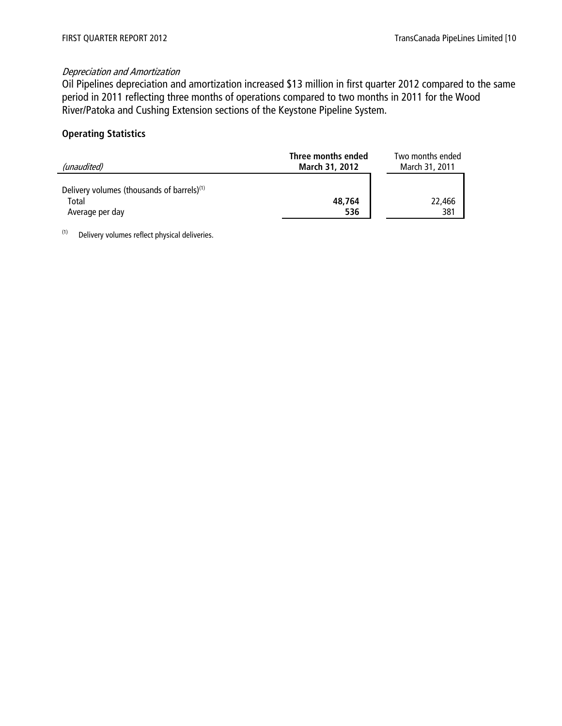#### Depreciation and Amortization

Oil Pipelines depreciation and amortization increased \$13 million in first quarter 2012 compared to the same period in 2011 reflecting three months of operations compared to two months in 2011 for the Wood River/Patoka and Cushing Extension sections of the Keystone Pipeline System.

#### **Operating Statistics**

| (unaudited)                                                                        | Three months ended<br>March 31, 2012 | Two months ended<br>March 31, 2011 |
|------------------------------------------------------------------------------------|--------------------------------------|------------------------------------|
| Delivery volumes (thousands of barrels) <sup>(1)</sup><br>Total<br>Average per day | 48,764<br>536                        | 22,466<br>381                      |

(1) Delivery volumes reflect physical deliveries.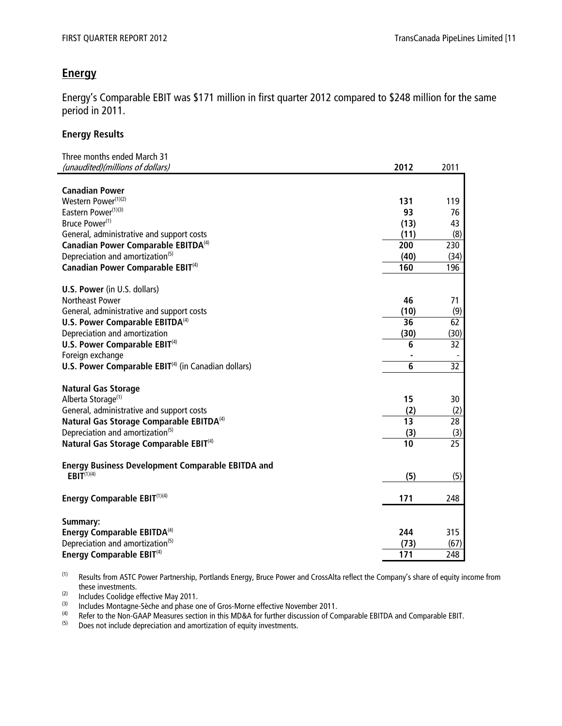# **Energy**

Energy's Comparable EBIT was \$171 million in first quarter 2012 compared to \$248 million for the same period in 2011.

#### **Energy Results**

| Three months ended March 31<br>(unaudited)(millions of dollars)                                 | 2012 | 2011        |
|-------------------------------------------------------------------------------------------------|------|-------------|
|                                                                                                 |      |             |
| <b>Canadian Power</b>                                                                           |      |             |
| Western Power(1)(2)                                                                             | 131  | 119         |
| Eastern Power <sup>(1)(3)</sup>                                                                 | 93   | 76          |
| Bruce Power <sup>(1)</sup>                                                                      | (13) | 43          |
|                                                                                                 | (11) | (8)         |
| General, administrative and support costs                                                       | 200  | 230         |
| Canadian Power Comparable EBITDA <sup>(4)</sup><br>Depreciation and amortization <sup>(5)</sup> | (40) |             |
|                                                                                                 | 160  | (34)<br>196 |
| Canadian Power Comparable EBIT <sup>(4)</sup>                                                   |      |             |
| <b>U.S. Power</b> (in U.S. dollars)                                                             |      |             |
| <b>Northeast Power</b>                                                                          | 46   | 71          |
| General, administrative and support costs                                                       | (10) | (9)         |
| U.S. Power Comparable EBITDA <sup>(4)</sup>                                                     | 36   | 62          |
| Depreciation and amortization                                                                   | (30) | (30)        |
| U.S. Power Comparable EBIT <sup>(4)</sup>                                                       | 6    | 32          |
| Foreign exchange                                                                                |      |             |
| U.S. Power Comparable EBIT <sup>(4)</sup> (in Canadian dollars)                                 | 6    | 32          |
|                                                                                                 |      |             |
| <b>Natural Gas Storage</b>                                                                      |      |             |
| Alberta Storage <sup>(1)</sup>                                                                  | 15   | 30          |
| General, administrative and support costs                                                       | (2)  | (2)         |
| Natural Gas Storage Comparable EBITDA <sup>(4)</sup>                                            | 13   | 28          |
| Depreciation and amortization <sup>(5)</sup>                                                    | (3)  | (3)         |
| Natural Gas Storage Comparable EBIT <sup>(4)</sup>                                              | 10   | 25          |
|                                                                                                 |      |             |
| <b>Energy Business Development Comparable EBITDA and</b>                                        |      |             |
| $EBIT^{(1)(4)}$                                                                                 | (5)  | (5)         |
|                                                                                                 |      |             |
| Energy Comparable EBIT <sup>(1)(4)</sup>                                                        | 171  | 248         |
|                                                                                                 |      |             |
| Summary:                                                                                        |      |             |
| Energy Comparable EBITDA <sup>(4)</sup>                                                         | 244  | 315         |
| Depreciation and amortization <sup>(5)</sup>                                                    | (73) | (67)        |
| Energy Comparable EBIT <sup>(4)</sup>                                                           | 171  | 248         |

(1) Results from ASTC Power Partnership, Portlands Energy, Bruce Power and CrossAlta reflect the Company's share of equity income from these investments.

(2) Includes Coolidge effective May 2011.<br>(3) Includes Montagne-Sèche and phase of

(3) Includes Montagne-Sèche and phase one of Gros-Morne effective November 2011.<br>(4) Refer to the Non-GAAP Measures section in this MD&A for further discussion of Con

(4) Refer to the Non-GAAP Measures section in this MD&A for further discussion of Comparable EBITDA and Comparable EBIT.<br>(5) Does not include depreciation and amortization of equity investments

Does not include depreciation and amortization of equity investments.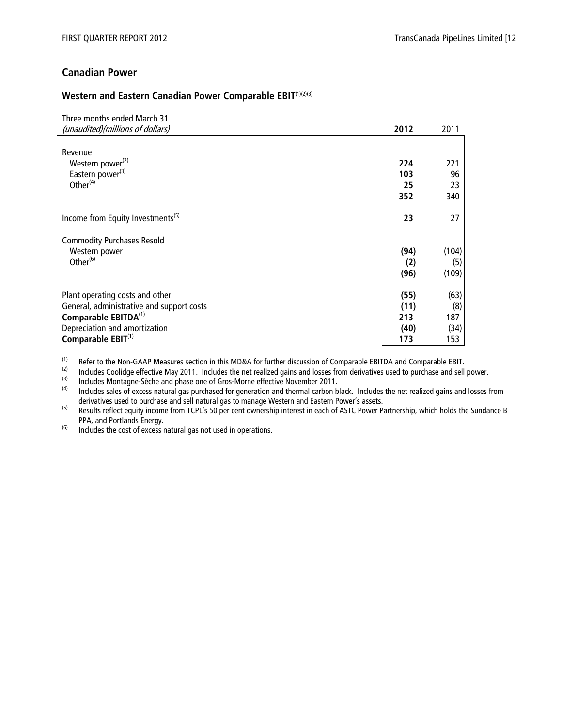#### **Canadian Power**

## **Western and Eastern Canadian Power Comparable EBIT**(1)(2)(3)

| Three months ended March 31                   |      |       |
|-----------------------------------------------|------|-------|
| (unaudited)(millions of dollars)              | 2012 | 2011  |
|                                               |      |       |
| Revenue                                       |      |       |
| Western power <sup>(2)</sup>                  | 224  | 221   |
| Eastern power <sup>(3)</sup>                  | 103  | 96    |
| Other <sup>(4)</sup>                          | 25   | 23    |
|                                               | 352  | 340   |
|                                               |      |       |
| Income from Equity Investments <sup>(5)</sup> | 23   | 27    |
|                                               |      |       |
| <b>Commodity Purchases Resold</b>             |      |       |
| Western power                                 | (94) | (104) |
| Other <sup>(6)</sup>                          | (2)  | (5)   |
|                                               | (96) | (109) |
|                                               |      |       |
| Plant operating costs and other               | (55) | (63)  |
| General, administrative and support costs     | (11) | (8)   |
| Comparable EBITDA <sup>(1)</sup>              | 213  | 187   |
| Depreciation and amortization                 | (40) | (34)  |
| Comparable EBIT(1)                            | 173  | 153   |
|                                               |      |       |

(1) Refer to the Non-GAAP Measures section in this MD&A for further discussion of Comparable EBITDA and Comparable EBIT.<br>(2) Includes Coolidge effective May 2011, Includes the net realized gains and losses from derivative

(2) Includes Coolidge effective May 2011. Includes the net realized gains and losses from derivatives used to purchase and sell power.<br>(3) Includes Montagne-Sèche and phase one of Gros-Morne effective November 2011

 $^{(3)}$  Includes Montagne-Sèche and phase one of Gros-Morne effective November 2011.<br> $^{(4)}$  Includes sales of excess natural gas purchased for generation and thermal carbon bl

(4) Includes sales of excess natural gas purchased for generation and thermal carbon black. Includes the net realized gains and losses from derivatives used to purchase and sell natural gas to manage Western and Eastern Power's assets.

(5) Results reflect equity income from TCPL's 50 per cent ownership interest in each of ASTC Power Partnership, which holds the Sundance B PPA, and Portlands Energy.

(6) Includes the cost of excess natural gas not used in operations.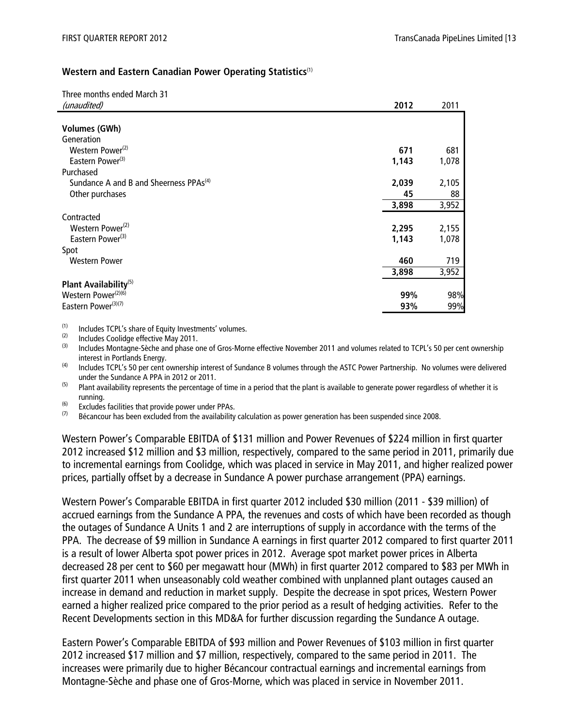#### **Western and Eastern Canadian Power Operating Statistics**(1)

Three months ended March 31

| (unaudited)                                        | 2012  | 2011  |
|----------------------------------------------------|-------|-------|
|                                                    |       |       |
| <b>Volumes (GWh)</b>                               |       |       |
| Generation                                         |       |       |
| Western Power <sup>(2)</sup>                       | 671   | 681   |
| Eastern Power <sup>(3)</sup>                       | 1,143 | 1,078 |
| Purchased                                          |       |       |
| Sundance A and B and Sheerness PPAs <sup>(4)</sup> | 2,039 | 2,105 |
| Other purchases                                    | 45    | 88    |
|                                                    | 3,898 | 3,952 |
| Contracted                                         |       |       |
| Western Power <sup>(2)</sup>                       | 2,295 | 2,155 |
| Eastern Power <sup>(3)</sup>                       | 1,143 | 1,078 |
| Spot                                               |       |       |
| <b>Western Power</b>                               | 460   | 719   |
|                                                    | 3,898 | 3,952 |
| Plant Availability <sup>(5)</sup>                  |       |       |
| Western Power <sup>(2)(6)</sup>                    | 99%   | 98%   |
| Eastern Power(3)(7)                                | 93%   | 99%   |

(1) Includes TCPL's share of Equity Investments' volumes.<br> $\frac{1}{2}$  Includes Coolidae of Equity May 2011.

 $\frac{1}{2}$  Includes Coolidge effective May 2011.

Includes Montagne-Sèche and phase one of Gros-Morne effective November 2011 and volumes related to TCPL's 50 per cent ownership interest in Portlands Energy.

(4) Includes TCPL's 50 per cent ownership interest of Sundance B volumes through the ASTC Power Partnership. No volumes were delivered under the Sundance A PPA in 2012 or 2011.

 $<sup>(5)</sup>$  Plant availability represents the percentage of time in a period that the plant is available to generate power regardless of whether it is</sup> running.

 $\frac{(6)}{(7)}$  Excludes facilities that provide power under PPAs.<br> $\frac{(7)}{(7)}$  Bécancour has been excluded from the availability

Bécancour has been excluded from the availability calculation as power generation has been suspended since 2008.

Western Power's Comparable EBITDA of \$131 million and Power Revenues of \$224 million in first quarter 2012 increased \$12 million and \$3 million, respectively, compared to the same period in 2011, primarily due to incremental earnings from Coolidge, which was placed in service in May 2011, and higher realized power prices, partially offset by a decrease in Sundance A power purchase arrangement (PPA) earnings.

Western Power's Comparable EBITDA in first quarter 2012 included \$30 million (2011 - \$39 million) of accrued earnings from the Sundance A PPA, the revenues and costs of which have been recorded as though the outages of Sundance A Units 1 and 2 are interruptions of supply in accordance with the terms of the PPA. The decrease of \$9 million in Sundance A earnings in first quarter 2012 compared to first quarter 2011 is a result of lower Alberta spot power prices in 2012. Average spot market power prices in Alberta decreased 28 per cent to \$60 per megawatt hour (MWh) in first quarter 2012 compared to \$83 per MWh in first quarter 2011 when unseasonably cold weather combined with unplanned plant outages caused an increase in demand and reduction in market supply. Despite the decrease in spot prices, Western Power earned a higher realized price compared to the prior period as a result of hedging activities. Refer to the Recent Developments section in this MD&A for further discussion regarding the Sundance A outage.

Eastern Power's Comparable EBITDA of \$93 million and Power Revenues of \$103 million in first quarter 2012 increased \$17 million and \$7 million, respectively, compared to the same period in 2011. The increases were primarily due to higher Bécancour contractual earnings and incremental earnings from Montagne-Sèche and phase one of Gros-Morne, which was placed in service in November 2011.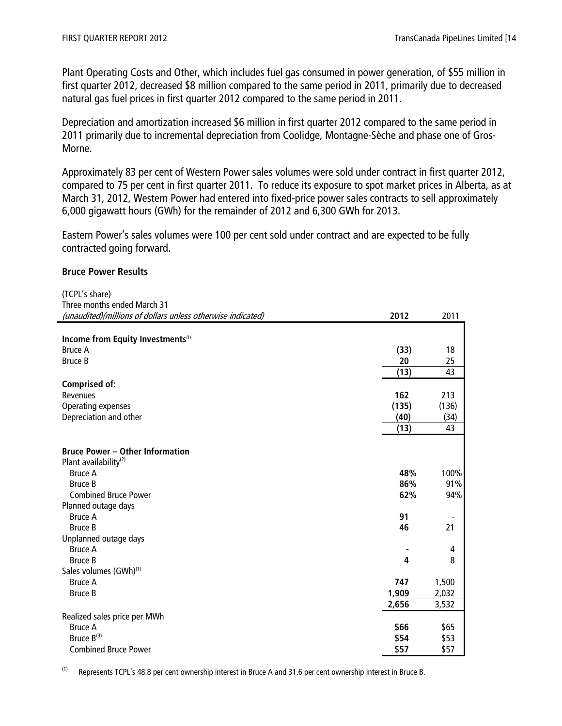Plant Operating Costs and Other, which includes fuel gas consumed in power generation, of \$55 million in first quarter 2012, decreased \$8 million compared to the same period in 2011, primarily due to decreased natural gas fuel prices in first quarter 2012 compared to the same period in 2011.

Depreciation and amortization increased \$6 million in first quarter 2012 compared to the same period in 2011 primarily due to incremental depreciation from Coolidge, Montagne-Sèche and phase one of Gros-Morne.

Approximately 83 per cent of Western Power sales volumes were sold under contract in first quarter 2012, compared to 75 per cent in first quarter 2011. To reduce its exposure to spot market prices in Alberta, as at March 31, 2012, Western Power had entered into fixed-price power sales contracts to sell approximately 6,000 gigawatt hours (GWh) for the remainder of 2012 and 6,300 GWh for 2013.

Eastern Power's sales volumes were 100 per cent sold under contract and are expected to be fully contracted going forward.

#### **Bruce Power Results**

| (TCPL's share)                                                                             |                         |       |
|--------------------------------------------------------------------------------------------|-------------------------|-------|
| Three months ended March 31<br>(unaudited)(millions of dollars unless otherwise indicated) | 2012                    | 2011  |
|                                                                                            |                         |       |
| Income from Equity Investments <sup>(1)</sup>                                              |                         |       |
| <b>Bruce A</b>                                                                             | (33)                    | 18    |
| <b>Bruce B</b>                                                                             | 20                      | 25    |
|                                                                                            | (13)                    | 43    |
| Comprised of:                                                                              |                         |       |
| Revenues                                                                                   | 162                     | 213   |
| Operating expenses                                                                         | (135)                   | (136) |
| Depreciation and other                                                                     | (40)                    | (34)  |
|                                                                                            | (13)                    | 43    |
|                                                                                            |                         |       |
| <b>Bruce Power - Other Information</b>                                                     |                         |       |
| Plant availability <sup>(2)</sup><br><b>Bruce A</b>                                        | 48%                     | 100%  |
| <b>Bruce B</b>                                                                             | 86%                     | 91%   |
| <b>Combined Bruce Power</b>                                                                | 62%                     | 94%   |
| Planned outage days                                                                        |                         |       |
| <b>Bruce A</b>                                                                             | 91                      |       |
| <b>Bruce B</b>                                                                             | 46                      | 21    |
| Unplanned outage days                                                                      |                         |       |
| <b>Bruce A</b>                                                                             |                         | 4     |
| <b>Bruce B</b>                                                                             | $\overline{\mathbf{4}}$ | 8     |
| Sales volumes (GWh) <sup>(1)</sup>                                                         |                         |       |
| <b>Bruce A</b>                                                                             | 747                     | 1,500 |
| <b>Bruce B</b>                                                                             | 1,909                   | 2,032 |
|                                                                                            | 2,656                   | 3,532 |
| Realized sales price per MWh                                                               |                         |       |
| <b>Bruce A</b>                                                                             | \$66                    | \$65  |
| Bruce $B^{(3)}$                                                                            | \$54                    | \$53  |
| <b>Combined Bruce Power</b>                                                                | \$57                    | \$57  |

(1) Represents TCPL's 48.8 per cent ownership interest in Bruce A and 31.6 per cent ownership interest in Bruce B.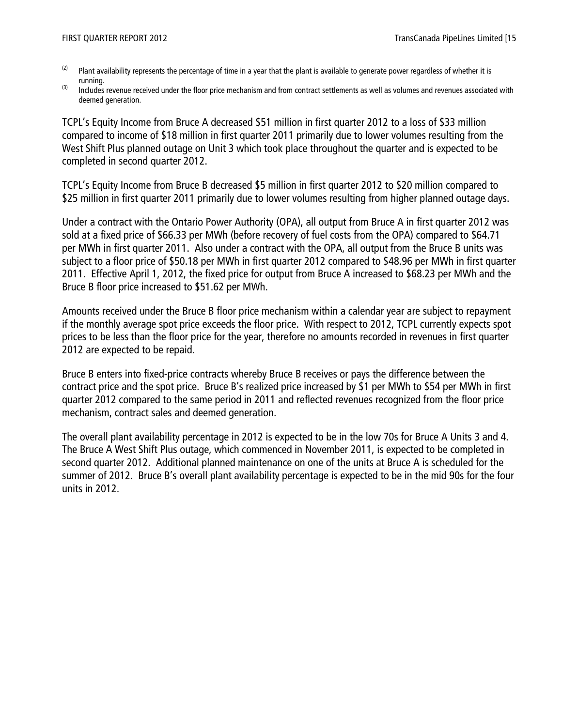- $(2)$  Plant availability represents the percentage of time in a year that the plant is available to generate power regardless of whether it is running.
- (3) Includes revenue received under the floor price mechanism and from contract settlements as well as volumes and revenues associated with deemed generation.

TCPL's Equity Income from Bruce A decreased \$51 million in first quarter 2012 to a loss of \$33 million compared to income of \$18 million in first quarter 2011 primarily due to lower volumes resulting from the West Shift Plus planned outage on Unit 3 which took place throughout the quarter and is expected to be completed in second quarter 2012.

TCPL's Equity Income from Bruce B decreased \$5 million in first quarter 2012 to \$20 million compared to \$25 million in first quarter 2011 primarily due to lower volumes resulting from higher planned outage days.

Under a contract with the Ontario Power Authority (OPA), all output from Bruce A in first quarter 2012 was sold at a fixed price of \$66.33 per MWh (before recovery of fuel costs from the OPA) compared to \$64.71 per MWh in first quarter 2011. Also under a contract with the OPA, all output from the Bruce B units was subject to a floor price of \$50.18 per MWh in first quarter 2012 compared to \$48.96 per MWh in first quarter 2011. Effective April 1, 2012, the fixed price for output from Bruce A increased to \$68.23 per MWh and the Bruce B floor price increased to \$51.62 per MWh.

Amounts received under the Bruce B floor price mechanism within a calendar year are subject to repayment if the monthly average spot price exceeds the floor price. With respect to 2012, TCPL currently expects spot prices to be less than the floor price for the year, therefore no amounts recorded in revenues in first quarter 2012 are expected to be repaid.

Bruce B enters into fixed-price contracts whereby Bruce B receives or pays the difference between the contract price and the spot price. Bruce B's realized price increased by \$1 per MWh to \$54 per MWh in first quarter 2012 compared to the same period in 2011 and reflected revenues recognized from the floor price mechanism, contract sales and deemed generation.

The overall plant availability percentage in 2012 is expected to be in the low 70s for Bruce A Units 3 and 4. The Bruce A West Shift Plus outage, which commenced in November 2011, is expected to be completed in second quarter 2012. Additional planned maintenance on one of the units at Bruce A is scheduled for the summer of 2012. Bruce B's overall plant availability percentage is expected to be in the mid 90s for the four units in 2012.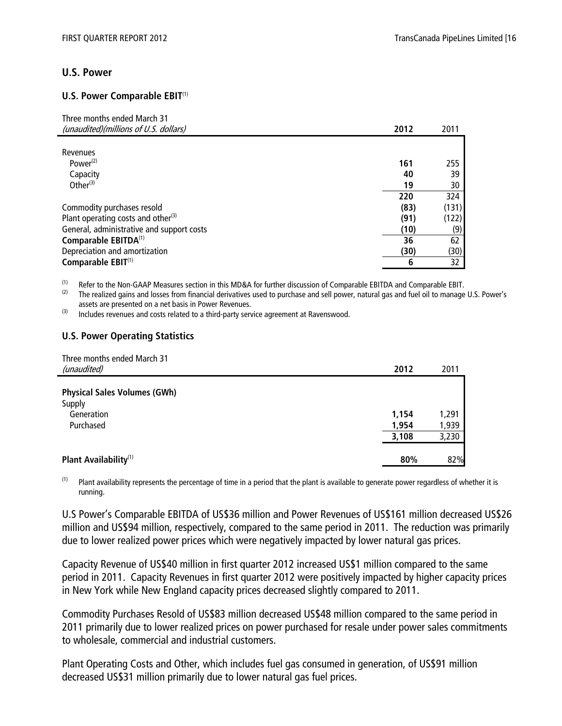#### **U.S. Power**

#### **U.S. Power Comparable EBIT(1)**

| Three months ended March 31                    |      |       |
|------------------------------------------------|------|-------|
| (unaudited)(millions of U.S. dollars)          | 2012 | 2011  |
|                                                |      |       |
| Revenues                                       |      |       |
| Power <sup>(2)</sup>                           | 161  | 255   |
| Capacity                                       | 40   | 39    |
| Other $(3)$                                    | 19   | 30    |
|                                                | 220  | 324   |
| Commodity purchases resold                     | (83) | (131) |
| Plant operating costs and other <sup>(3)</sup> | (91) | (122) |
| General, administrative and support costs      | (10) | (9)   |
| Comparable EBITDA <sup>(1)</sup>               | 36   | 62    |

(1) Refer to the Non-GAAP Measures section in this MD&A for further discussion of Comparable EBITDA and Comparable EBIT.<br>(2) The realized gains and losses from financial derivatives used to purchase and sell power, patura

Depreciation and amortization **(30)** (30) **Comparable EBIT**(1) **6** 32

(2) The realized gains and losses from financial derivatives used to purchase and sell power, natural gas and fuel oil to manage U.S. Power's assets are presented on a net basis in Power Revenues.

 $^{(3)}$  Includes revenues and costs related to a third-party service agreement at Ravenswood.

#### **U.S. Power Operating Statistics**

Three months ended March 31

| (unaudited)                         | 2012  | 2011  |
|-------------------------------------|-------|-------|
|                                     |       |       |
| <b>Physical Sales Volumes (GWh)</b> |       |       |
| Supply                              |       |       |
| Generation                          | 1,154 | 1,291 |
| Purchased                           | 1,954 | 1,939 |
|                                     | 3,108 | 3,230 |
|                                     |       |       |
| Plant Availability <sup>(1)</sup>   | 80%   | 82%   |

<sup>(1)</sup> Plant availability represents the percentage of time in a period that the plant is available to generate power regardless of whether it is running.

U.S Power's Comparable EBITDA of US\$36 million and Power Revenues of US\$161 million decreased US\$26 million and US\$94 million, respectively, compared to the same period in 2011. The reduction was primarily due to lower realized power prices which were negatively impacted by lower natural gas prices.

Capacity Revenue of US\$40 million in first quarter 2012 increased US\$1 million compared to the same period in 2011. Capacity Revenues in first quarter 2012 were positively impacted by higher capacity prices in New York while New England capacity prices decreased slightly compared to 2011.

Commodity Purchases Resold of US\$83 million decreased US\$48 million compared to the same period in 2011 primarily due to lower realized prices on power purchased for resale under power sales commitments to wholesale, commercial and industrial customers.

Plant Operating Costs and Other, which includes fuel gas consumed in generation, of US\$91 million decreased US\$31 million primarily due to lower natural gas fuel prices.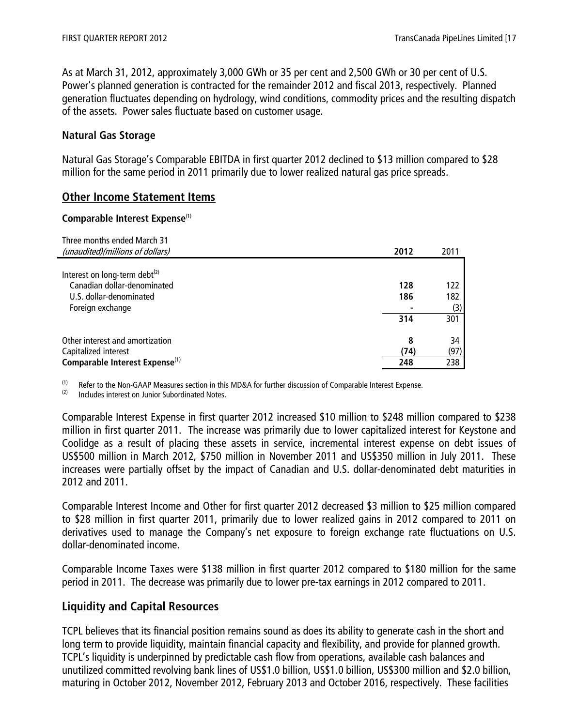As at March 31, 2012, approximately 3,000 GWh or 35 per cent and 2,500 GWh or 30 per cent of U.S. Power's planned generation is contracted for the remainder 2012 and fiscal 2013, respectively. Planned generation fluctuates depending on hydrology, wind conditions, commodity prices and the resulting dispatch of the assets. Power sales fluctuate based on customer usage.

#### **Natural Gas Storage**

Natural Gas Storage's Comparable EBITDA in first quarter 2012 declined to \$13 million compared to \$28 million for the same period in 2011 primarily due to lower realized natural gas price spreads.

#### **Other Income Statement Items**

#### **Comparable Interest Expense**(1)

| Three months ended March 31                                                                         |            |            |
|-----------------------------------------------------------------------------------------------------|------------|------------|
| (unaudited)(millions of dollars)                                                                    | 2012       | 2011       |
| Interest on long-term debt <sup>(2)</sup><br>Canadian dollar-denominated<br>U.S. dollar-denominated | 128<br>186 | 122<br>182 |
| Foreign exchange                                                                                    |            | (3)        |
|                                                                                                     | 314        | 301        |
| Other interest and amortization<br>Capitalized interest                                             | 8<br>(74)  | 34<br>(97) |
| Comparable Interest Expense <sup>(1)</sup>                                                          | 248        | 238        |

(1) Refer to the Non-GAAP Measures section in this MD&A for further discussion of Comparable Interest Expense.<br>(2) Includes interest on Junier Subordinated Nates

Includes interest on Junior Subordinated Notes.

Comparable Interest Expense in first quarter 2012 increased \$10 million to \$248 million compared to \$238 million in first quarter 2011. The increase was primarily due to lower capitalized interest for Keystone and Coolidge as a result of placing these assets in service, incremental interest expense on debt issues of US\$500 million in March 2012, \$750 million in November 2011 and US\$350 million in July 2011. These increases were partially offset by the impact of Canadian and U.S. dollar-denominated debt maturities in 2012 and 2011.

Comparable Interest Income and Other for first quarter 2012 decreased \$3 million to \$25 million compared to \$28 million in first quarter 2011, primarily due to lower realized gains in 2012 compared to 2011 on derivatives used to manage the Company's net exposure to foreign exchange rate fluctuations on U.S. dollar-denominated income.

Comparable Income Taxes were \$138 million in first quarter 2012 compared to \$180 million for the same period in 2011. The decrease was primarily due to lower pre-tax earnings in 2012 compared to 2011.

#### **Liquidity and Capital Resources**

TCPL believes that its financial position remains sound as does its ability to generate cash in the short and long term to provide liquidity, maintain financial capacity and flexibility, and provide for planned growth. TCPL's liquidity is underpinned by predictable cash flow from operations, available cash balances and unutilized committed revolving bank lines of US\$1.0 billion, US\$1.0 billion, US\$300 million and \$2.0 billion, maturing in October 2012, November 2012, February 2013 and October 2016, respectively. These facilities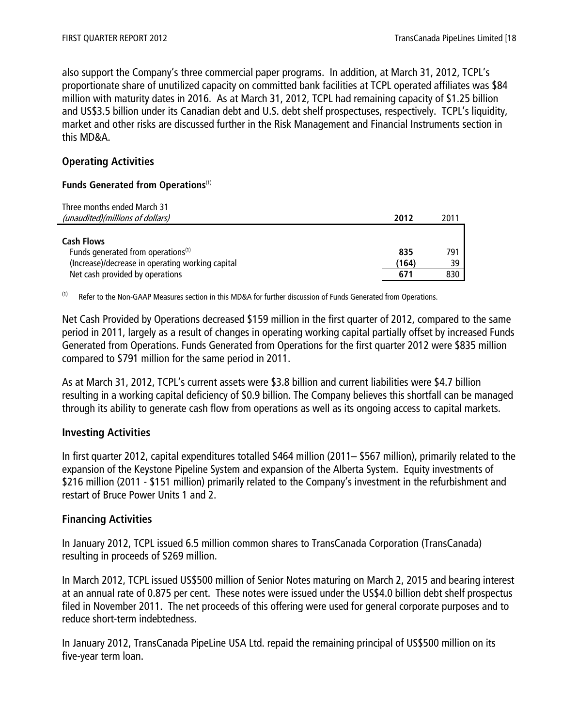also support the Company's three commercial paper programs. In addition, at March 31, 2012, TCPL's proportionate share of unutilized capacity on committed bank facilities at TCPL operated affiliates was \$84 million with maturity dates in 2016. As at March 31, 2012, TCPL had remaining capacity of \$1.25 billion and US\$3.5 billion under its Canadian debt and U.S. debt shelf prospectuses, respectively. TCPL's liquidity, market and other risks are discussed further in the Risk Management and Financial Instruments section in this MD&A.

# **Operating Activities**

#### **Funds Generated from Operations**(1)

| Three months ended March 31                      |       |      |
|--------------------------------------------------|-------|------|
| (unaudited)(millions of dollars)                 | 2012  | 2011 |
|                                                  |       |      |
| <b>Cash Flows</b>                                |       |      |
| Funds generated from operations <sup>(1)</sup>   | 835   | 791  |
| (Increase)/decrease in operating working capital | (164) | 39   |
| Net cash provided by operations                  | 671   | 830  |

(1) Refer to the Non-GAAP Measures section in this MD&A for further discussion of Funds Generated from Operations.

Net Cash Provided by Operations decreased \$159 million in the first quarter of 2012, compared to the same period in 2011, largely as a result of changes in operating working capital partially offset by increased Funds Generated from Operations. Funds Generated from Operations for the first quarter 2012 were \$835 million compared to \$791 million for the same period in 2011.

As at March 31, 2012, TCPL's current assets were \$3.8 billion and current liabilities were \$4.7 billion resulting in a working capital deficiency of \$0.9 billion. The Company believes this shortfall can be managed through its ability to generate cash flow from operations as well as its ongoing access to capital markets.

#### **Investing Activities**

In first quarter 2012, capital expenditures totalled \$464 million (2011– \$567 million), primarily related to the expansion of the Keystone Pipeline System and expansion of the Alberta System. Equity investments of \$216 million (2011 - \$151 million) primarily related to the Company's investment in the refurbishment and restart of Bruce Power Units 1 and 2.

#### **Financing Activities**

In January 2012, TCPL issued 6.5 million common shares to TransCanada Corporation (TransCanada) resulting in proceeds of \$269 million.

In March 2012, TCPL issued US\$500 million of Senior Notes maturing on March 2, 2015 and bearing interest at an annual rate of 0.875 per cent. These notes were issued under the US\$4.0 billion debt shelf prospectus filed in November 2011. The net proceeds of this offering were used for general corporate purposes and to reduce short-term indebtedness.

In January 2012, TransCanada PipeLine USA Ltd. repaid the remaining principal of US\$500 million on its five-year term loan.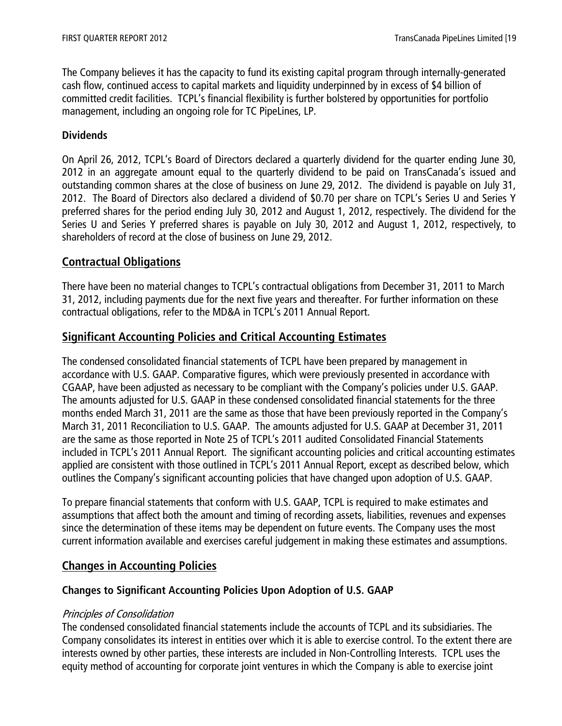The Company believes it has the capacity to fund its existing capital program through internally-generated cash flow, continued access to capital markets and liquidity underpinned by in excess of \$4 billion of committed credit facilities. TCPL's financial flexibility is further bolstered by opportunities for portfolio management, including an ongoing role for TC PipeLines, LP.

# **Dividends**

On April 26, 2012, TCPL's Board of Directors declared a quarterly dividend for the quarter ending June 30, 2012 in an aggregate amount equal to the quarterly dividend to be paid on TransCanada's issued and outstanding common shares at the close of business on June 29, 2012. The dividend is payable on July 31, 2012. The Board of Directors also declared a dividend of \$0.70 per share on TCPL's Series U and Series Y preferred shares for the period ending July 30, 2012 and August 1, 2012, respectively. The dividend for the Series U and Series Y preferred shares is payable on July 30, 2012 and August 1, 2012, respectively, to shareholders of record at the close of business on June 29, 2012.

# **Contractual Obligations**

There have been no material changes to TCPL's contractual obligations from December 31, 2011 to March 31, 2012, including payments due for the next five years and thereafter. For further information on these contractual obligations, refer to the MD&A in TCPL's 2011 Annual Report.

## **Significant Accounting Policies and Critical Accounting Estimates**

The condensed consolidated financial statements of TCPL have been prepared by management in accordance with U.S. GAAP. Comparative figures, which were previously presented in accordance with CGAAP, have been adjusted as necessary to be compliant with the Company's policies under U.S. GAAP. The amounts adjusted for U.S. GAAP in these condensed consolidated financial statements for the three months ended March 31, 2011 are the same as those that have been previously reported in the Company's March 31, 2011 Reconciliation to U.S. GAAP. The amounts adjusted for U.S. GAAP at December 31, 2011 are the same as those reported in Note 25 of TCPL's 2011 audited Consolidated Financial Statements included in TCPL's 2011 Annual Report. The significant accounting policies and critical accounting estimates applied are consistent with those outlined in TCPL's 2011 Annual Report, except as described below, which outlines the Company's significant accounting policies that have changed upon adoption of U.S. GAAP.

To prepare financial statements that conform with U.S. GAAP, TCPL is required to make estimates and assumptions that affect both the amount and timing of recording assets, liabilities, revenues and expenses since the determination of these items may be dependent on future events. The Company uses the most current information available and exercises careful judgement in making these estimates and assumptions.

# **Changes in Accounting Policies**

#### **Changes to Significant Accounting Policies Upon Adoption of U.S. GAAP**

#### Principles of Consolidation

The condensed consolidated financial statements include the accounts of TCPL and its subsidiaries. The Company consolidates its interest in entities over which it is able to exercise control. To the extent there are interests owned by other parties, these interests are included in Non-Controlling Interests. TCPL uses the equity method of accounting for corporate joint ventures in which the Company is able to exercise joint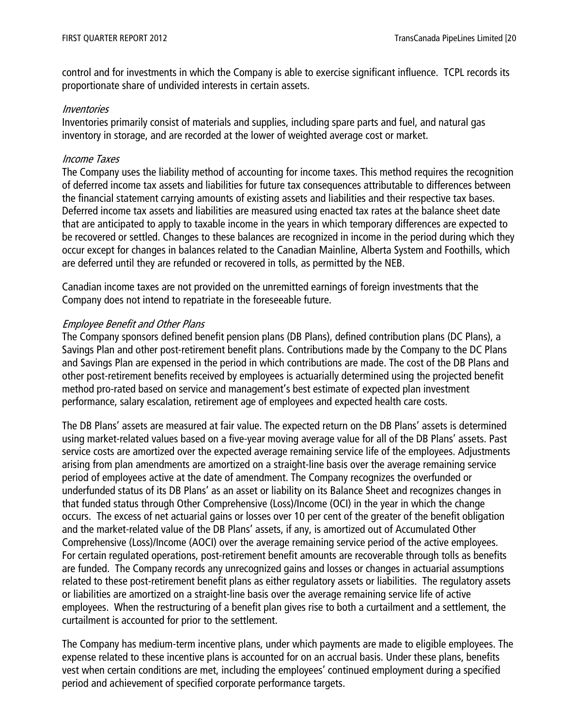control and for investments in which the Company is able to exercise significant influence. TCPL records its proportionate share of undivided interests in certain assets.

#### Inventories

Inventories primarily consist of materials and supplies, including spare parts and fuel, and natural gas inventory in storage, and are recorded at the lower of weighted average cost or market.

#### Income Taxes

The Company uses the liability method of accounting for income taxes. This method requires the recognition of deferred income tax assets and liabilities for future tax consequences attributable to differences between the financial statement carrying amounts of existing assets and liabilities and their respective tax bases. Deferred income tax assets and liabilities are measured using enacted tax rates at the balance sheet date that are anticipated to apply to taxable income in the years in which temporary differences are expected to be recovered or settled. Changes to these balances are recognized in income in the period during which they occur except for changes in balances related to the Canadian Mainline, Alberta System and Foothills, which are deferred until they are refunded or recovered in tolls, as permitted by the NEB.

Canadian income taxes are not provided on the unremitted earnings of foreign investments that the Company does not intend to repatriate in the foreseeable future.

## Employee Benefit and Other Plans

The Company sponsors defined benefit pension plans (DB Plans), defined contribution plans (DC Plans), a Savings Plan and other post-retirement benefit plans. Contributions made by the Company to the DC Plans and Savings Plan are expensed in the period in which contributions are made. The cost of the DB Plans and other post-retirement benefits received by employees is actuarially determined using the projected benefit method pro-rated based on service and management's best estimate of expected plan investment performance, salary escalation, retirement age of employees and expected health care costs.

The DB Plans' assets are measured at fair value. The expected return on the DB Plans' assets is determined using market-related values based on a five-year moving average value for all of the DB Plans' assets. Past service costs are amortized over the expected average remaining service life of the employees. Adjustments arising from plan amendments are amortized on a straight-line basis over the average remaining service period of employees active at the date of amendment. The Company recognizes the overfunded or underfunded status of its DB Plans' as an asset or liability on its Balance Sheet and recognizes changes in that funded status through Other Comprehensive (Loss)/Income (OCI) in the year in which the change occurs. The excess of net actuarial gains or losses over 10 per cent of the greater of the benefit obligation and the market-related value of the DB Plans' assets, if any, is amortized out of Accumulated Other Comprehensive (Loss)/Income (AOCI) over the average remaining service period of the active employees. For certain regulated operations, post-retirement benefit amounts are recoverable through tolls as benefits are funded. The Company records any unrecognized gains and losses or changes in actuarial assumptions related to these post-retirement benefit plans as either regulatory assets or liabilities. The regulatory assets or liabilities are amortized on a straight-line basis over the average remaining service life of active employees. When the restructuring of a benefit plan gives rise to both a curtailment and a settlement, the curtailment is accounted for prior to the settlement.

The Company has medium-term incentive plans, under which payments are made to eligible employees. The expense related to these incentive plans is accounted for on an accrual basis. Under these plans, benefits vest when certain conditions are met, including the employees' continued employment during a specified period and achievement of specified corporate performance targets.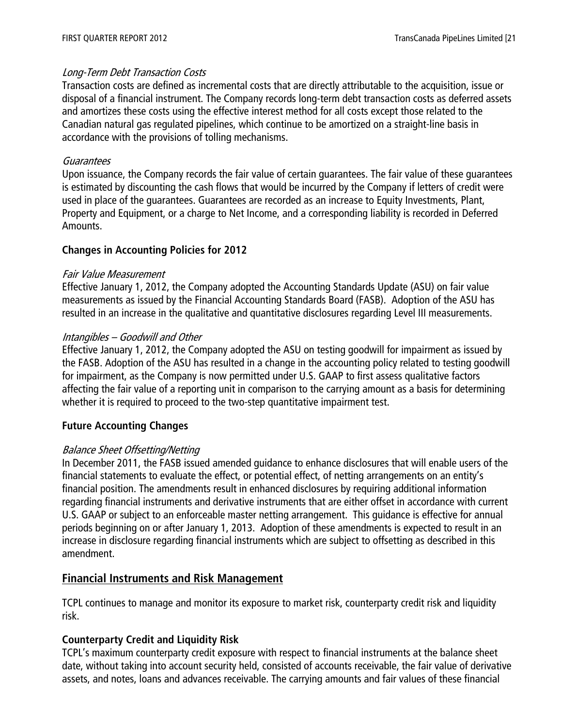#### Long-Term Debt Transaction Costs

Transaction costs are defined as incremental costs that are directly attributable to the acquisition, issue or disposal of a financial instrument. The Company records long-term debt transaction costs as deferred assets and amortizes these costs using the effective interest method for all costs except those related to the Canadian natural gas regulated pipelines, which continue to be amortized on a straight-line basis in accordance with the provisions of tolling mechanisms.

#### **Guarantees**

Upon issuance, the Company records the fair value of certain guarantees. The fair value of these guarantees is estimated by discounting the cash flows that would be incurred by the Company if letters of credit were used in place of the guarantees. Guarantees are recorded as an increase to Equity Investments, Plant, Property and Equipment, or a charge to Net Income, and a corresponding liability is recorded in Deferred Amounts.

#### **Changes in Accounting Policies for 2012**

#### Fair Value Measurement

Effective January 1, 2012, the Company adopted the Accounting Standards Update (ASU) on fair value measurements as issued by the Financial Accounting Standards Board (FASB). Adoption of the ASU has resulted in an increase in the qualitative and quantitative disclosures regarding Level III measurements.

#### Intangibles – Goodwill and Other

Effective January 1, 2012, the Company adopted the ASU on testing goodwill for impairment as issued by the FASB. Adoption of the ASU has resulted in a change in the accounting policy related to testing goodwill for impairment, as the Company is now permitted under U.S. GAAP to first assess qualitative factors affecting the fair value of a reporting unit in comparison to the carrying amount as a basis for determining whether it is required to proceed to the two-step quantitative impairment test.

#### **Future Accounting Changes**

#### Balance Sheet Offsetting/Netting

In December 2011, the FASB issued amended guidance to enhance disclosures that will enable users of the financial statements to evaluate the effect, or potential effect, of netting arrangements on an entity's financial position. The amendments result in enhanced disclosures by requiring additional information regarding financial instruments and derivative instruments that are either offset in accordance with current U.S. GAAP or subject to an enforceable master netting arrangement. This guidance is effective for annual periods beginning on or after January 1, 2013. Adoption of these amendments is expected to result in an increase in disclosure regarding financial instruments which are subject to offsetting as described in this amendment.

#### **Financial Instruments and Risk Management**

TCPL continues to manage and monitor its exposure to market risk, counterparty credit risk and liquidity risk.

# **Counterparty Credit and Liquidity Risk**

TCPL's maximum counterparty credit exposure with respect to financial instruments at the balance sheet date, without taking into account security held, consisted of accounts receivable, the fair value of derivative assets, and notes, loans and advances receivable. The carrying amounts and fair values of these financial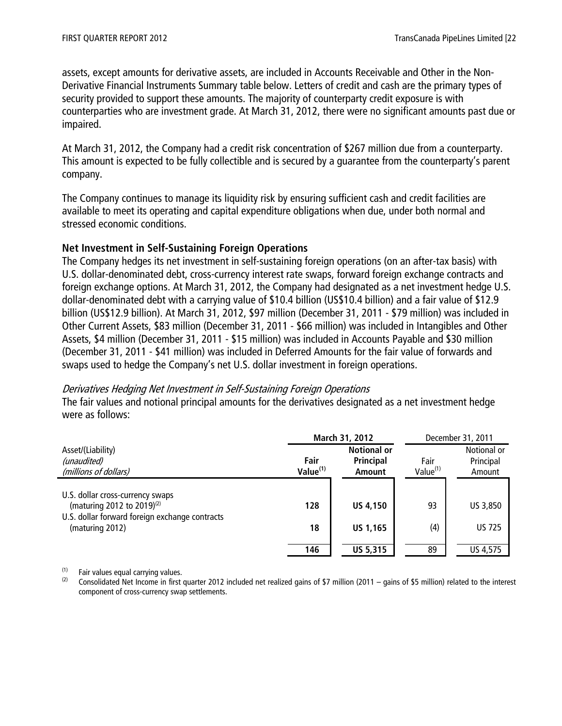assets, except amounts for derivative assets, are included in Accounts Receivable and Other in the Non-Derivative Financial Instruments Summary table below. Letters of credit and cash are the primary types of security provided to support these amounts. The majority of counterparty credit exposure is with counterparties who are investment grade. At March 31, 2012, there were no significant amounts past due or impaired.

At March 31, 2012, the Company had a credit risk concentration of \$267 million due from a counterparty. This amount is expected to be fully collectible and is secured by a guarantee from the counterparty's parent company.

The Company continues to manage its liquidity risk by ensuring sufficient cash and credit facilities are available to meet its operating and capital expenditure obligations when due, under both normal and stressed economic conditions.

## **Net Investment in Self-Sustaining Foreign Operations**

The Company hedges its net investment in self-sustaining foreign operations (on an after-tax basis) with U.S. dollar-denominated debt, cross-currency interest rate swaps, forward foreign exchange contracts and foreign exchange options. At March 31, 2012, the Company had designated as a net investment hedge U.S. dollar-denominated debt with a carrying value of \$10.4 billion (US\$10.4 billion) and a fair value of \$12.9 billion (US\$12.9 billion). At March 31, 2012, \$97 million (December 31, 2011 - \$79 million) was included in Other Current Assets, \$83 million (December 31, 2011 - \$66 million) was included in Intangibles and Other Assets, \$4 million (December 31, 2011 - \$15 million) was included in Accounts Payable and \$30 million (December 31, 2011 - \$41 million) was included in Deferred Amounts for the fair value of forwards and swaps used to hedge the Company's net U.S. dollar investment in foreign operations.

#### Derivatives Hedging Net Investment in Self-Sustaining Foreign Operations

The fair values and notional principal amounts for the derivatives designated as a net investment hedge were as follows:

|                                                                                                                              |                     | March 31, 2012                                   |                              | December 31, 2011                  |
|------------------------------------------------------------------------------------------------------------------------------|---------------------|--------------------------------------------------|------------------------------|------------------------------------|
| Asset/(Liability)<br>(unaudited)<br>(millions of dollars)                                                                    | Fair<br>Value $(1)$ | <b>Notional or</b><br>Principal<br><b>Amount</b> | Fair<br>Value <sup>(1)</sup> | Notional or<br>Principal<br>Amount |
| U.S. dollar cross-currency swaps<br>(maturing 2012 to 2019) <sup>(2)</sup><br>U.S. dollar forward foreign exchange contracts | 128                 | <b>US 4,150</b>                                  | 93                           | US 3,850                           |
| (maturing 2012)                                                                                                              | 18                  | <b>US 1,165</b>                                  | (4)                          | <b>US 725</b>                      |
|                                                                                                                              | 146                 | <b>US 5,315</b>                                  | 89                           | US 4,575                           |

# $(1)$  Fair values equal carrying values.<br> $(2)$  Consolidated Net Income in first

(2) Consolidated Net Income in first quarter 2012 included net realized gains of \$7 million (2011 – gains of \$5 million) related to the interest component of cross-currency swap settlements.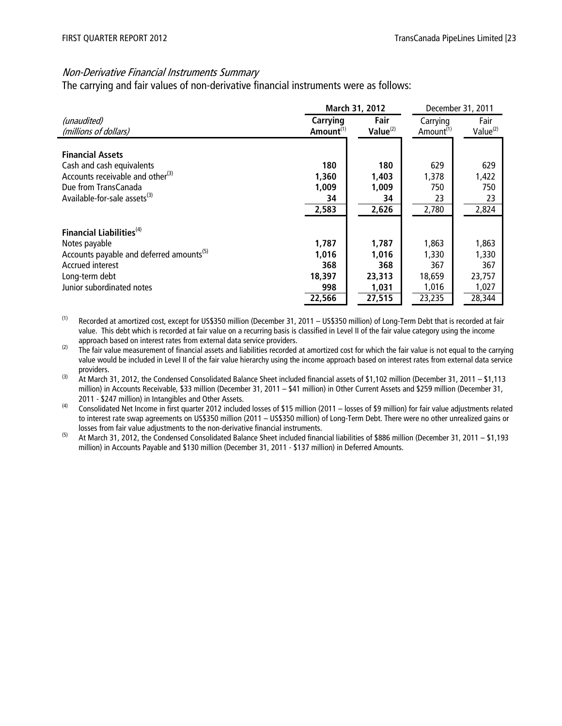#### Non-Derivative Financial Instruments Summary

The carrying and fair values of non-derivative financial instruments were as follows:

|                                                      | March 31, 2012        | December 31, 2011 |                       |             |
|------------------------------------------------------|-----------------------|-------------------|-----------------------|-------------|
| (unaudited)                                          | Carrying              | Fair              | Carrying              | Fair        |
| (millions of dollars)                                | Amount <sup>(1)</sup> | Value $(2)$       | Amount <sup>(1)</sup> | Value $(2)$ |
|                                                      |                       |                   |                       |             |
| <b>Financial Assets</b>                              |                       |                   |                       |             |
| Cash and cash equivalents                            | 180                   | 180               | 629                   | 629         |
| Accounts receivable and other <sup>(3)</sup>         | 1,360                 | 1,403             | 1,378                 | 1,422       |
| Due from TransCanada                                 | 1,009                 | 1,009             | 750                   | 750         |
| Available-for-sale assets <sup>(3)</sup>             | 34                    | 34                | 23                    | 23          |
|                                                      | 2,583                 | 2,626             | 2,780                 | 2,824       |
|                                                      |                       |                   |                       |             |
| Financial Liabilities <sup>(4)</sup>                 |                       |                   |                       |             |
| Notes payable                                        | 1,787                 | 1,787             | 1,863                 | 1,863       |
| Accounts payable and deferred amounts <sup>(5)</sup> | 1,016                 | 1,016             | 1,330                 | 1,330       |
| <b>Accrued interest</b>                              | 368                   | 368               | 367                   | 367         |
| Long-term debt                                       | 18,397                | 23,313            | 18,659                | 23,757      |
| Junior subordinated notes                            | 998                   | 1,031             | 1,016                 | 1,027       |
|                                                      | 22,566                | 27,515            | 23,235                | 28,344      |

(1) Recorded at amortized cost, except for US\$350 million (December 31, 2011 – US\$350 million) of Long-Term Debt that is recorded at fair value. This debt which is recorded at fair value on a recurring basis is classified in Level II of the fair value category using the income approach based on interest rates from external data service providers.

 $(2)$  The fair value measurement of financial assets and liabilities recorded at amortized cost for which the fair value is not equal to the carrying value would be included in Level II of the fair value hierarchy using the income approach based on interest rates from external data service providers.

 $^{(3)}$  At March 31, 2012, the Condensed Consolidated Balance Sheet included financial assets of \$1,102 million (December 31, 2011 – \$1,113 million) in Accounts Receivable, \$33 million (December 31, 2011 – \$41 million) in Other Current Assets and \$259 million (December 31, 2011 - \$247 million) in Intangibles and Other Assets.

<sup>(4)</sup> Consolidated Net Income in first quarter 2012 included losses of \$15 million (2011 – losses of \$9 million) for fair value adjustments related to interest rate swap agreements on US\$350 million (2011 – US\$350 million) of Long-Term Debt. There were no other unrealized gains or losses from fair value adjustments to the non-derivative financial instruments.

<sup>(5)</sup> At March 31, 2012, the Condensed Consolidated Balance Sheet included financial liabilities of \$886 million (December 31, 2011 – \$1,193 million) in Accounts Payable and \$130 million (December 31, 2011 - \$137 million) in Deferred Amounts.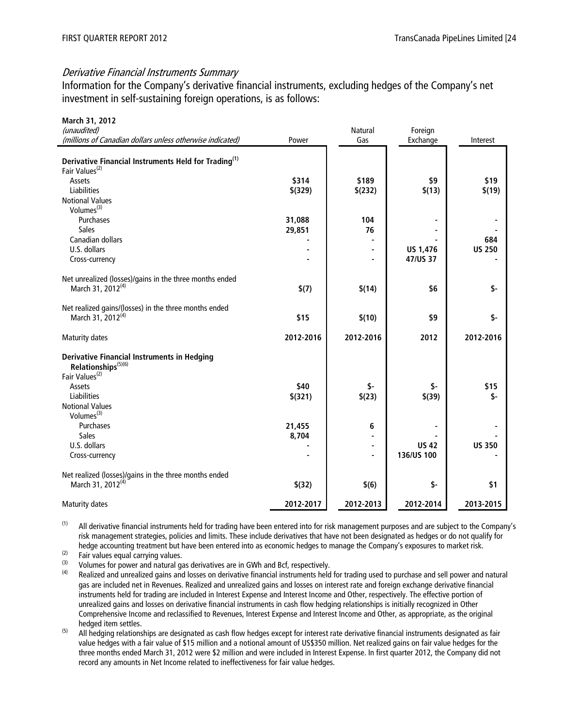#### Derivative Financial Instruments Summary

Information for the Company's derivative financial instruments, excluding hedges of the Company's net investment in self-sustaining foreign operations, is as follows:

| March 31, 2012                                                                        |           | Natural        |                     |               |
|---------------------------------------------------------------------------------------|-----------|----------------|---------------------|---------------|
| (unaudited)<br>(millions of Canadian dollars unless otherwise indicated)              | Power     | Gas            | Foreign<br>Exchange | Interest      |
|                                                                                       |           |                |                     |               |
| Derivative Financial Instruments Held for Trading <sup>(1)</sup>                      |           |                |                     |               |
| Fair Values <sup>(2)</sup>                                                            |           |                |                     |               |
| Assets                                                                                | \$314     | \$189          | \$9                 | \$19          |
| <b>Liabilities</b>                                                                    | \$(329)   | \$(232)        | \$(13)              | \$(19)        |
| <b>Notional Values</b>                                                                |           |                |                     |               |
| Volumes <sup>(3)</sup>                                                                |           |                |                     |               |
| Purchases                                                                             | 31,088    | 104            |                     |               |
| Sales                                                                                 | 29,851    | 76             |                     |               |
| Canadian dollars                                                                      |           |                |                     | 684           |
| U.S. dollars                                                                          |           |                | US 1,476            | <b>US 250</b> |
| Cross-currency                                                                        |           |                | 47/US 37            |               |
| Net unrealized (losses)/gains in the three months ended                               |           |                |                     |               |
| March 31, 2012 <sup>(4)</sup>                                                         | \$(7)     | \$(14)         | \$6                 | $$-$          |
|                                                                                       |           |                |                     |               |
| Net realized gains/(losses) in the three months ended                                 |           |                |                     |               |
| March 31, 2012 <sup>(4)</sup>                                                         | \$15      | \$(10)         | \$9                 | \$-           |
| <b>Maturity dates</b>                                                                 | 2012-2016 | 2012-2016      | 2012                | 2012-2016     |
|                                                                                       |           |                |                     |               |
| <b>Derivative Financial Instruments in Hedging</b><br>Relationships <sup>(5)(6)</sup> |           |                |                     |               |
| Fair Values <sup>(2)</sup>                                                            |           |                |                     |               |
| Assets                                                                                | \$40      | \$-            | \$-                 | \$15          |
| <b>Liabilities</b>                                                                    | \$(321)   | \$(23)         | \$(39)              | $S-$          |
| <b>Notional Values</b>                                                                |           |                |                     |               |
| Volumes <sup>(3)</sup>                                                                |           |                |                     |               |
| Purchases                                                                             | 21,455    | 6              |                     |               |
| <b>Sales</b>                                                                          | 8,704     |                |                     |               |
| U.S. dollars                                                                          |           | $\blacksquare$ | <b>US 42</b>        | <b>US 350</b> |
| Cross-currency                                                                        |           |                | 136/US 100          |               |
| Net realized (losses)/gains in the three months ended                                 |           |                |                     |               |
| March 31, 2012 <sup>(4)</sup>                                                         | \$(32)    | \$(6)          | \$-                 | \$1           |
|                                                                                       |           |                |                     |               |
| Maturity dates                                                                        | 2012-2017 | 2012-2013      | 2012-2014           | 2013-2015     |

(1) All derivative financial instruments held for trading have been entered into for risk management purposes and are subject to the Company's risk management strategies, policies and limits. These include derivatives that have not been designated as hedges or do not qualify for hedge accounting treatment but have been entered into as economic hedges to manage the Company's exposures to market risk.

 $\frac{1}{2}$  Fair values equal carrying values.

 $\frac{(3)}{(4)}$  Volumes for power and natural gas derivatives are in GWh and Bcf, respectively.

Realized and unrealized gains and losses on derivative financial instruments held for trading used to purchase and sell power and natural gas are included net in Revenues. Realized and unrealized gains and losses on interest rate and foreign exchange derivative financial instruments held for trading are included in Interest Expense and Interest Income and Other, respectively. The effective portion of unrealized gains and losses on derivative financial instruments in cash flow hedging relationships is initially recognized in Other Comprehensive Income and reclassified to Revenues, Interest Expense and Interest Income and Other, as appropriate, as the original hedged item settles.

(5) All hedging relationships are designated as cash flow hedges except for interest rate derivative financial instruments designated as fair value hedges with a fair value of \$15 million and a notional amount of US\$350 million. Net realized gains on fair value hedges for the three months ended March 31, 2012 were \$2 million and were included in Interest Expense. In first quarter 2012, the Company did not record any amounts in Net Income related to ineffectiveness for fair value hedges.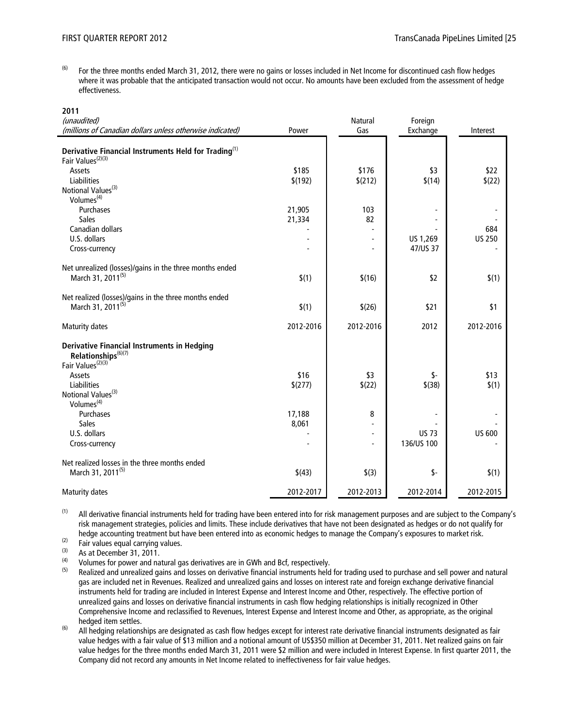$^{(6)}$  For the three months ended March 31, 2012, there were no gains or losses included in Net Income for discontinued cash flow hedges where it was probable that the anticipated transaction would not occur. No amounts have been excluded from the assessment of hedge effectiveness.

#### **2011**

| (unaudited)                                                      |           | Natural        | Foreign                  |                          |
|------------------------------------------------------------------|-----------|----------------|--------------------------|--------------------------|
| (millions of Canadian dollars unless otherwise indicated)        | Power     | Gas            | Exchange                 | Interest                 |
| Derivative Financial Instruments Held for Trading <sup>(1)</sup> |           |                |                          |                          |
| Fair Values <sup>(2)(3)</sup>                                    |           |                |                          |                          |
| Assets                                                           | \$185     | \$176          | \$3                      | \$22                     |
| Liabilities                                                      | \$(192)   | \$(212)        | \$(14)                   | \$(22)                   |
| Notional Values <sup>(3)</sup>                                   |           |                |                          |                          |
| Volumes <sup>(4)</sup>                                           |           |                |                          |                          |
| Purchases                                                        | 21,905    | 103            | $\overline{\phantom{a}}$ | ÷,                       |
| <b>Sales</b>                                                     | 21,334    | 82             |                          |                          |
| Canadian dollars                                                 |           |                |                          | 684                      |
| U.S. dollars                                                     |           | $\overline{a}$ | US 1,269                 | <b>US 250</b>            |
| Cross-currency                                                   |           | $\overline{a}$ | 47/US 37                 |                          |
| Net unrealized (losses)/gains in the three months ended          |           |                |                          |                          |
| March 31, 2011 <sup>(5)</sup>                                    | \$(1)     | \$(16)         | \$2                      | \$(1)                    |
|                                                                  |           |                |                          |                          |
| Net realized (losses)/gains in the three months ended            |           |                |                          |                          |
| March 31, 2011 <sup>(5)</sup>                                    | \$(1)     | \$(26)         | \$21                     | \$1                      |
|                                                                  |           |                |                          |                          |
| Maturity dates                                                   | 2012-2016 | 2012-2016      | 2012                     | 2012-2016                |
| <b>Derivative Financial Instruments in Hedging</b>               |           |                |                          |                          |
| Relationships $^{(6)(7)}$                                        |           |                |                          |                          |
| Fair Values <sup>(2)(3)</sup>                                    |           |                |                          |                          |
| Assets                                                           | \$16      | \$3            | $\frac{1}{2}$            | \$13                     |
| Liabilities                                                      | \$(277)   | \$(22)         | $$$ (38)                 | \$(1)                    |
| Notional Values <sup>(3)</sup>                                   |           |                |                          |                          |
| Volumes <sup>(4)</sup>                                           |           |                |                          |                          |
| Purchases                                                        | 17,188    | 8              |                          | $\overline{\phantom{a}}$ |
| Sales                                                            | 8,061     | $\overline{a}$ |                          |                          |
| U.S. dollars                                                     |           | $\overline{a}$ | <b>US 73</b>             | <b>US 600</b>            |
| Cross-currency                                                   |           | $\overline{a}$ | 136/US 100               |                          |
| Net realized losses in the three months ended                    |           |                |                          |                          |
| March 31, 2011 <sup>(5)</sup>                                    | \$(43)    | \$(3)          | \$-                      | \$(1)                    |
|                                                                  |           |                |                          |                          |
| <b>Maturity dates</b>                                            | 2012-2017 | 2012-2013      | 2012-2014                | 2012-2015                |

<sup>(1)</sup> All derivative financial instruments held for trading have been entered into for risk management purposes and are subject to the Company's risk management strategies, policies and limits. These include derivatives that have not been designated as hedges or do not qualify for hedge accounting treatment but have been entered into as economic hedges to manage the Company's exposures to market risk.

(2) Fair values equal carrying values.<br> $(3)$  As at December 21, 2011.

 $^{(3)}$  As at December 31, 2011.

(4) Volumes for power and natural gas derivatives are in GWh and Bcf, respectively.<br>(5) Poolized and unrealized gains and losses on derivative financial instruments hald

- Realized and unrealized gains and losses on derivative financial instruments held for trading used to purchase and sell power and natural gas are included net in Revenues. Realized and unrealized gains and losses on interest rate and foreign exchange derivative financial instruments held for trading are included in Interest Expense and Interest Income and Other, respectively. The effective portion of unrealized gains and losses on derivative financial instruments in cash flow hedging relationships is initially recognized in Other Comprehensive Income and reclassified to Revenues, Interest Expense and Interest Income and Other, as appropriate, as the original hedged item settles.
- <sup>(6)</sup> All hedging relationships are designated as cash flow hedges except for interest rate derivative financial instruments designated as fair value hedges with a fair value of \$13 million and a notional amount of US\$350 million at December 31, 2011. Net realized gains on fair value hedges for the three months ended March 31, 2011 were \$2 million and were included in Interest Expense. In first quarter 2011, the Company did not record any amounts in Net Income related to ineffectiveness for fair value hedges.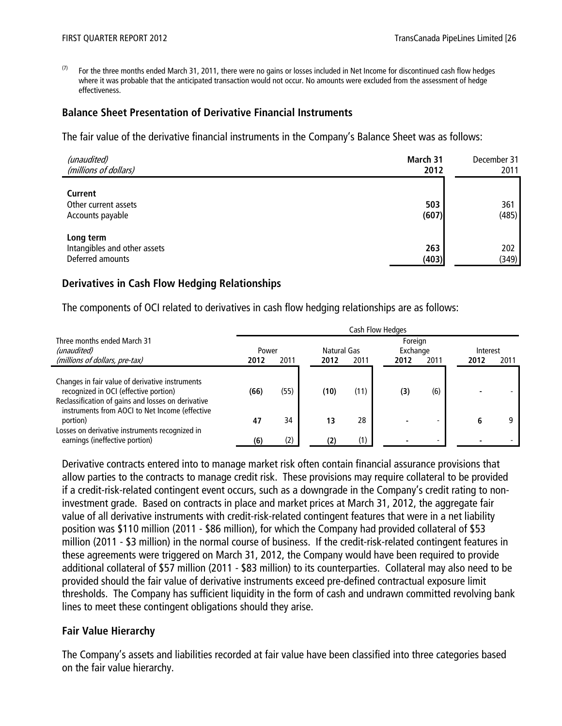$(7)$  For the three months ended March 31, 2011, there were no gains or losses included in Net Income for discontinued cash flow hedges where it was probable that the anticipated transaction would not occur. No amounts were excluded from the assessment of hedge effectiveness.

#### **Balance Sheet Presentation of Derivative Financial Instruments**

The fair value of the derivative financial instruments in the Company's Balance Sheet was as follows:

| (unaudited)<br>(millions of dollars)                          | March 31<br>2012 | December 31<br>2011 |
|---------------------------------------------------------------|------------------|---------------------|
| Current<br>Other current assets<br>Accounts payable           | 503<br>(607)     | 361<br>(485)        |
| Long term<br>Intangibles and other assets<br>Deferred amounts | 263<br>(403)     | 202<br>(349)        |

#### **Derivatives in Cash Flow Hedging Relationships**

The components of OCI related to derivatives in cash flow hedging relationships are as follows:

|                                                                                                                                                                                                  |         |      |             |      | Cash Flow Hedges |      |          |      |
|--------------------------------------------------------------------------------------------------------------------------------------------------------------------------------------------------|---------|------|-------------|------|------------------|------|----------|------|
| Three months ended March 31                                                                                                                                                                      | Foreign |      |             |      |                  |      |          |      |
| (unaudited)                                                                                                                                                                                      | Power   |      | Natural Gas |      | Exchange         |      | Interest |      |
| (millions of dollars, pre-tax)                                                                                                                                                                   | 2012    | 2011 | 2012        | 2011 | 2012             | 2011 | 2012     | 2011 |
| Changes in fair value of derivative instruments<br>recognized in OCI (effective portion)<br>Reclassification of gains and losses on derivative<br>instruments from AOCI to Net Income (effective | (66)    | (55) | (10)        | (11) | (3)              | (6)  |          |      |
| portion)                                                                                                                                                                                         | 47      | 34   | 13          | 28   |                  |      | 6        |      |
| Losses on derivative instruments recognized in<br>earnings (ineffective portion)                                                                                                                 | (6)     | (2)  | (2)         |      |                  |      |          |      |

Derivative contracts entered into to manage market risk often contain financial assurance provisions that allow parties to the contracts to manage credit risk. These provisions may require collateral to be provided if a credit-risk-related contingent event occurs, such as a downgrade in the Company's credit rating to noninvestment grade. Based on contracts in place and market prices at March 31, 2012, the aggregate fair value of all derivative instruments with credit-risk-related contingent features that were in a net liability position was \$110 million (2011 - \$86 million), for which the Company had provided collateral of \$53 million (2011 - \$3 million) in the normal course of business. If the credit-risk-related contingent features in these agreements were triggered on March 31, 2012, the Company would have been required to provide additional collateral of \$57 million (2011 - \$83 million) to its counterparties. Collateral may also need to be provided should the fair value of derivative instruments exceed pre-defined contractual exposure limit thresholds. The Company has sufficient liquidity in the form of cash and undrawn committed revolving bank lines to meet these contingent obligations should they arise.

#### **Fair Value Hierarchy**

The Company's assets and liabilities recorded at fair value have been classified into three categories based on the fair value hierarchy.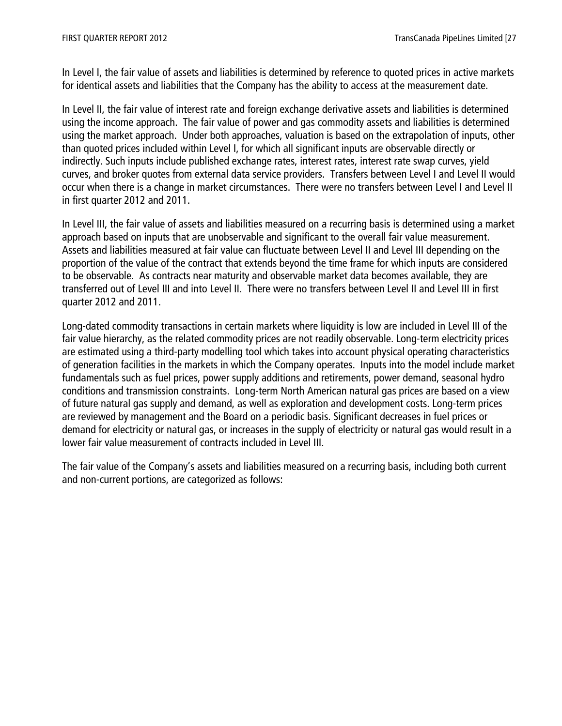In Level I, the fair value of assets and liabilities is determined by reference to quoted prices in active markets for identical assets and liabilities that the Company has the ability to access at the measurement date.

In Level II, the fair value of interest rate and foreign exchange derivative assets and liabilities is determined using the income approach. The fair value of power and gas commodity assets and liabilities is determined using the market approach. Under both approaches, valuation is based on the extrapolation of inputs, other than quoted prices included within Level I, for which all significant inputs are observable directly or indirectly. Such inputs include published exchange rates, interest rates, interest rate swap curves, yield curves, and broker quotes from external data service providers. Transfers between Level I and Level II would occur when there is a change in market circumstances. There were no transfers between Level I and Level II in first quarter 2012 and 2011.

In Level III, the fair value of assets and liabilities measured on a recurring basis is determined using a market approach based on inputs that are unobservable and significant to the overall fair value measurement. Assets and liabilities measured at fair value can fluctuate between Level II and Level III depending on the proportion of the value of the contract that extends beyond the time frame for which inputs are considered to be observable. As contracts near maturity and observable market data becomes available, they are transferred out of Level III and into Level II. There were no transfers between Level II and Level III in first quarter 2012 and 2011.

Long-dated commodity transactions in certain markets where liquidity is low are included in Level III of the fair value hierarchy, as the related commodity prices are not readily observable. Long-term electricity prices are estimated using a third-party modelling tool which takes into account physical operating characteristics of generation facilities in the markets in which the Company operates. Inputs into the model include market fundamentals such as fuel prices, power supply additions and retirements, power demand, seasonal hydro conditions and transmission constraints. Long-term North American natural gas prices are based on a view of future natural gas supply and demand, as well as exploration and development costs. Long-term prices are reviewed by management and the Board on a periodic basis. Significant decreases in fuel prices or demand for electricity or natural gas, or increases in the supply of electricity or natural gas would result in a lower fair value measurement of contracts included in Level III.

The fair value of the Company's assets and liabilities measured on a recurring basis, including both current and non-current portions, are categorized as follows: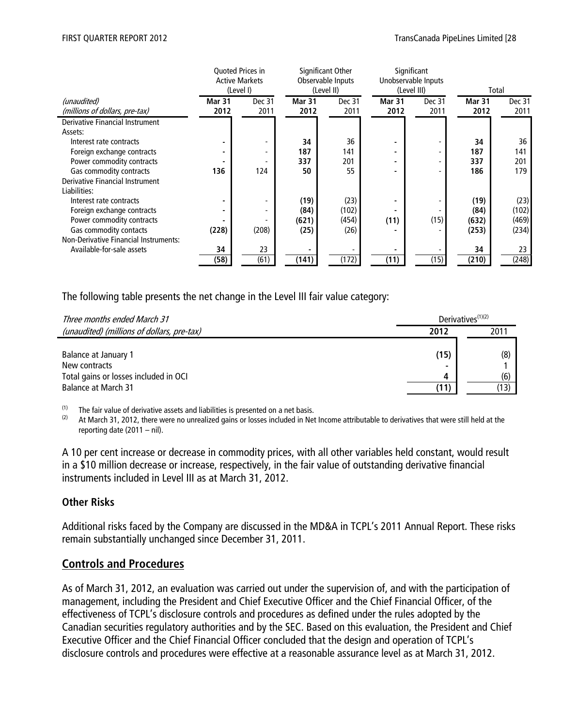|                                              |               | Quoted Prices in<br><b>Active Markets</b> |               | Significant Other<br>Observable Inputs |               | Significant<br>Unobservable Inputs |               |        |
|----------------------------------------------|---------------|-------------------------------------------|---------------|----------------------------------------|---------------|------------------------------------|---------------|--------|
|                                              |               | (Level I)                                 |               | (Level II)                             |               | (Level III)                        |               | Total  |
| (unaudited)                                  | <b>Mar 31</b> | Dec 31                                    | <b>Mar 31</b> | Dec 31                                 | <b>Mar 31</b> | Dec 31                             | <b>Mar 31</b> | Dec 31 |
| (millions of dollars, pre-tax)               | 2012          | 2011                                      | 2012          | 2011                                   | 2012          | 2011                               | 2012          | 2011   |
| Derivative Financial Instrument              |               |                                           |               |                                        |               |                                    |               |        |
| Assets:                                      |               |                                           |               |                                        |               |                                    |               |        |
| Interest rate contracts                      |               |                                           | 34            | 36                                     |               |                                    | 34            | 36     |
| Foreign exchange contracts                   |               |                                           | 187           | 141                                    |               |                                    | 187           | 141    |
| Power commodity contracts                    |               |                                           | 337           | 201                                    |               |                                    | 337           | 201    |
| Gas commodity contracts                      | 136           | 124                                       | 50            | 55                                     |               |                                    | 186           | 179    |
| <b>Derivative Financial Instrument</b>       |               |                                           |               |                                        |               |                                    |               |        |
| Liabilities:                                 |               |                                           |               |                                        |               |                                    |               |        |
| Interest rate contracts                      |               |                                           | (19)          | (23)                                   |               |                                    | (19)          | (23)   |
| Foreign exchange contracts                   |               |                                           | (84)          | (102)                                  |               |                                    | (84)          | (102)  |
| Power commodity contracts                    |               |                                           | (621)         | (454)                                  | (11)          | (15)                               | (632)         | (469)  |
| Gas commodity contacts                       | (228)         | (208)                                     | (25)          | (26)                                   |               |                                    | (253)         | (234)  |
| <b>Non-Derivative Financial Instruments:</b> |               |                                           |               |                                        |               |                                    |               |        |
| Available-for-sale assets                    | 34            | 23                                        |               |                                        |               |                                    | 34            | 23     |
|                                              | (58)          | (61)                                      | (141)         | (172)                                  | (11)          | (15)                               | (210)         | (248)  |

The following table presents the net change in the Level III fair value category:

| Three months ended March 31                                                                                         |      | Derivatives <sup>(1)(2)</sup> |  |
|---------------------------------------------------------------------------------------------------------------------|------|-------------------------------|--|
| (unaudited) (millions of dollars, pre-tax)                                                                          | 2012 | 2011                          |  |
| <b>Balance at January 1</b><br>New contracts<br>Total gains or losses included in OCI<br><b>Balance at March 31</b> | (15) | (8)<br>(6)<br>(13)            |  |

(1) The fair value of derivative assets and liabilities is presented on a net basis.

At March 31, 2012, there were no unrealized gains or losses included in Net Income attributable to derivatives that were still held at the reporting date (2011 – nil).

A 10 per cent increase or decrease in commodity prices, with all other variables held constant, would result in a \$10 million decrease or increase, respectively, in the fair value of outstanding derivative financial instruments included in Level III as at March 31, 2012.

#### **Other Risks**

Additional risks faced by the Company are discussed in the MD&A in TCPL's 2011 Annual Report. These risks remain substantially unchanged since December 31, 2011.

#### **Controls and Procedures**

As of March 31, 2012, an evaluation was carried out under the supervision of, and with the participation of management, including the President and Chief Executive Officer and the Chief Financial Officer, of the effectiveness of TCPL's disclosure controls and procedures as defined under the rules adopted by the Canadian securities regulatory authorities and by the SEC. Based on this evaluation, the President and Chief Executive Officer and the Chief Financial Officer concluded that the design and operation of TCPL's disclosure controls and procedures were effective at a reasonable assurance level as at March 31, 2012.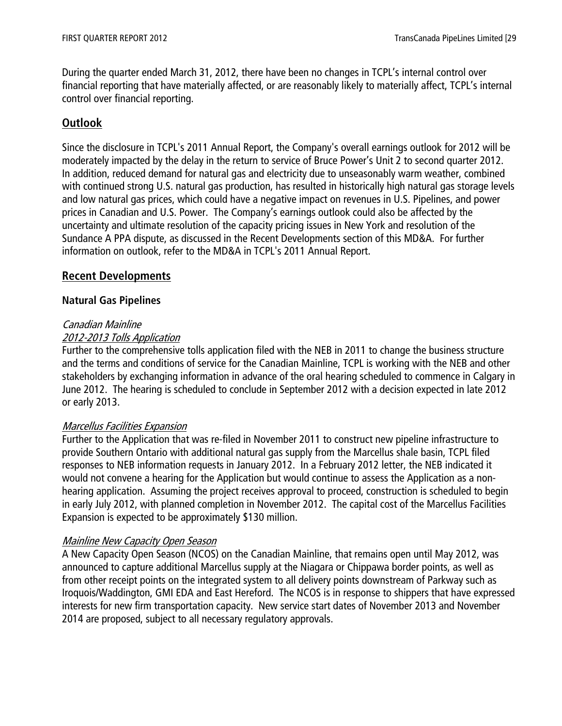During the quarter ended March 31, 2012, there have been no changes in TCPL's internal control over financial reporting that have materially affected, or are reasonably likely to materially affect, TCPL's internal control over financial reporting.

# **Outlook**

Since the disclosure in TCPL's 2011 Annual Report, the Company's overall earnings outlook for 2012 will be moderately impacted by the delay in the return to service of Bruce Power's Unit 2 to second quarter 2012. In addition, reduced demand for natural gas and electricity due to unseasonably warm weather, combined with continued strong U.S. natural gas production, has resulted in historically high natural gas storage levels and low natural gas prices, which could have a negative impact on revenues in U.S. Pipelines, and power prices in Canadian and U.S. Power. The Company's earnings outlook could also be affected by the uncertainty and ultimate resolution of the capacity pricing issues in New York and resolution of the Sundance A PPA dispute, as discussed in the Recent Developments section of this MD&A. For further information on outlook, refer to the MD&A in TCPL's 2011 Annual Report.

# **Recent Developments**

## **Natural Gas Pipelines**

#### Canadian Mainline

#### 2012-2013 Tolls Application

Further to the comprehensive tolls application filed with the NEB in 2011 to change the business structure and the terms and conditions of service for the Canadian Mainline, TCPL is working with the NEB and other stakeholders by exchanging information in advance of the oral hearing scheduled to commence in Calgary in June 2012. The hearing is scheduled to conclude in September 2012 with a decision expected in late 2012 or early 2013.

#### Marcellus Facilities Expansion

Further to the Application that was re-filed in November 2011 to construct new pipeline infrastructure to provide Southern Ontario with additional natural gas supply from the Marcellus shale basin, TCPL filed responses to NEB information requests in January 2012. In a February 2012 letter, the NEB indicated it would not convene a hearing for the Application but would continue to assess the Application as a nonhearing application. Assuming the project receives approval to proceed, construction is scheduled to begin in early July 2012, with planned completion in November 2012. The capital cost of the Marcellus Facilities Expansion is expected to be approximately \$130 million.

#### Mainline New Capacity Open Season

A New Capacity Open Season (NCOS) on the Canadian Mainline, that remains open until May 2012, was announced to capture additional Marcellus supply at the Niagara or Chippawa border points, as well as from other receipt points on the integrated system to all delivery points downstream of Parkway such as Iroquois/Waddington, GMI EDA and East Hereford. The NCOS is in response to shippers that have expressed interests for new firm transportation capacity. New service start dates of November 2013 and November 2014 are proposed, subject to all necessary regulatory approvals.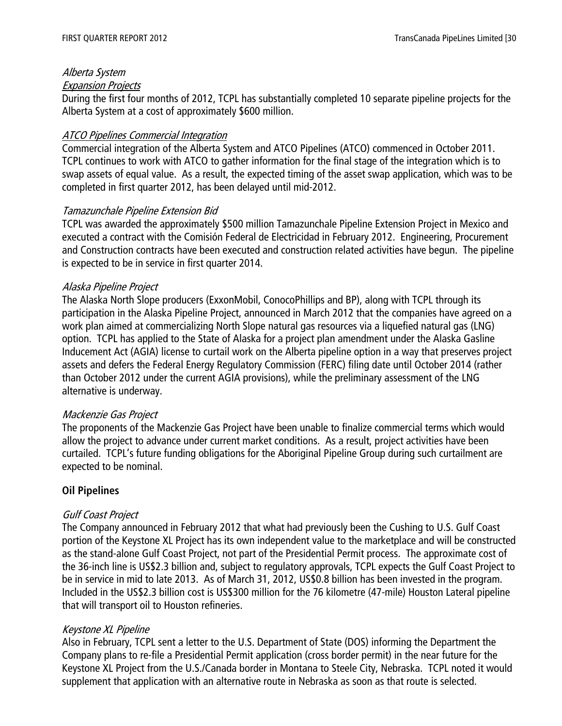# Alberta System

#### Expansion Projects

During the first four months of 2012, TCPL has substantially completed 10 separate pipeline projects for the Alberta System at a cost of approximately \$600 million.

#### ATCO Pipelines Commercial Integration

Commercial integration of the Alberta System and ATCO Pipelines (ATCO) commenced in October 2011. TCPL continues to work with ATCO to gather information for the final stage of the integration which is to swap assets of equal value. As a result, the expected timing of the asset swap application, which was to be completed in first quarter 2012, has been delayed until mid-2012.

#### Tamazunchale Pipeline Extension Bid

TCPL was awarded the approximately \$500 million Tamazunchale Pipeline Extension Project in Mexico and executed a contract with the Comisión Federal de Electricidad in February 2012. Engineering, Procurement and Construction contracts have been executed and construction related activities have begun. The pipeline is expected to be in service in first quarter 2014.

#### Alaska Pipeline Project

The Alaska North Slope producers (ExxonMobil, ConocoPhillips and BP), along with TCPL through its participation in the Alaska Pipeline Project, announced in March 2012 that the companies have agreed on a work plan aimed at commercializing North Slope natural gas resources via a liquefied natural gas (LNG) option. TCPL has applied to the State of Alaska for a project plan amendment under the Alaska Gasline Inducement Act (AGIA) license to curtail work on the Alberta pipeline option in a way that preserves project assets and defers the Federal Energy Regulatory Commission (FERC) filing date until October 2014 (rather than October 2012 under the current AGIA provisions), while the preliminary assessment of the LNG alternative is underway.

#### Mackenzie Gas Project

The proponents of the Mackenzie Gas Project have been unable to finalize commercial terms which would allow the project to advance under current market conditions. As a result, project activities have been curtailed. TCPL's future funding obligations for the Aboriginal Pipeline Group during such curtailment are expected to be nominal.

#### **Oil Pipelines**

#### Gulf Coast Project

The Company announced in February 2012 that what had previously been the Cushing to U.S. Gulf Coast portion of the Keystone XL Project has its own independent value to the marketplace and will be constructed as the stand-alone Gulf Coast Project, not part of the Presidential Permit process. The approximate cost of the 36-inch line is US\$2.3 billion and, subject to regulatory approvals, TCPL expects the Gulf Coast Project to be in service in mid to late 2013. As of March 31, 2012, US\$0.8 billion has been invested in the program. Included in the US\$2.3 billion cost is US\$300 million for the 76 kilometre (47-mile) Houston Lateral pipeline that will transport oil to Houston refineries.

#### Keystone XL Pipeline

Also in February, TCPL sent a letter to the U.S. Department of State (DOS) informing the Department the Company plans to re-file a Presidential Permit application (cross border permit) in the near future for the Keystone XL Project from the U.S./Canada border in Montana to Steele City, Nebraska. TCPL noted it would supplement that application with an alternative route in Nebraska as soon as that route is selected.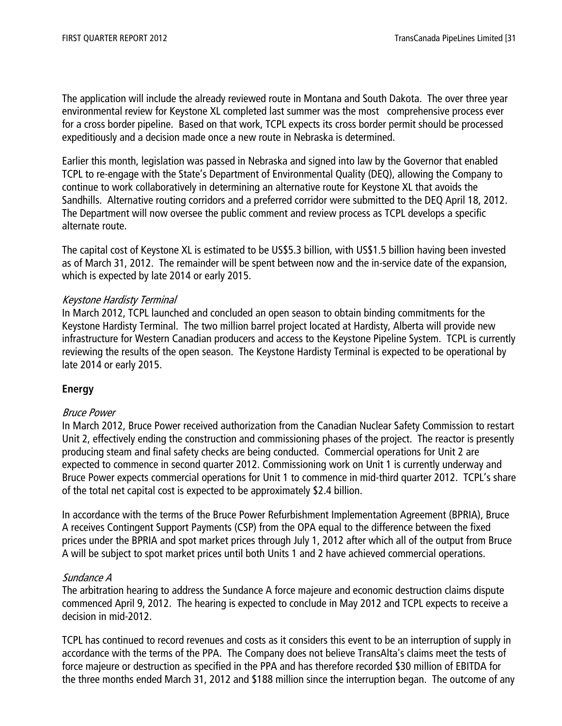The application will include the already reviewed route in Montana and South Dakota. The over three year environmental review for Keystone XL completed last summer was the most comprehensive process ever for a cross border pipeline. Based on that work, TCPL expects its cross border permit should be processed expeditiously and a decision made once a new route in Nebraska is determined.

Earlier this month, legislation was passed in Nebraska and signed into law by the Governor that enabled TCPL to re-engage with the State's Department of Environmental Quality (DEQ), allowing the Company to continue to work collaboratively in determining an alternative route for Keystone XL that avoids the Sandhills. Alternative routing corridors and a preferred corridor were submitted to the DEQ April 18, 2012. The Department will now oversee the public comment and review process as TCPL develops a specific alternate route.

The capital cost of Keystone XL is estimated to be US\$5.3 billion, with US\$1.5 billion having been invested as of March 31, 2012. The remainder will be spent between now and the in-service date of the expansion, which is expected by late 2014 or early 2015.

#### Keystone Hardisty Terminal

In March 2012, TCPL launched and concluded an open season to obtain binding commitments for the Keystone Hardisty Terminal. The two million barrel project located at Hardisty, Alberta will provide new infrastructure for Western Canadian producers and access to the Keystone Pipeline System. TCPL is currently reviewing the results of the open season. The Keystone Hardisty Terminal is expected to be operational by late 2014 or early 2015.

# **Energy**

#### Bruce Power

In March 2012, Bruce Power received authorization from the Canadian Nuclear Safety Commission to restart Unit 2, effectively ending the construction and commissioning phases of the project. The reactor is presently producing steam and final safety checks are being conducted. Commercial operations for Unit 2 are expected to commence in second quarter 2012. Commissioning work on Unit 1 is currently underway and Bruce Power expects commercial operations for Unit 1 to commence in mid-third quarter 2012. TCPL's share of the total net capital cost is expected to be approximately \$2.4 billion.

In accordance with the terms of the Bruce Power Refurbishment Implementation Agreement (BPRIA), Bruce A receives Contingent Support Payments (CSP) from the OPA equal to the difference between the fixed prices under the BPRIA and spot market prices through July 1, 2012 after which all of the output from Bruce A will be subject to spot market prices until both Units 1 and 2 have achieved commercial operations.

#### Sundance A

The arbitration hearing to address the Sundance A force majeure and economic destruction claims dispute commenced April 9, 2012. The hearing is expected to conclude in May 2012 and TCPL expects to receive a decision in mid-2012.

TCPL has continued to record revenues and costs as it considers this event to be an interruption of supply in accordance with the terms of the PPA. The Company does not believe TransAlta's claims meet the tests of force majeure or destruction as specified in the PPA and has therefore recorded \$30 million of EBITDA for the three months ended March 31, 2012 and \$188 million since the interruption began. The outcome of any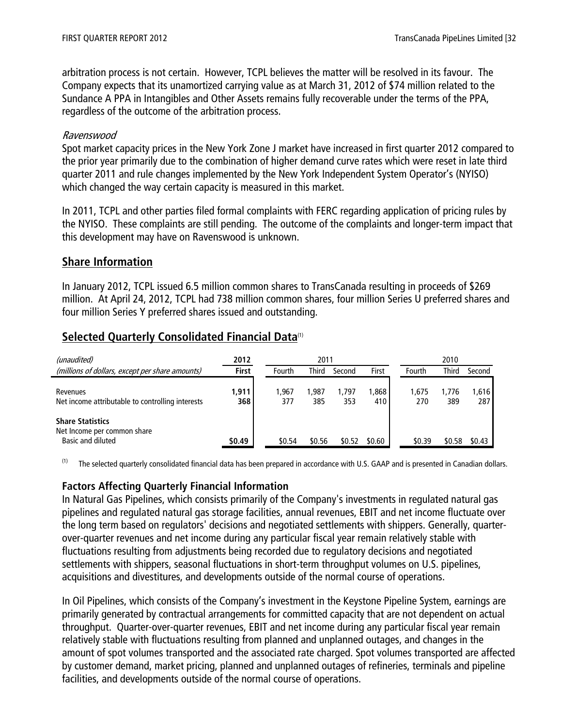arbitration process is not certain. However, TCPL believes the matter will be resolved in its favour. The Company expects that its unamortized carrying value as at March 31, 2012 of \$74 million related to the Sundance A PPA in Intangibles and Other Assets remains fully recoverable under the terms of the PPA, regardless of the outcome of the arbitration process.

#### Ravenswood

Spot market capacity prices in the New York Zone J market have increased in first quarter 2012 compared to the prior year primarily due to the combination of higher demand curve rates which were reset in late third quarter 2011 and rule changes implemented by the New York Independent System Operator's (NYISO) which changed the way certain capacity is measured in this market.

In 2011, TCPL and other parties filed formal complaints with FERC regarding application of pricing rules by the NYISO. These complaints are still pending. The outcome of the complaints and longer-term impact that this development may have on Ravenswood is unknown.

## **Share Information**

In January 2012, TCPL issued 6.5 million common shares to TransCanada resulting in proceeds of \$269 million. At April 24, 2012, TCPL had 738 million common shares, four million Series U preferred shares and four million Series Y preferred shares issued and outstanding.

# **Selected Quarterly Consolidated Financial Data**(1)

| (unaudited)                                                                 | 2012         |              | 2011         |              |              |              | 2010         |              |
|-----------------------------------------------------------------------------|--------------|--------------|--------------|--------------|--------------|--------------|--------------|--------------|
| (millions of dollars, except per share amounts)                             | <b>First</b> | Fourth       | Third        | Second       | First        | Fourth       | <b>Third</b> | Second       |
| Revenues<br>Net income attributable to controlling interests                | 1,911<br>368 | 1,967<br>377 | 1.987<br>385 | 1.797<br>353 | 1,868<br>410 | 1.675<br>270 | 1.776<br>389 | 1,616<br>287 |
| <b>Share Statistics</b><br>Net Income per common share<br>Basic and diluted | \$0.49       | \$0.54       | \$0.56       | \$0.52       | \$0.60       | \$0.39       | \$0.58       | \$0.43       |

<sup>(1)</sup> The selected quarterly consolidated financial data has been prepared in accordance with U.S. GAAP and is presented in Canadian dollars.

#### **Factors Affecting Quarterly Financial Information**

In Natural Gas Pipelines, which consists primarily of the Company's investments in regulated natural gas pipelines and regulated natural gas storage facilities, annual revenues, EBIT and net income fluctuate over the long term based on regulators' decisions and negotiated settlements with shippers. Generally, quarterover-quarter revenues and net income during any particular fiscal year remain relatively stable with fluctuations resulting from adjustments being recorded due to regulatory decisions and negotiated settlements with shippers, seasonal fluctuations in short-term throughput volumes on U.S. pipelines, acquisitions and divestitures, and developments outside of the normal course of operations.

In Oil Pipelines, which consists of the Company's investment in the Keystone Pipeline System, earnings are primarily generated by contractual arrangements for committed capacity that are not dependent on actual throughput. Quarter-over-quarter revenues, EBIT and net income during any particular fiscal year remain relatively stable with fluctuations resulting from planned and unplanned outages, and changes in the amount of spot volumes transported and the associated rate charged. Spot volumes transported are affected by customer demand, market pricing, planned and unplanned outages of refineries, terminals and pipeline facilities, and developments outside of the normal course of operations.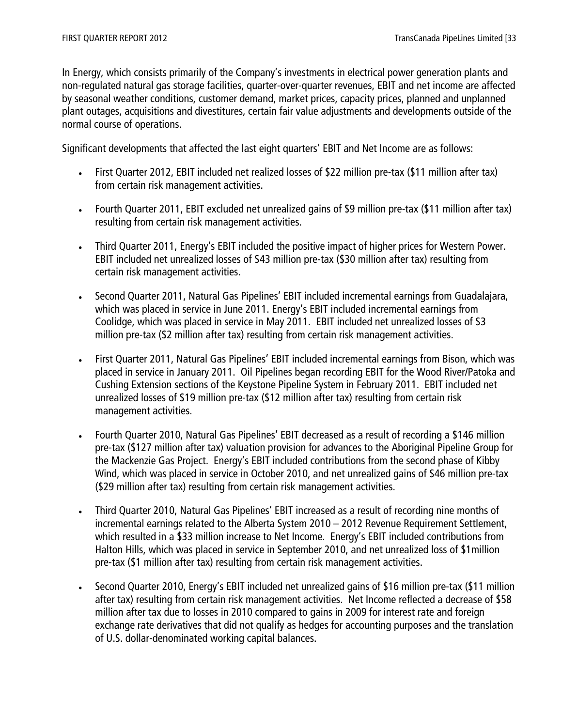In Energy, which consists primarily of the Company's investments in electrical power generation plants and non-regulated natural gas storage facilities, quarter-over-quarter revenues, EBIT and net income are affected by seasonal weather conditions, customer demand, market prices, capacity prices, planned and unplanned plant outages, acquisitions and divestitures, certain fair value adjustments and developments outside of the normal course of operations.

Significant developments that affected the last eight quarters' EBIT and Net Income are as follows:

- First Quarter 2012, EBIT included net realized losses of \$22 million pre-tax (\$11 million after tax) from certain risk management activities.
- Fourth Quarter 2011, EBIT excluded net unrealized gains of \$9 million pre-tax (\$11 million after tax) resulting from certain risk management activities.
- Third Quarter 2011, Energy's EBIT included the positive impact of higher prices for Western Power. EBIT included net unrealized losses of \$43 million pre-tax (\$30 million after tax) resulting from certain risk management activities.
- Second Quarter 2011, Natural Gas Pipelines' EBIT included incremental earnings from Guadalajara, which was placed in service in June 2011. Energy's EBIT included incremental earnings from Coolidge, which was placed in service in May 2011. EBIT included net unrealized losses of \$3 million pre-tax (\$2 million after tax) resulting from certain risk management activities.
- First Quarter 2011, Natural Gas Pipelines' EBIT included incremental earnings from Bison, which was placed in service in January 2011. Oil Pipelines began recording EBIT for the Wood River/Patoka and Cushing Extension sections of the Keystone Pipeline System in February 2011. EBIT included net unrealized losses of \$19 million pre-tax (\$12 million after tax) resulting from certain risk management activities.
- Fourth Quarter 2010, Natural Gas Pipelines' EBIT decreased as a result of recording a \$146 million pre-tax (\$127 million after tax) valuation provision for advances to the Aboriginal Pipeline Group for the Mackenzie Gas Project. Energy's EBIT included contributions from the second phase of Kibby Wind, which was placed in service in October 2010, and net unrealized gains of \$46 million pre-tax (\$29 million after tax) resulting from certain risk management activities.
- Third Quarter 2010, Natural Gas Pipelines' EBIT increased as a result of recording nine months of incremental earnings related to the Alberta System 2010 – 2012 Revenue Requirement Settlement, which resulted in a \$33 million increase to Net Income. Energy's EBIT included contributions from Halton Hills, which was placed in service in September 2010, and net unrealized loss of \$1million pre-tax (\$1 million after tax) resulting from certain risk management activities.
- Second Quarter 2010, Energy's EBIT included net unrealized gains of \$16 million pre-tax (\$11 million after tax) resulting from certain risk management activities. Net Income reflected a decrease of \$58 million after tax due to losses in 2010 compared to gains in 2009 for interest rate and foreign exchange rate derivatives that did not qualify as hedges for accounting purposes and the translation of U.S. dollar-denominated working capital balances.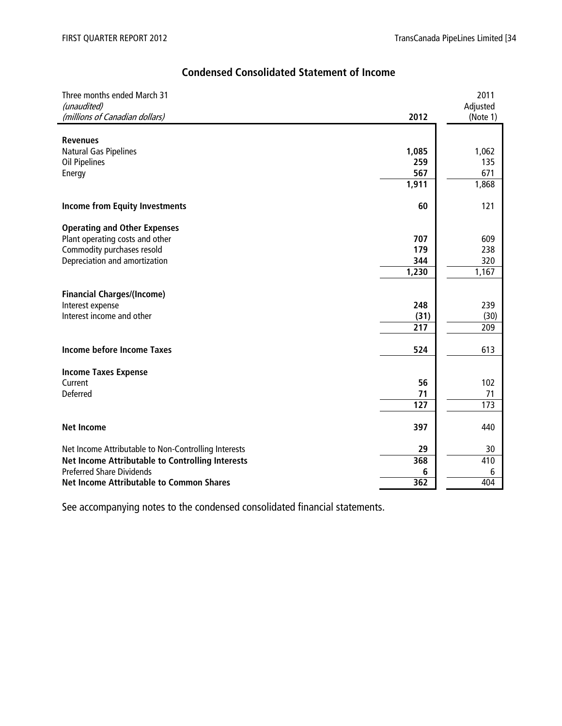| Three months ended March 31                             |       | 2011     |
|---------------------------------------------------------|-------|----------|
| (unaudited)                                             |       | Adjusted |
| (millions of Canadian dollars)                          | 2012  | (Note 1) |
|                                                         |       |          |
| <b>Revenues</b>                                         |       |          |
| <b>Natural Gas Pipelines</b>                            | 1,085 | 1,062    |
| <b>Oil Pipelines</b>                                    | 259   | 135      |
| Energy                                                  | 567   | 671      |
|                                                         | 1,911 | 1,868    |
| <b>Income from Equity Investments</b>                   | 60    | 121      |
| <b>Operating and Other Expenses</b>                     |       |          |
| Plant operating costs and other                         | 707   | 609      |
| Commodity purchases resold                              | 179   | 238      |
| Depreciation and amortization                           | 344   | 320      |
|                                                         | 1,230 | 1,167    |
|                                                         |       |          |
| <b>Financial Charges/(Income)</b>                       |       |          |
| Interest expense                                        | 248   | 239      |
| Interest income and other                               | (31)  | (30)     |
|                                                         | 217   | 209      |
| Income before Income Taxes                              | 524   | 613      |
|                                                         |       |          |
| <b>Income Taxes Expense</b><br>Current                  | 56    | 102      |
| <b>Deferred</b>                                         | 71    | 71       |
|                                                         | 127   | 173      |
|                                                         |       |          |
| <b>Net Income</b>                                       | 397   | 440      |
| Net Income Attributable to Non-Controlling Interests    | 29    | 30       |
| <b>Net Income Attributable to Controlling Interests</b> | 368   | 410      |
| <b>Preferred Share Dividends</b>                        | 6     | 6        |
| <b>Net Income Attributable to Common Shares</b>         | 362   | 404      |

# **Condensed Consolidated Statement of Income**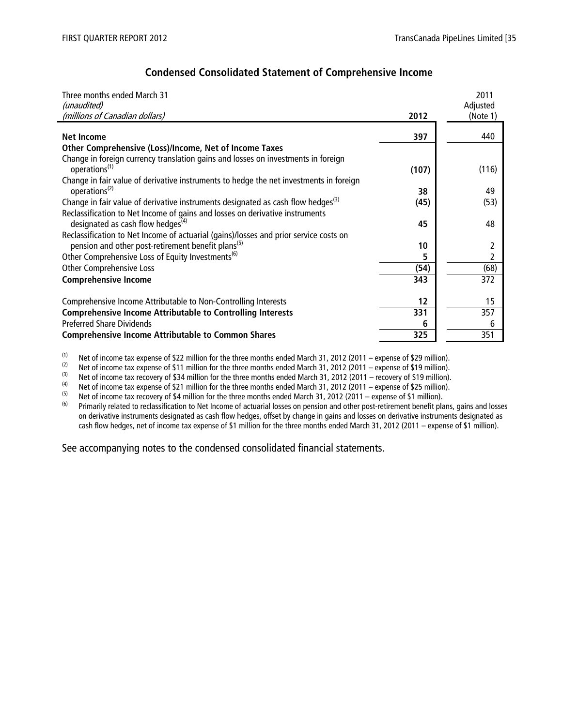| Three months ended March 31                                                                  |       | 2011     |
|----------------------------------------------------------------------------------------------|-------|----------|
| (unaudited)                                                                                  |       | Adjusted |
| (millions of Canadian dollars)                                                               | 2012  | (Note 1) |
|                                                                                              |       |          |
| <b>Net Income</b>                                                                            | 397   | 440      |
| Other Comprehensive (Loss)/Income, Net of Income Taxes                                       |       |          |
| Change in foreign currency translation gains and losses on investments in foreign            |       |          |
| operations <sup>(1)</sup>                                                                    | (107) | (116)    |
| Change in fair value of derivative instruments to hedge the net investments in foreign       |       |          |
| operations <sup>(2)</sup>                                                                    | 38    | 49       |
| Change in fair value of derivative instruments designated as cash flow hedges <sup>(3)</sup> | (45)  | (53)     |
| Reclassification to Net Income of gains and losses on derivative instruments                 |       |          |
| designated as cash flow hedges <sup>(4)</sup>                                                | 45    | 48       |
| Reclassification to Net Income of actuarial (gains)/losses and prior service costs on        |       |          |
| pension and other post-retirement benefit plans <sup>(5)</sup>                               | 10    | 2        |
| Other Comprehensive Loss of Equity Investments <sup>(6)</sup>                                | 5     | 2        |
| <b>Other Comprehensive Loss</b>                                                              | (54)  | (68)     |
| <b>Comprehensive Income</b>                                                                  | 343   | 372      |
|                                                                                              |       |          |
| Comprehensive Income Attributable to Non-Controlling Interests                               | 12    | 15       |
| <b>Comprehensive Income Attributable to Controlling Interests</b>                            | 331   | 357      |
| <b>Preferred Share Dividends</b>                                                             | 6     | 6        |
| <b>Comprehensive Income Attributable to Common Shares</b>                                    | 325   | 351      |

## **Condensed Consolidated Statement of Comprehensive Income**

(1) Net of income tax expense of \$22 million for the three months ended March 31, 2012 (2011 – expense of \$29 million).<br>(2) Not of income tax expense of \$11 million for the three months ended March 31, 2012 (2011) expense

(2) Net of income tax expense of \$11 million for the three months ended March 31, 2012 (2011 – expense of \$19 million).<br>Net of income tax recovery of \$34 million for the three months ended March 31, 2012 (2011 – recovery

(3) Net of income tax recovery of \$34 million for the three months ended March 31, 2012 (2011 – recovery of \$19 million).<br>(4) Net of income tax expense of \$21 million for the three months ended March 31, 2012 (2011 – expe

(4) Net of income tax expense of \$21 million for the three months ended March 31, 2012 (2011 – expense of \$25 million).<br>(5) Net of income tax recovery of \$4 million for the three months ended March 31, 2012 (2011 – expens

(5) Net of income tax recovery of \$4 million for the three months ended March 31, 2012 (2011 – expense of \$1 million).<br>(6) Primarily related to reclassification to Net Income of actuarial losses on pension and other post-

(6) Primarily related to reclassification to Net Income of actuarial losses on pension and other post-retirement benefit plans, gains and losses on derivative instruments designated as cash flow hedges, offset by change in gains and losses on derivative instruments designated as cash flow hedges, net of income tax expense of \$1 million for the three months ended March 31, 2012 (2011 – expense of \$1 million).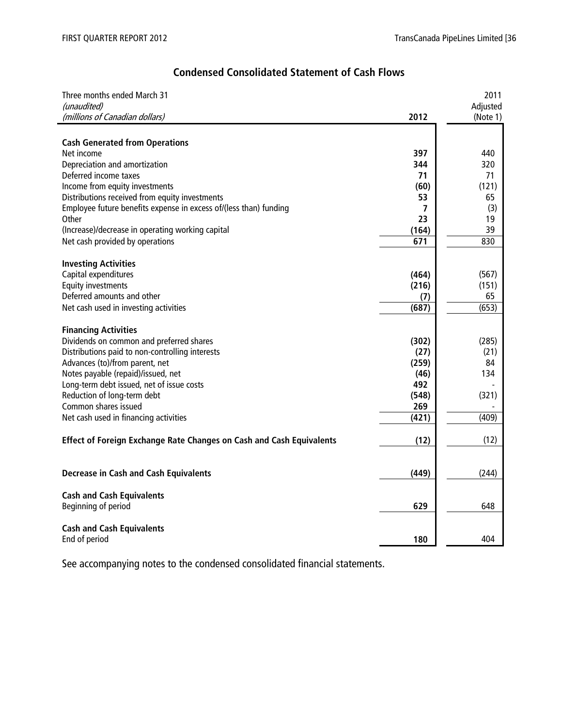# **Condensed Consolidated Statement of Cash Flows**

| Three months ended March 31<br>(unaudited)                           |       | 2011<br>Adjusted |
|----------------------------------------------------------------------|-------|------------------|
| (millions of Canadian dollars)                                       | 2012  | (Note 1)         |
|                                                                      |       |                  |
| <b>Cash Generated from Operations</b>                                |       |                  |
| Net income                                                           | 397   | 440              |
| Depreciation and amortization                                        | 344   | 320              |
| Deferred income taxes                                                | 71    | 71               |
| Income from equity investments                                       | (60)  | (121)            |
| Distributions received from equity investments                       | 53    | 65               |
| Employee future benefits expense in excess of/(less than) funding    | 7     | (3)              |
| Other                                                                | 23    | 19               |
| (Increase)/decrease in operating working capital                     | (164) | 39               |
| Net cash provided by operations                                      | 671   | 830              |
|                                                                      |       |                  |
| <b>Investing Activities</b>                                          |       |                  |
| Capital expenditures                                                 | (464) | (567)            |
| <b>Equity investments</b>                                            | (216) | (151)            |
| Deferred amounts and other                                           | (7)   | 65               |
| Net cash used in investing activities                                | (687) | (653)            |
|                                                                      |       |                  |
| <b>Financing Activities</b>                                          |       |                  |
| Dividends on common and preferred shares                             | (302) | (285)            |
| Distributions paid to non-controlling interests                      | (27)  | (21)             |
| Advances (to)/from parent, net                                       | (259) | 84               |
| Notes payable (repaid)/issued, net                                   | (46)  | 134              |
| Long-term debt issued, net of issue costs                            | 492   |                  |
| Reduction of long-term debt                                          | (548) | (321)            |
| Common shares issued                                                 | 269   |                  |
| Net cash used in financing activities                                | (421) | (409)            |
|                                                                      |       |                  |
| Effect of Foreign Exchange Rate Changes on Cash and Cash Equivalents | (12)  | (12)             |
|                                                                      |       |                  |
|                                                                      |       |                  |
| <b>Decrease in Cash and Cash Equivalents</b>                         | (449) | (244)            |
|                                                                      |       |                  |
| <b>Cash and Cash Equivalents</b>                                     |       |                  |
| Beginning of period                                                  | 629   | 648              |
|                                                                      |       |                  |
| <b>Cash and Cash Equivalents</b>                                     |       |                  |
| End of period                                                        | 180   | 404              |
|                                                                      |       |                  |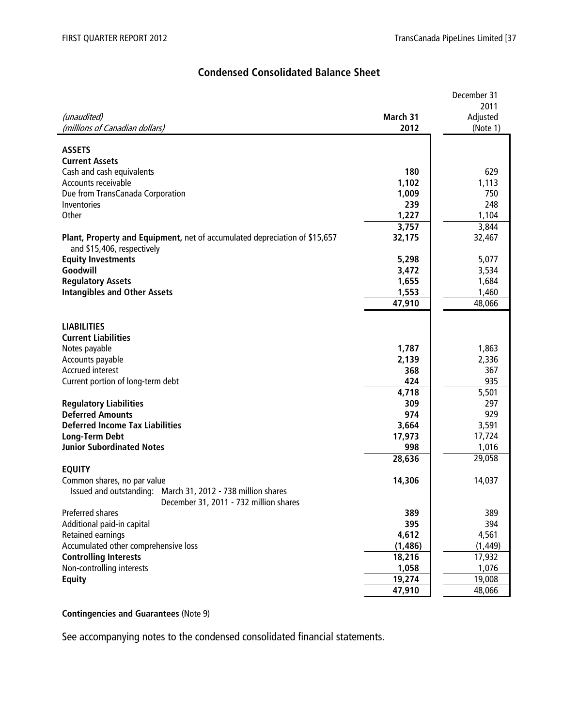# **Condensed Consolidated Balance Sheet**

|                                                                            |          | December 31 |
|----------------------------------------------------------------------------|----------|-------------|
|                                                                            |          | 2011        |
| (unaudited)                                                                | March 31 | Adjusted    |
| (millions of Canadian dollars)                                             | 2012     | (Note 1)    |
|                                                                            |          |             |
| <b>ASSETS</b>                                                              |          |             |
| <b>Current Assets</b>                                                      |          |             |
| Cash and cash equivalents                                                  | 180      | 629         |
| Accounts receivable                                                        | 1,102    | 1,113       |
| Due from TransCanada Corporation                                           | 1,009    | 750         |
| Inventories                                                                | 239      | 248         |
| Other                                                                      | 1,227    | 1,104       |
|                                                                            | 3,757    | 3,844       |
| Plant, Property and Equipment, net of accumulated depreciation of \$15,657 | 32,175   | 32,467      |
| and \$15,406, respectively                                                 |          |             |
| <b>Equity Investments</b>                                                  | 5,298    | 5,077       |
| Goodwill                                                                   | 3,472    | 3,534       |
| <b>Regulatory Assets</b>                                                   | 1,655    | 1,684       |
| <b>Intangibles and Other Assets</b>                                        | 1,553    | 1,460       |
|                                                                            | 47,910   | 48,066      |
|                                                                            |          |             |
|                                                                            |          |             |
| <b>LIABILITIES</b>                                                         |          |             |
| <b>Current Liabilities</b>                                                 |          |             |
| Notes payable                                                              | 1,787    | 1,863       |
| Accounts payable                                                           | 2,139    | 2,336       |
| <b>Accrued interest</b>                                                    | 368      | 367         |
| Current portion of long-term debt                                          | 424      | 935         |
|                                                                            | 4,718    | 5,501       |
| <b>Regulatory Liabilities</b>                                              | 309      | 297         |
| <b>Deferred Amounts</b>                                                    | 974      | 929         |
| <b>Deferred Income Tax Liabilities</b>                                     | 3,664    | 3,591       |
| <b>Long-Term Debt</b>                                                      | 17,973   | 17,724      |
| <b>Junior Subordinated Notes</b>                                           | 998      | 1,016       |
|                                                                            | 28,636   | 29,058      |
| <b>EQUITY</b>                                                              |          |             |
| Common shares, no par value                                                | 14,306   | 14,037      |
| Issued and outstanding: March 31, 2012 - 738 million shares                |          |             |
| December 31, 2011 - 732 million shares                                     |          |             |
| Preferred shares                                                           | 389      | 389         |
| Additional paid-in capital                                                 | 395      | 394         |
| Retained earnings                                                          | 4,612    | 4,561       |
| Accumulated other comprehensive loss                                       | (1, 486) | (1, 449)    |
| <b>Controlling Interests</b>                                               | 18,216   | 17,932      |
| Non-controlling interests                                                  | 1,058    | 1,076       |
| <b>Equity</b>                                                              | 19,274   | 19,008      |
|                                                                            |          |             |
|                                                                            | 47,910   | 48,066      |

**Contingencies and Guarantees** (Note 9)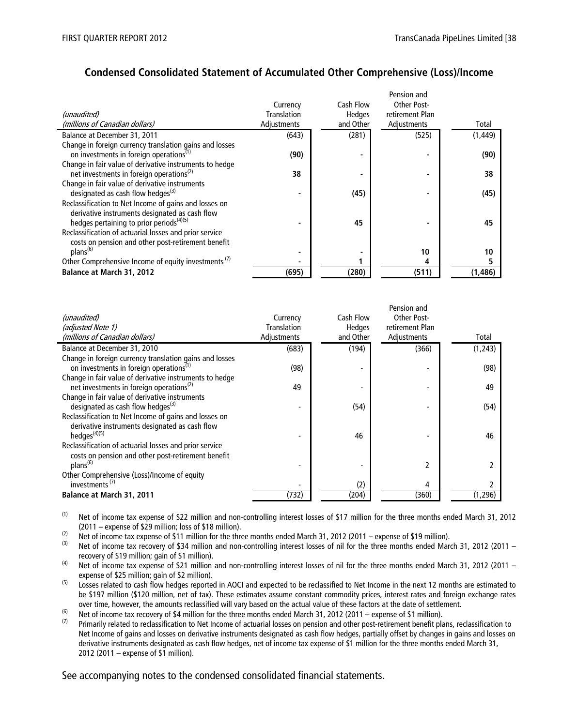Pension and

#### **Condensed Consolidated Statement of Accumulated Other Comprehensive (Loss)/Income**

|                                                                 |                    |           | Pension and              |          |
|-----------------------------------------------------------------|--------------------|-----------|--------------------------|----------|
|                                                                 | Currency           | Cash Flow | <b>Other Post-</b>       |          |
| (unaudited)                                                     | <b>Translation</b> | Hedges    | retirement Plan          |          |
| (millions of Canadian dollars)                                  | Adjustments        | and Other | Adjustments              | Total    |
| Balance at December 31, 2011                                    | (643)              | (281)     | (525)                    | (1, 449) |
| Change in foreign currency translation gains and losses         |                    |           |                          |          |
| on investments in foreign operations <sup>(1)</sup>             | (90)               |           |                          | (90)     |
| Change in fair value of derivative instruments to hedge         |                    |           |                          |          |
| net investments in foreign operations <sup>(2)</sup>            | 38                 |           | $\overline{\phantom{0}}$ | 38       |
| Change in fair value of derivative instruments                  |                    |           |                          |          |
| designated as cash flow hedges <sup>(3)</sup>                   | $\blacksquare$     | (45)      |                          | (45)     |
| Reclassification to Net Income of gains and losses on           |                    |           |                          |          |
| derivative instruments designated as cash flow                  |                    |           |                          |          |
| hedges pertaining to prior periods $(4)(5)$                     |                    | 45        |                          | 45       |
| Reclassification of actuarial losses and prior service          |                    |           |                          |          |
| costs on pension and other post-retirement benefit              |                    |           |                          |          |
| plans <sup>(6)</sup>                                            | -                  |           | 10                       | 10       |
| Other Comprehensive Income of equity investments <sup>(7)</sup> | -                  |           | 4                        |          |
| <b>Balance at March 31, 2012</b>                                | (695)              | (280)     | (511)                    | (1, 486) |

|                                                         |                    |           | Felisiuli dilu     |          |
|---------------------------------------------------------|--------------------|-----------|--------------------|----------|
| (unaudited)                                             | Currency           | Cash Flow | <b>Other Post-</b> |          |
| (adjusted Note 1)                                       | <b>Translation</b> | Hedges    | retirement Plan    |          |
| (millions of Canadian dollars)                          | Adjustments        | and Other | Adjustments        | Total    |
| Balance at December 31, 2010                            | (683)              | (194)     | (366)              | (1,243)  |
| Change in foreign currency translation gains and losses |                    |           |                    |          |
| on investments in foreign operations <sup>(1)</sup>     | (98)               |           |                    | (98)     |
| Change in fair value of derivative instruments to hedge |                    |           |                    |          |
| net investments in foreign operations <sup>(2)</sup>    | 49                 |           |                    | 49       |
| Change in fair value of derivative instruments          |                    |           |                    |          |
| designated as cash flow hedges $^{(3)}$                 |                    | (54)      |                    | (54)     |
| Reclassification to Net Income of gains and losses on   |                    |           |                    |          |
| derivative instruments designated as cash flow          |                    |           |                    |          |
| hedges $(4)(5)$                                         |                    | 46        |                    | 46       |
| Reclassification of actuarial losses and prior service  |                    |           |                    |          |
| costs on pension and other post-retirement benefit      |                    |           |                    |          |
| plans <sup>(6)</sup>                                    |                    |           | 2                  |          |
| Other Comprehensive (Loss)/Income of equity             |                    |           |                    |          |
| investments <sup>(7)</sup>                              |                    | (2)       | 4                  |          |
| <b>Balance at March 31, 2011</b>                        | (732)              | (204)     | (360)              | (1, 296) |
|                                                         |                    |           |                    |          |

(1) Net of income tax expense of \$22 million and non-controlling interest losses of \$17 million for the three months ended March 31, 2012 (2011 – expense of \$29 million; loss of \$18 million).

(2) Net of income tax expense of \$11 million for the three months ended March 31, 2012 (2011 – expense of \$19 million).

Net of income tax recovery of \$34 million and non-controlling interest losses of nil for the three months ended March 31, 2012 (2011 – recovery of \$19 million; gain of \$1 million).

(4) Net of income tax expense of \$21 million and non-controlling interest losses of nil for the three months ended March 31, 2012 (2011 – expense of \$25 million; gain of \$2 million).

<sup>(5)</sup> Losses related to cash flow hedges reported in AOCI and expected to be reclassified to Net Income in the next 12 months are estimated to be \$197 million (\$120 million, net of tax). These estimates assume constant commodity prices, interest rates and foreign exchange rates over time, however, the amounts reclassified will vary based on the actual value of these factors at the date of settlement.

(6) Net of income tax recovery of \$4 million for the three months ended March 31, 2012 (2011 – expense of \$1 million).<br>(7) Primarily related to reclassification to Net Income of actuarial losses on pension and other post-

Primarily related to reclassification to Net Income of actuarial losses on pension and other post-retirement benefit plans, reclassification to Net Income of gains and losses on derivative instruments designated as cash flow hedges, partially offset by changes in gains and losses on derivative instruments designated as cash flow hedges, net of income tax expense of \$1 million for the three months ended March 31, 2012 (2011 – expense of \$1 million).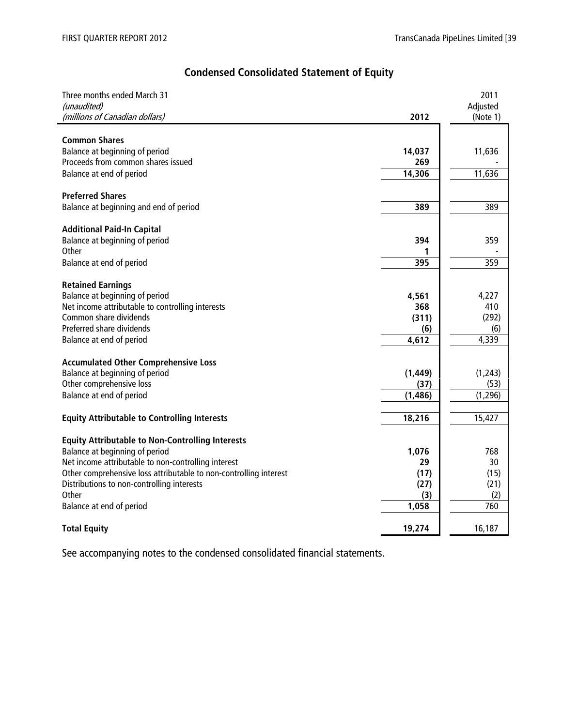# **Condensed Consolidated Statement of Equity**

| Three months ended March 31                                       |          | 2011                 |
|-------------------------------------------------------------------|----------|----------------------|
| (unaudited)<br>(millions of Canadian dollars)                     | 2012     | Adjusted<br>(Note 1) |
|                                                                   |          |                      |
| <b>Common Shares</b>                                              |          |                      |
| Balance at beginning of period                                    | 14,037   | 11,636               |
| Proceeds from common shares issued                                | 269      |                      |
| Balance at end of period                                          | 14,306   | 11,636               |
| <b>Preferred Shares</b>                                           |          |                      |
| Balance at beginning and end of period                            | 389      | 389                  |
| <b>Additional Paid-In Capital</b>                                 |          |                      |
| Balance at beginning of period                                    | 394      | 359                  |
| Other                                                             |          |                      |
| Balance at end of period                                          | 395      | 359                  |
|                                                                   |          |                      |
| <b>Retained Earnings</b>                                          |          |                      |
| Balance at beginning of period                                    | 4,561    | 4,227                |
| Net income attributable to controlling interests                  | 368      | 410                  |
| Common share dividends                                            | (311)    | (292)                |
| Preferred share dividends                                         | (6)      | (6)                  |
| Balance at end of period                                          | 4,612    | 4,339                |
| <b>Accumulated Other Comprehensive Loss</b>                       |          |                      |
| Balance at beginning of period                                    | (1, 449) | (1, 243)             |
| Other comprehensive loss                                          | (37)     | (53)                 |
| Balance at end of period                                          | (1, 486) | (1, 296)             |
|                                                                   |          |                      |
| <b>Equity Attributable to Controlling Interests</b>               | 18,216   | 15,427               |
| <b>Equity Attributable to Non-Controlling Interests</b>           |          |                      |
| Balance at beginning of period                                    | 1,076    | 768                  |
| Net income attributable to non-controlling interest               | 29       | 30                   |
| Other comprehensive loss attributable to non-controlling interest | (17)     | (15)                 |
| Distributions to non-controlling interests                        | (27)     | (21)                 |
| Other                                                             | (3)      | (2)                  |
| Balance at end of period                                          | 1,058    | 760                  |
| <b>Total Equity</b>                                               | 19,274   | 16,187               |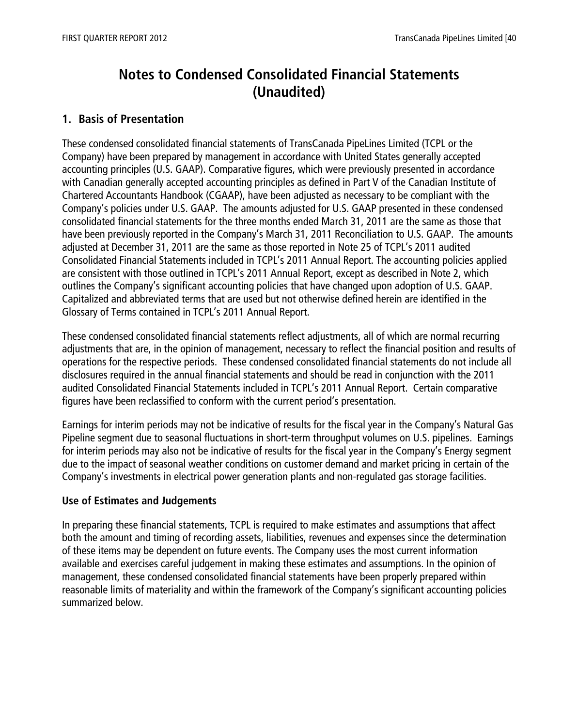# **Notes to Condensed Consolidated Financial Statements (Unaudited)**

# **1. Basis of Presentation**

These condensed consolidated financial statements of TransCanada PipeLines Limited (TCPL or the Company) have been prepared by management in accordance with United States generally accepted accounting principles (U.S. GAAP). Comparative figures, which were previously presented in accordance with Canadian generally accepted accounting principles as defined in Part V of the Canadian Institute of Chartered Accountants Handbook (CGAAP), have been adjusted as necessary to be compliant with the Company's policies under U.S. GAAP. The amounts adjusted for U.S. GAAP presented in these condensed consolidated financial statements for the three months ended March 31, 2011 are the same as those that have been previously reported in the Company's March 31, 2011 Reconciliation to U.S. GAAP. The amounts adjusted at December 31, 2011 are the same as those reported in Note 25 of TCPL's 2011 audited Consolidated Financial Statements included in TCPL's 2011 Annual Report. The accounting policies applied are consistent with those outlined in TCPL's 2011 Annual Report, except as described in Note 2, which outlines the Company's significant accounting policies that have changed upon adoption of U.S. GAAP. Capitalized and abbreviated terms that are used but not otherwise defined herein are identified in the Glossary of Terms contained in TCPL's 2011 Annual Report.

These condensed consolidated financial statements reflect adjustments, all of which are normal recurring adjustments that are, in the opinion of management, necessary to reflect the financial position and results of operations for the respective periods. These condensed consolidated financial statements do not include all disclosures required in the annual financial statements and should be read in conjunction with the 2011 audited Consolidated Financial Statements included in TCPL's 2011 Annual Report. Certain comparative figures have been reclassified to conform with the current period's presentation.

Earnings for interim periods may not be indicative of results for the fiscal year in the Company's Natural Gas Pipeline segment due to seasonal fluctuations in short-term throughput volumes on U.S. pipelines. Earnings for interim periods may also not be indicative of results for the fiscal year in the Company's Energy segment due to the impact of seasonal weather conditions on customer demand and market pricing in certain of the Company's investments in electrical power generation plants and non-regulated gas storage facilities.

#### **Use of Estimates and Judgements**

In preparing these financial statements, TCPL is required to make estimates and assumptions that affect both the amount and timing of recording assets, liabilities, revenues and expenses since the determination of these items may be dependent on future events. The Company uses the most current information available and exercises careful judgement in making these estimates and assumptions. In the opinion of management, these condensed consolidated financial statements have been properly prepared within reasonable limits of materiality and within the framework of the Company's significant accounting policies summarized below.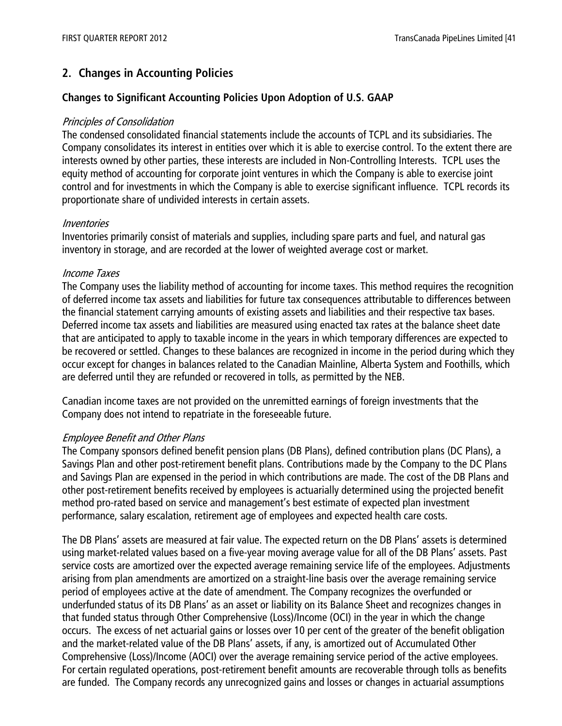# **2. Changes in Accounting Policies**

#### **Changes to Significant Accounting Policies Upon Adoption of U.S. GAAP**

#### Principles of Consolidation

The condensed consolidated financial statements include the accounts of TCPL and its subsidiaries. The Company consolidates its interest in entities over which it is able to exercise control. To the extent there are interests owned by other parties, these interests are included in Non-Controlling Interests. TCPL uses the equity method of accounting for corporate joint ventures in which the Company is able to exercise joint control and for investments in which the Company is able to exercise significant influence. TCPL records its proportionate share of undivided interests in certain assets.

#### Inventories

Inventories primarily consist of materials and supplies, including spare parts and fuel, and natural gas inventory in storage, and are recorded at the lower of weighted average cost or market.

#### Income Taxes

The Company uses the liability method of accounting for income taxes. This method requires the recognition of deferred income tax assets and liabilities for future tax consequences attributable to differences between the financial statement carrying amounts of existing assets and liabilities and their respective tax bases. Deferred income tax assets and liabilities are measured using enacted tax rates at the balance sheet date that are anticipated to apply to taxable income in the years in which temporary differences are expected to be recovered or settled. Changes to these balances are recognized in income in the period during which they occur except for changes in balances related to the Canadian Mainline, Alberta System and Foothills, which are deferred until they are refunded or recovered in tolls, as permitted by the NEB.

Canadian income taxes are not provided on the unremitted earnings of foreign investments that the Company does not intend to repatriate in the foreseeable future.

#### Employee Benefit and Other Plans

The Company sponsors defined benefit pension plans (DB Plans), defined contribution plans (DC Plans), a Savings Plan and other post-retirement benefit plans. Contributions made by the Company to the DC Plans and Savings Plan are expensed in the period in which contributions are made. The cost of the DB Plans and other post-retirement benefits received by employees is actuarially determined using the projected benefit method pro-rated based on service and management's best estimate of expected plan investment performance, salary escalation, retirement age of employees and expected health care costs.

The DB Plans' assets are measured at fair value. The expected return on the DB Plans' assets is determined using market-related values based on a five-year moving average value for all of the DB Plans' assets. Past service costs are amortized over the expected average remaining service life of the employees. Adjustments arising from plan amendments are amortized on a straight-line basis over the average remaining service period of employees active at the date of amendment. The Company recognizes the overfunded or underfunded status of its DB Plans' as an asset or liability on its Balance Sheet and recognizes changes in that funded status through Other Comprehensive (Loss)/Income (OCI) in the year in which the change occurs. The excess of net actuarial gains or losses over 10 per cent of the greater of the benefit obligation and the market-related value of the DB Plans' assets, if any, is amortized out of Accumulated Other Comprehensive (Loss)/Income (AOCI) over the average remaining service period of the active employees. For certain regulated operations, post-retirement benefit amounts are recoverable through tolls as benefits are funded. The Company records any unrecognized gains and losses or changes in actuarial assumptions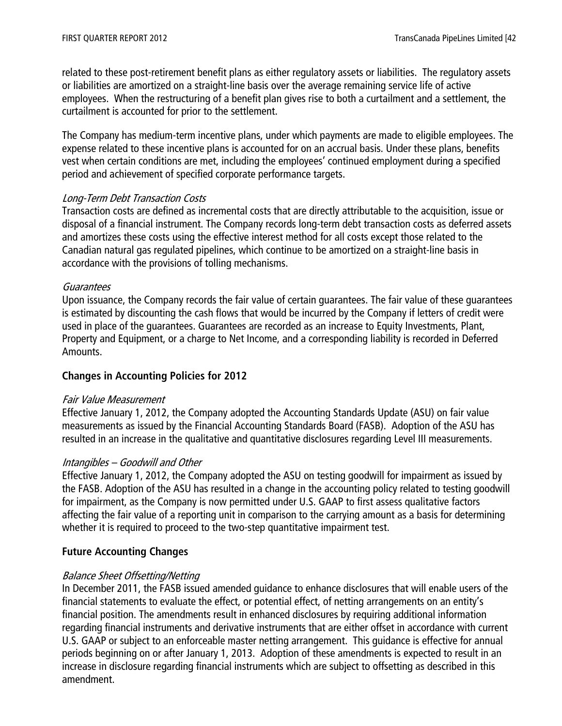related to these post-retirement benefit plans as either regulatory assets or liabilities. The regulatory assets or liabilities are amortized on a straight-line basis over the average remaining service life of active employees. When the restructuring of a benefit plan gives rise to both a curtailment and a settlement, the curtailment is accounted for prior to the settlement.

The Company has medium-term incentive plans, under which payments are made to eligible employees. The expense related to these incentive plans is accounted for on an accrual basis. Under these plans, benefits vest when certain conditions are met, including the employees' continued employment during a specified period and achievement of specified corporate performance targets.

#### Long-Term Debt Transaction Costs

Transaction costs are defined as incremental costs that are directly attributable to the acquisition, issue or disposal of a financial instrument. The Company records long-term debt transaction costs as deferred assets and amortizes these costs using the effective interest method for all costs except those related to the Canadian natural gas regulated pipelines, which continue to be amortized on a straight-line basis in accordance with the provisions of tolling mechanisms.

## **Guarantees**

Upon issuance, the Company records the fair value of certain guarantees. The fair value of these guarantees is estimated by discounting the cash flows that would be incurred by the Company if letters of credit were used in place of the guarantees. Guarantees are recorded as an increase to Equity Investments, Plant, Property and Equipment, or a charge to Net Income, and a corresponding liability is recorded in Deferred Amounts.

# **Changes in Accounting Policies for 2012**

#### Fair Value Measurement

Effective January 1, 2012, the Company adopted the Accounting Standards Update (ASU) on fair value measurements as issued by the Financial Accounting Standards Board (FASB). Adoption of the ASU has resulted in an increase in the qualitative and quantitative disclosures regarding Level III measurements.

#### Intangibles – Goodwill and Other

Effective January 1, 2012, the Company adopted the ASU on testing goodwill for impairment as issued by the FASB. Adoption of the ASU has resulted in a change in the accounting policy related to testing goodwill for impairment, as the Company is now permitted under U.S. GAAP to first assess qualitative factors affecting the fair value of a reporting unit in comparison to the carrying amount as a basis for determining whether it is required to proceed to the two-step quantitative impairment test.

# **Future Accounting Changes**

# Balance Sheet Offsetting/Netting

In December 2011, the FASB issued amended guidance to enhance disclosures that will enable users of the financial statements to evaluate the effect, or potential effect, of netting arrangements on an entity's financial position. The amendments result in enhanced disclosures by requiring additional information regarding financial instruments and derivative instruments that are either offset in accordance with current U.S. GAAP or subject to an enforceable master netting arrangement. This guidance is effective for annual periods beginning on or after January 1, 2013. Adoption of these amendments is expected to result in an increase in disclosure regarding financial instruments which are subject to offsetting as described in this amendment.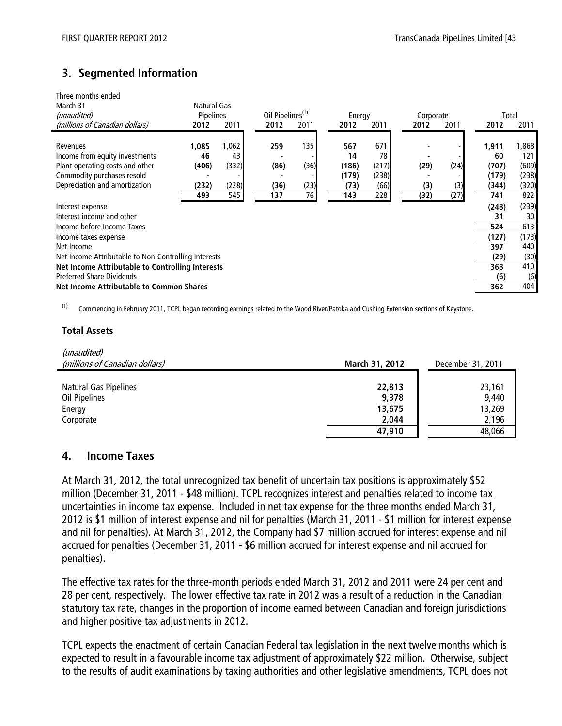# **3. Segmented Information**

| Three months ended<br>March 31<br>(unaudited)<br>(millions of Canadian dollars)                                                                                                                                                                                                                                             | <b>Natural Gas</b><br>Pipelines<br>2012 | 2011                                 | Oil Pipelines <sup>(1)</sup><br>2012 | 2011                      | Energy<br>2012                             | 2011                                       | Corporate<br>2012   | 2011                | Total<br>2012                                                   | 2011                                                            |
|-----------------------------------------------------------------------------------------------------------------------------------------------------------------------------------------------------------------------------------------------------------------------------------------------------------------------------|-----------------------------------------|--------------------------------------|--------------------------------------|---------------------------|--------------------------------------------|--------------------------------------------|---------------------|---------------------|-----------------------------------------------------------------|-----------------------------------------------------------------|
| Revenues<br>Income from equity investments<br>Plant operating costs and other<br>Commodity purchases resold<br>Depreciation and amortization                                                                                                                                                                                | 1,085<br>46<br>(406)<br>(232)<br>493    | 1,062<br>43<br>(332)<br>(228)<br>545 | 259<br>(86)<br>(36)<br>137           | 135<br>(36)<br>(23)<br>76 | 567<br>14<br>(186)<br>(179)<br>(73)<br>143 | 671<br>78<br>(217)<br>(238)<br>(66)<br>228 | (29)<br>(3)<br>(32) | (24)<br>(3)<br>(27) | 1,911<br>60<br>(707)<br>(179)<br>(344)<br>741                   | 1,868<br>121<br>(609)<br>(238)<br>(320)<br>822                  |
| Interest expense<br>Interest income and other<br>Income before Income Taxes<br>Income taxes expense<br>Net Income<br>Net Income Attributable to Non-Controlling Interests<br><b>Net Income Attributable to Controlling Interests</b><br><b>Preferred Share Dividends</b><br><b>Net Income Attributable to Common Shares</b> |                                         |                                      |                                      |                           |                                            |                                            |                     |                     | (248)<br>31<br>524<br>(127)<br>397<br>(29)<br>368<br>(6)<br>362 | (239)<br>30<br>613<br>(173)<br>440<br>(30)<br>410<br>(6)<br>404 |

(1) Commencing in February 2011, TCPL began recording earnings related to the Wood River/Patoka and Cushing Extension sections of Keystone.

#### **Total Assets**

| (unaudited)                    |                |                   |
|--------------------------------|----------------|-------------------|
| (millions of Canadian dollars) | March 31, 2012 | December 31, 2011 |
|                                |                |                   |
| <b>Natural Gas Pipelines</b>   | 22,813         | 23,161            |
| Oil Pipelines                  | 9,378          | 9,440             |
| Energy                         | 13,675         | 13,269            |
| Corporate                      | 2.044          | 2,196             |
|                                | 47,910         | 48,066            |

#### **4. Income Taxes**

At March 31, 2012, the total unrecognized tax benefit of uncertain tax positions is approximately \$52 million (December 31, 2011 - \$48 million). TCPL recognizes interest and penalties related to income tax uncertainties in income tax expense. Included in net tax expense for the three months ended March 31, 2012 is \$1 million of interest expense and nil for penalties (March 31, 2011 - \$1 million for interest expense and nil for penalties). At March 31, 2012, the Company had \$7 million accrued for interest expense and nil accrued for penalties (December 31, 2011 - \$6 million accrued for interest expense and nil accrued for penalties).

The effective tax rates for the three-month periods ended March 31, 2012 and 2011 were 24 per cent and 28 per cent, respectively. The lower effective tax rate in 2012 was a result of a reduction in the Canadian statutory tax rate, changes in the proportion of income earned between Canadian and foreign jurisdictions and higher positive tax adjustments in 2012.

TCPL expects the enactment of certain Canadian Federal tax legislation in the next twelve months which is expected to result in a favourable income tax adjustment of approximately \$22 million. Otherwise, subject to the results of audit examinations by taxing authorities and other legislative amendments, TCPL does not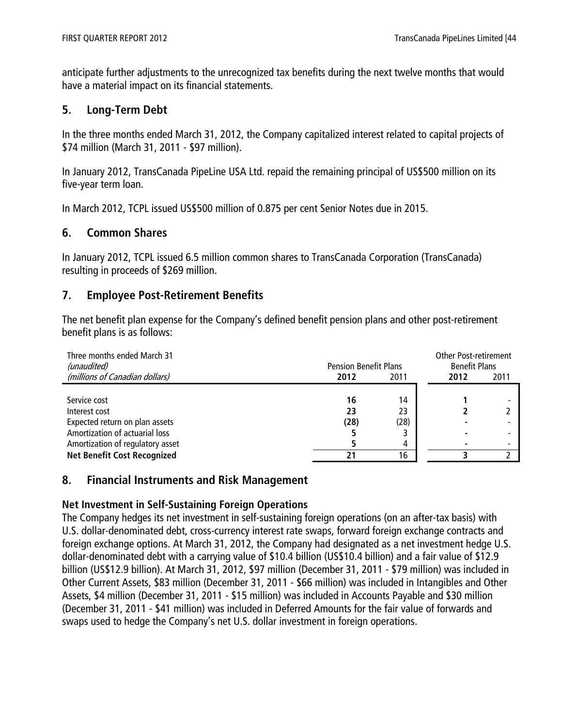anticipate further adjustments to the unrecognized tax benefits during the next twelve months that would have a material impact on its financial statements.

# **5. Long-Term Debt**

In the three months ended March 31, 2012, the Company capitalized interest related to capital projects of \$74 million (March 31, 2011 - \$97 million).

In January 2012, TransCanada PipeLine USA Ltd. repaid the remaining principal of US\$500 million on its five-year term loan.

In March 2012, TCPL issued US\$500 million of 0.875 per cent Senior Notes due in 2015.

# **6. Common Shares**

In January 2012, TCPL issued 6.5 million common shares to TransCanada Corporation (TransCanada) resulting in proceeds of \$269 million.

# **7. Employee Post-Retirement Benefits**

The net benefit plan expense for the Company's defined benefit pension plans and other post-retirement benefit plans is as follows:

| Three months ended March 31<br>(unaudited)                                                                                            | <b>Pension Benefit Plans</b> |                       | Other Post-retirement<br><b>Benefit Plans</b> |      |  |
|---------------------------------------------------------------------------------------------------------------------------------------|------------------------------|-----------------------|-----------------------------------------------|------|--|
| (millions of Canadian dollars)                                                                                                        | 2012                         | 2011                  | 2012                                          | 2011 |  |
| Service cost<br>Interest cost<br>Expected return on plan assets<br>Amortization of actuarial loss<br>Amortization of regulatory asset | 16<br>23<br>(28)             | 14<br>23<br>(28)<br>4 |                                               |      |  |
| <b>Net Benefit Cost Recognized</b>                                                                                                    |                              | 16                    |                                               |      |  |

# **8. Financial Instruments and Risk Management**

#### **Net Investment in Self-Sustaining Foreign Operations**

The Company hedges its net investment in self-sustaining foreign operations (on an after-tax basis) with U.S. dollar-denominated debt, cross-currency interest rate swaps, forward foreign exchange contracts and foreign exchange options. At March 31, 2012, the Company had designated as a net investment hedge U.S. dollar-denominated debt with a carrying value of \$10.4 billion (US\$10.4 billion) and a fair value of \$12.9 billion (US\$12.9 billion). At March 31, 2012, \$97 million (December 31, 2011 - \$79 million) was included in Other Current Assets, \$83 million (December 31, 2011 - \$66 million) was included in Intangibles and Other Assets, \$4 million (December 31, 2011 - \$15 million) was included in Accounts Payable and \$30 million (December 31, 2011 - \$41 million) was included in Deferred Amounts for the fair value of forwards and swaps used to hedge the Company's net U.S. dollar investment in foreign operations.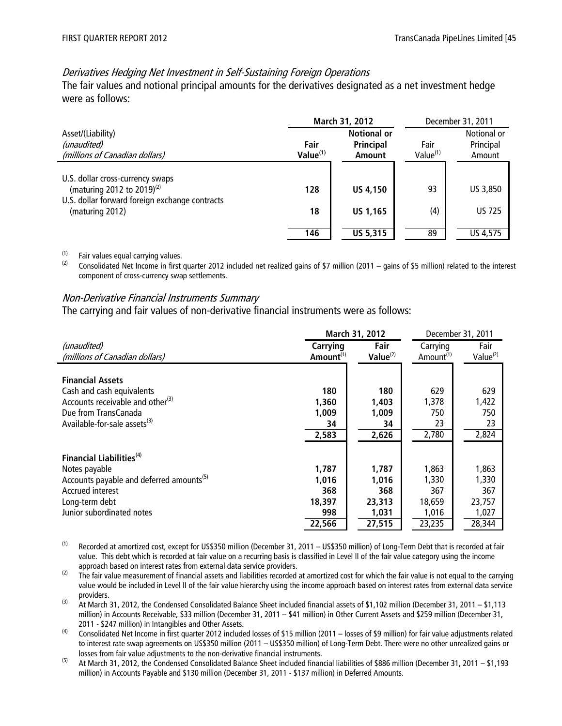#### Derivatives Hedging Net Investment in Self-Sustaining Foreign Operations

The fair values and notional principal amounts for the derivatives designated as a net investment hedge were as follows:

|                                                                                                                                                 |                     | March 31, 2012                                          | December 31, 2011            |                                    |  |
|-------------------------------------------------------------------------------------------------------------------------------------------------|---------------------|---------------------------------------------------------|------------------------------|------------------------------------|--|
| Asset/(Liability)<br>(unaudited)<br>(millions of Canadian dollars)                                                                              | Fair<br>Value $(1)$ | <b>Notional or</b><br><b>Principal</b><br><b>Amount</b> | Fair<br>Value <sup>(1)</sup> | Notional or<br>Principal<br>Amount |  |
| U.S. dollar cross-currency swaps<br>(maturing 2012 to 2019) <sup>(2)</sup><br>U.S. dollar forward foreign exchange contracts<br>(maturing 2012) | 128<br>18           | <b>US 4,150</b><br><b>US 1,165</b>                      | 93<br>(4)                    | US 3,850<br><b>US 725</b>          |  |
|                                                                                                                                                 | 146                 | <b>US 5,315</b>                                         | 89                           | US 4,575                           |  |

 $(1)$  Fair values equal carrying values.<br> $(2)$  Consolidated Net Income in first

Consolidated Net Income in first quarter 2012 included net realized gains of \$7 million (2011 – gains of \$5 million) related to the interest component of cross-currency swap settlements.

#### Non-Derivative Financial Instruments Summary

The carrying and fair values of non-derivative financial instruments were as follows:

|                                                      | March 31, 2012 | December 31, 2011 |                       |                      |
|------------------------------------------------------|----------------|-------------------|-----------------------|----------------------|
| (unaudited)                                          | Carrying       | Fair              | Carrying              | Fair                 |
| (millions of Canadian dollars)                       | Amount $(1)$   | $Value^{(2)}$     | Amount <sup>(1)</sup> | Value <sup>(2)</sup> |
|                                                      |                |                   |                       |                      |
| <b>Financial Assets</b>                              |                |                   |                       |                      |
| Cash and cash equivalents                            | 180            | 180               | 629                   | 629                  |
| Accounts receivable and other <sup>(3)</sup>         | 1,360          | 1,403             | 1,378                 | 1,422                |
| Due from TransCanada                                 | 1,009          | 1,009             | 750                   | 750                  |
| Available-for-sale assets <sup>(3)</sup>             | 34             | 34                | 23                    | 23                   |
|                                                      | 2,583          | 2,626             | 2,780                 | 2,824                |
|                                                      |                |                   |                       |                      |
| <b>Financial Liabilities</b> <sup>(4)</sup>          |                |                   |                       |                      |
| Notes payable                                        | 1,787          | 1,787             | 1,863                 | 1,863                |
| Accounts payable and deferred amounts <sup>(5)</sup> | 1,016          | 1,016             | 1,330                 | 1,330                |
| <b>Accrued interest</b>                              | 368            | 368               | 367                   | 367                  |
| Long-term debt                                       | 18,397         | 23,313            | 18,659                | 23,757               |
| Junior subordinated notes                            | 998            | 1,031             | 1,016                 | 1,027                |
|                                                      | 22,566         | 27,515            | 23,235                | 28,344               |

(1) Recorded at amortized cost, except for US\$350 million (December 31, 2011 – US\$350 million) of Long-Term Debt that is recorded at fair value. This debt which is recorded at fair value on a recurring basis is classified in Level II of the fair value category using the income approach based on interest rates from external data service providers.

(2) The fair value measurement of financial assets and liabilities recorded at amortized cost for which the fair value is not equal to the carrying value would be included in Level II of the fair value hierarchy using the income approach based on interest rates from external data service providers.

(3) At March 31, 2012, the Condensed Consolidated Balance Sheet included financial assets of \$1,102 million (December 31, 2011 – \$1,113 million) in Accounts Receivable, \$33 million (December 31, 2011 – \$41 million) in Other Current Assets and \$259 million (December 31, 2011 - \$247 million) in Intangibles and Other Assets.

(4) Consolidated Net Income in first quarter 2012 included losses of \$15 million (2011 – losses of \$9 million) for fair value adjustments related to interest rate swap agreements on US\$350 million (2011 – US\$350 million) of Long-Term Debt. There were no other unrealized gains or losses from fair value adjustments to the non-derivative financial instruments.

(5) At March 31, 2012, the Condensed Consolidated Balance Sheet included financial liabilities of \$886 million (December 31, 2011 – \$1,193 million) in Accounts Payable and \$130 million (December 31, 2011 - \$137 million) in Deferred Amounts.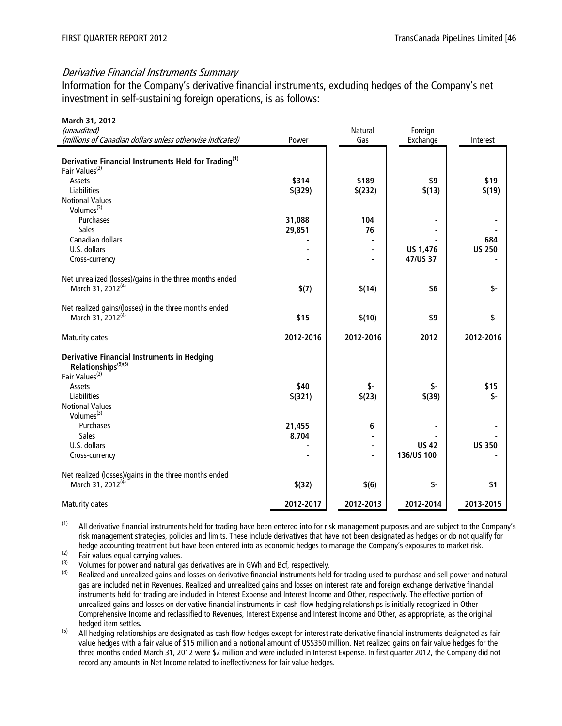#### Derivative Financial Instruments Summary

Information for the Company's derivative financial instruments, excluding hedges of the Company's net investment in self-sustaining foreign operations, is as follows:

| March 31, 2012                                                                        |           | Natural        |                     |               |
|---------------------------------------------------------------------------------------|-----------|----------------|---------------------|---------------|
| (unaudited)<br>(millions of Canadian dollars unless otherwise indicated)              | Power     | Gas            | Foreign<br>Exchange | Interest      |
|                                                                                       |           |                |                     |               |
| Derivative Financial Instruments Held for Trading <sup>(1)</sup>                      |           |                |                     |               |
| Fair Values <sup>(2)</sup>                                                            |           |                |                     |               |
| Assets                                                                                | \$314     | \$189          | \$9                 | \$19          |
| <b>Liabilities</b>                                                                    | \$(329)   | \$(232)        | \$(13)              | \$(19)        |
| <b>Notional Values</b>                                                                |           |                |                     |               |
| Volumes <sup>(3)</sup>                                                                |           |                |                     |               |
| Purchases                                                                             | 31,088    | 104            |                     |               |
| Sales                                                                                 | 29,851    | 76             |                     |               |
| Canadian dollars                                                                      |           |                |                     | 684           |
| U.S. dollars                                                                          |           |                | US 1,476            | <b>US 250</b> |
| Cross-currency                                                                        |           |                | 47/US 37            |               |
| Net unrealized (losses)/gains in the three months ended                               |           |                |                     |               |
| March 31, 2012 <sup>(4)</sup>                                                         | \$(7)     | \$(14)         | \$6                 | $$-$          |
|                                                                                       |           |                |                     |               |
| Net realized gains/(losses) in the three months ended                                 |           |                |                     |               |
| March 31, 2012 <sup>(4)</sup>                                                         | \$15      | \$(10)         | \$9                 | \$-           |
| <b>Maturity dates</b>                                                                 | 2012-2016 | 2012-2016      | 2012                | 2012-2016     |
|                                                                                       |           |                |                     |               |
| <b>Derivative Financial Instruments in Hedging</b><br>Relationships <sup>(5)(6)</sup> |           |                |                     |               |
| Fair Values <sup>(2)</sup>                                                            |           |                |                     |               |
| Assets                                                                                | \$40      | \$-            | \$-                 | \$15          |
| <b>Liabilities</b>                                                                    | \$(321)   | \$(23)         | \$(39)              | $S-$          |
| <b>Notional Values</b>                                                                |           |                |                     |               |
| Volumes <sup>(3)</sup>                                                                |           |                |                     |               |
| Purchases                                                                             | 21,455    | 6              |                     |               |
| <b>Sales</b>                                                                          | 8,704     |                |                     |               |
| U.S. dollars                                                                          |           | $\blacksquare$ | <b>US 42</b>        | <b>US 350</b> |
| Cross-currency                                                                        |           |                | 136/US 100          |               |
| Net realized (losses)/gains in the three months ended                                 |           |                |                     |               |
| March 31, 2012 <sup>(4)</sup>                                                         | \$(32)    | \$(6)          | \$-                 | \$1           |
|                                                                                       |           |                |                     |               |
| Maturity dates                                                                        | 2012-2017 | 2012-2013      | 2012-2014           | 2013-2015     |

(1) All derivative financial instruments held for trading have been entered into for risk management purposes and are subject to the Company's risk management strategies, policies and limits. These include derivatives that have not been designated as hedges or do not qualify for hedge accounting treatment but have been entered into as economic hedges to manage the Company's exposures to market risk.

 $\frac{1}{2}$  Fair values equal carrying values.

 $\frac{(3)}{(4)}$  Volumes for power and natural gas derivatives are in GWh and Bcf, respectively.

Realized and unrealized gains and losses on derivative financial instruments held for trading used to purchase and sell power and natural gas are included net in Revenues. Realized and unrealized gains and losses on interest rate and foreign exchange derivative financial instruments held for trading are included in Interest Expense and Interest Income and Other, respectively. The effective portion of unrealized gains and losses on derivative financial instruments in cash flow hedging relationships is initially recognized in Other Comprehensive Income and reclassified to Revenues, Interest Expense and Interest Income and Other, as appropriate, as the original hedged item settles.

(5) All hedging relationships are designated as cash flow hedges except for interest rate derivative financial instruments designated as fair value hedges with a fair value of \$15 million and a notional amount of US\$350 million. Net realized gains on fair value hedges for the three months ended March 31, 2012 were \$2 million and were included in Interest Expense. In first quarter 2012, the Company did not record any amounts in Net Income related to ineffectiveness for fair value hedges.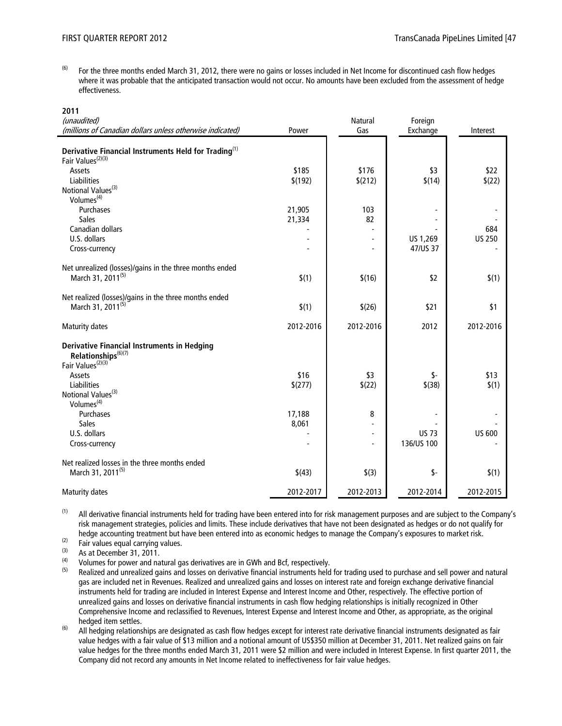$^{(6)}$  For the three months ended March 31, 2012, there were no gains or losses included in Net Income for discontinued cash flow hedges where it was probable that the anticipated transaction would not occur. No amounts have been excluded from the assessment of hedge effectiveness.

#### **2011**

| (unaudited)                                                                                       |           | Natural                  | Foreign       |                |
|---------------------------------------------------------------------------------------------------|-----------|--------------------------|---------------|----------------|
| (millions of Canadian dollars unless otherwise indicated)                                         | Power     | Gas                      | Exchange      | Interest       |
| Derivative Financial Instruments Held for Trading <sup>(1)</sup><br>Fair Values <sup>(2)(3)</sup> |           |                          |               |                |
| Assets                                                                                            | \$185     | \$176                    | \$3           | \$22           |
| Liabilities                                                                                       | \$(192)   | \$(212)                  | \$(14)        | \$(22)         |
| Notional Values <sup>(3)</sup>                                                                    |           |                          |               |                |
| Volumes <sup>(4)</sup>                                                                            |           |                          |               |                |
| Purchases                                                                                         | 21,905    | 103                      | ÷.            | $\overline{a}$ |
| <b>Sales</b>                                                                                      | 21,334    | 82                       |               |                |
| Canadian dollars                                                                                  |           |                          |               | 684            |
| U.S. dollars                                                                                      |           |                          | US 1,269      | <b>US 250</b>  |
| Cross-currency                                                                                    |           | ÷.                       | 47/US 37      |                |
| Net unrealized (losses)/gains in the three months ended                                           |           |                          |               |                |
| March 31, 2011 <sup>(5)</sup>                                                                     | \$(1)     | \$(16)                   | \$2           | \$(1)          |
|                                                                                                   |           |                          |               |                |
| Net realized (losses)/gains in the three months ended                                             |           |                          |               |                |
| March 31, 2011 <sup>(5)</sup>                                                                     | \$(1)     | \$(26)                   | \$21          | \$1            |
| <b>Maturity dates</b>                                                                             | 2012-2016 | 2012-2016                | 2012          | 2012-2016      |
| <b>Derivative Financial Instruments in Hedging</b><br>Relationships <sup>(6)(7)</sup>             |           |                          |               |                |
| Fair Values <sup>(2)(3)</sup>                                                                     |           |                          |               |                |
| Assets                                                                                            | \$16      | \$3                      | $\frac{1}{2}$ | \$13           |
| Liabilities                                                                                       | \$(277)   | \$(22)                   | \$(38)        | \$(1)          |
| Notional Values <sup>(3)</sup>                                                                    |           |                          |               |                |
| Volumes <sup>(4)</sup>                                                                            |           |                          |               |                |
| Purchases                                                                                         | 17,188    | 8                        |               |                |
| Sales                                                                                             | 8,061     | $\overline{\phantom{a}}$ |               |                |
| U.S. dollars                                                                                      |           | $\overline{a}$           | <b>US 73</b>  | <b>US 600</b>  |
| Cross-currency                                                                                    |           | $\overline{a}$           | 136/US 100    |                |
|                                                                                                   |           |                          |               |                |
| Net realized losses in the three months ended                                                     |           |                          |               |                |
| March 31, 2011 <sup>(5)</sup>                                                                     | \$(43)    | \$(3)                    | \$-           | \$(1)          |
| <b>Maturity dates</b>                                                                             | 2012-2017 | 2012-2013                | 2012-2014     | 2012-2015      |

<sup>(1)</sup> All derivative financial instruments held for trading have been entered into for risk management purposes and are subject to the Company's risk management strategies, policies and limits. These include derivatives that have not been designated as hedges or do not qualify for hedge accounting treatment but have been entered into as economic hedges to manage the Company's exposures to market risk.

(2) Fair values equal carrying values.<br> $(3)$  As at December 21, 2011.

 $^{(3)}$  As at December 31, 2011.

(4) Volumes for power and natural gas derivatives are in GWh and Bcf, respectively.<br>(5) Poolized and unrealized gains and losses on derivative financial instruments hald

- Realized and unrealized gains and losses on derivative financial instruments held for trading used to purchase and sell power and natural gas are included net in Revenues. Realized and unrealized gains and losses on interest rate and foreign exchange derivative financial instruments held for trading are included in Interest Expense and Interest Income and Other, respectively. The effective portion of unrealized gains and losses on derivative financial instruments in cash flow hedging relationships is initially recognized in Other Comprehensive Income and reclassified to Revenues, Interest Expense and Interest Income and Other, as appropriate, as the original hedged item settles.
- <sup>(6)</sup> All hedging relationships are designated as cash flow hedges except for interest rate derivative financial instruments designated as fair value hedges with a fair value of \$13 million and a notional amount of US\$350 million at December 31, 2011. Net realized gains on fair value hedges for the three months ended March 31, 2011 were \$2 million and were included in Interest Expense. In first quarter 2011, the Company did not record any amounts in Net Income related to ineffectiveness for fair value hedges.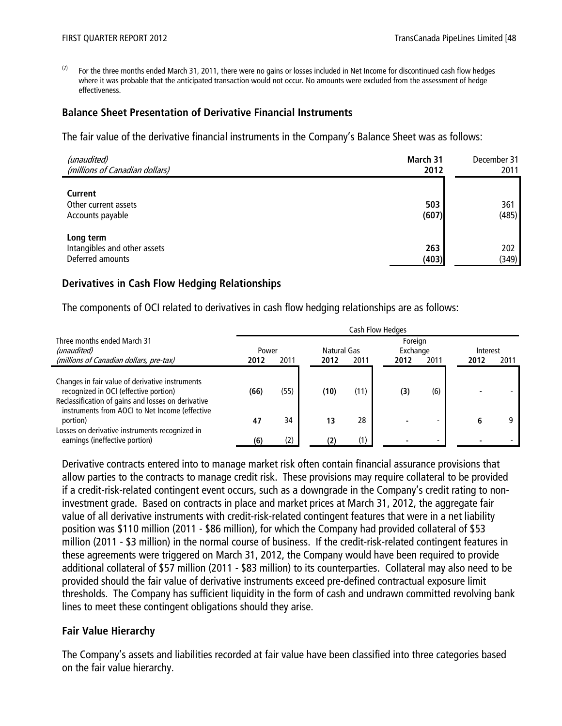$(7)$  For the three months ended March 31, 2011, there were no gains or losses included in Net Income for discontinued cash flow hedges where it was probable that the anticipated transaction would not occur. No amounts were excluded from the assessment of hedge effectiveness.

#### **Balance Sheet Presentation of Derivative Financial Instruments**

The fair value of the derivative financial instruments in the Company's Balance Sheet was as follows:

| (unaudited)<br>(millions of Canadian dollars)                 | March 31<br>2012 | December 31<br>2011 |
|---------------------------------------------------------------|------------------|---------------------|
| Current<br>Other current assets<br>Accounts payable           | 503<br>(607)     | 361<br>(485)        |
| Long term<br>Intangibles and other assets<br>Deferred amounts | 263<br>(403)     | 202<br>(349)        |

#### **Derivatives in Cash Flow Hedging Relationships**

The components of OCI related to derivatives in cash flow hedging relationships are as follows:

|                                                                                                                                                                                                  | Cash Flow Hedges     |      |      |      |          |      |          |      |
|--------------------------------------------------------------------------------------------------------------------------------------------------------------------------------------------------|----------------------|------|------|------|----------|------|----------|------|
| Three months ended March 31                                                                                                                                                                      |                      |      |      |      | Foreign  |      |          |      |
| (unaudited)                                                                                                                                                                                      | Natural Gas<br>Power |      |      |      | Exchange |      | Interest |      |
| (millions of Canadian dollars, pre-tax)                                                                                                                                                          | 2012                 | 2011 | 2012 | 2011 | 2012     | 2011 | 2012     | 2011 |
| Changes in fair value of derivative instruments<br>recognized in OCI (effective portion)<br>Reclassification of gains and losses on derivative<br>instruments from AOCI to Net Income (effective | (66)                 | (55) | (10) | (11) | (3)      | (6)  |          |      |
| portion)                                                                                                                                                                                         | 47                   | 34   | 13   | 28   |          |      | 6        |      |
| Losses on derivative instruments recognized in<br>earnings (ineffective portion)                                                                                                                 | (6)                  | (2)  | (2)  | (1)  |          |      |          |      |

Derivative contracts entered into to manage market risk often contain financial assurance provisions that allow parties to the contracts to manage credit risk. These provisions may require collateral to be provided if a credit-risk-related contingent event occurs, such as a downgrade in the Company's credit rating to noninvestment grade. Based on contracts in place and market prices at March 31, 2012, the aggregate fair value of all derivative instruments with credit-risk-related contingent features that were in a net liability position was \$110 million (2011 - \$86 million), for which the Company had provided collateral of \$53 million (2011 - \$3 million) in the normal course of business. If the credit-risk-related contingent features in these agreements were triggered on March 31, 2012, the Company would have been required to provide additional collateral of \$57 million (2011 - \$83 million) to its counterparties. Collateral may also need to be provided should the fair value of derivative instruments exceed pre-defined contractual exposure limit thresholds. The Company has sufficient liquidity in the form of cash and undrawn committed revolving bank lines to meet these contingent obligations should they arise.

#### **Fair Value Hierarchy**

The Company's assets and liabilities recorded at fair value have been classified into three categories based on the fair value hierarchy.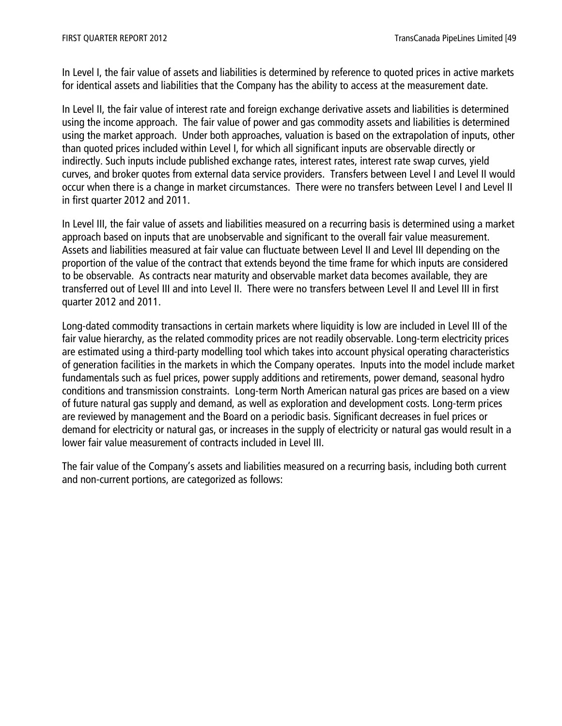In Level I, the fair value of assets and liabilities is determined by reference to quoted prices in active markets for identical assets and liabilities that the Company has the ability to access at the measurement date.

In Level II, the fair value of interest rate and foreign exchange derivative assets and liabilities is determined using the income approach. The fair value of power and gas commodity assets and liabilities is determined using the market approach. Under both approaches, valuation is based on the extrapolation of inputs, other than quoted prices included within Level I, for which all significant inputs are observable directly or indirectly. Such inputs include published exchange rates, interest rates, interest rate swap curves, yield curves, and broker quotes from external data service providers. Transfers between Level I and Level II would occur when there is a change in market circumstances. There were no transfers between Level I and Level II in first quarter 2012 and 2011.

In Level III, the fair value of assets and liabilities measured on a recurring basis is determined using a market approach based on inputs that are unobservable and significant to the overall fair value measurement. Assets and liabilities measured at fair value can fluctuate between Level II and Level III depending on the proportion of the value of the contract that extends beyond the time frame for which inputs are considered to be observable. As contracts near maturity and observable market data becomes available, they are transferred out of Level III and into Level II. There were no transfers between Level II and Level III in first quarter 2012 and 2011.

Long-dated commodity transactions in certain markets where liquidity is low are included in Level III of the fair value hierarchy, as the related commodity prices are not readily observable. Long-term electricity prices are estimated using a third-party modelling tool which takes into account physical operating characteristics of generation facilities in the markets in which the Company operates. Inputs into the model include market fundamentals such as fuel prices, power supply additions and retirements, power demand, seasonal hydro conditions and transmission constraints. Long-term North American natural gas prices are based on a view of future natural gas supply and demand, as well as exploration and development costs. Long-term prices are reviewed by management and the Board on a periodic basis. Significant decreases in fuel prices or demand for electricity or natural gas, or increases in the supply of electricity or natural gas would result in a lower fair value measurement of contracts included in Level III.

The fair value of the Company's assets and liabilities measured on a recurring basis, including both current and non-current portions, are categorized as follows: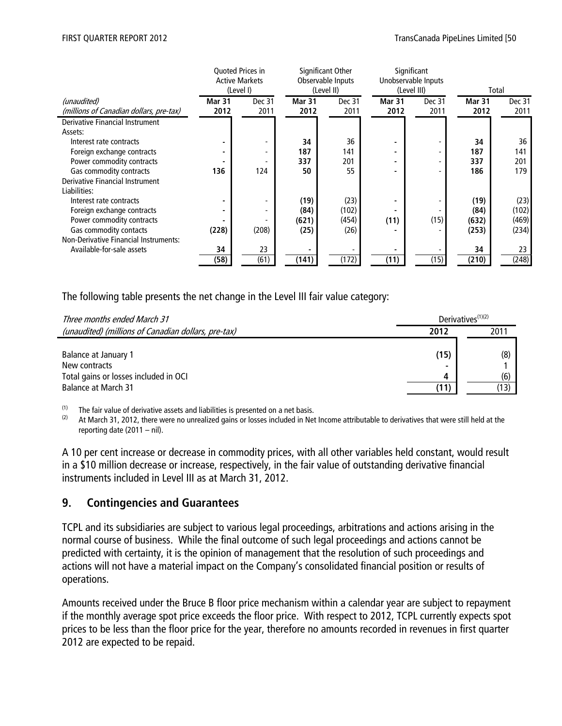|                                              |               | Quoted Prices in<br><b>Active Markets</b> |               | Significant Other<br>Observable Inputs |               | Significant<br>Unobservable Inputs |               |        |
|----------------------------------------------|---------------|-------------------------------------------|---------------|----------------------------------------|---------------|------------------------------------|---------------|--------|
|                                              |               | (Level I)                                 |               | (Level II)                             |               | (Level III)                        |               | Total  |
| (unaudited)                                  | <b>Mar 31</b> | Dec 31                                    | <b>Mar 31</b> | Dec 31                                 | <b>Mar 31</b> | Dec 31                             | <b>Mar 31</b> | Dec 31 |
| (millions of Canadian dollars, pre-tax)      | 2012          | 2011                                      | 2012          | 2011                                   | 2012          | 2011                               | 2012          | 2011   |
| Derivative Financial Instrument              |               |                                           |               |                                        |               |                                    |               |        |
| Assets:                                      |               |                                           |               |                                        |               |                                    |               |        |
| Interest rate contracts                      |               |                                           | 34            | 36                                     |               |                                    | 34            | 36     |
| Foreign exchange contracts                   |               |                                           | 187           | 141                                    |               |                                    | 187           | 141    |
| Power commodity contracts                    |               |                                           | 337           | 201                                    |               |                                    | 337           | 201    |
| Gas commodity contracts                      | 136           | 124                                       | 50            | 55                                     |               |                                    | 186           | 179    |
| Derivative Financial Instrument              |               |                                           |               |                                        |               |                                    |               |        |
| Liabilities:                                 |               |                                           |               |                                        |               |                                    |               |        |
| Interest rate contracts                      |               |                                           | (19)          | (23)                                   |               |                                    | (19)          | (23)   |
| Foreign exchange contracts                   |               |                                           | (84)          | (102)                                  |               |                                    | (84)          | (102)  |
| Power commodity contracts                    |               |                                           | (621)         | (454)                                  | (11)          | (15)                               | (632)         | (469)  |
| Gas commodity contacts                       | (228)         | (208)                                     | (25)          | (26)                                   |               |                                    | (253)         | (234)  |
| <b>Non-Derivative Financial Instruments:</b> |               |                                           |               |                                        |               |                                    |               |        |
| Available-for-sale assets                    | 34            | 23                                        |               |                                        |               |                                    | 34            | 23     |
|                                              | (58)          | (61)                                      | (141)         | (172)                                  | (11)          | (15)                               | (210)         | (248)  |

The following table presents the net change in the Level III fair value category:

|      | Derivatives <sup>(1)(2)</sup> |  |  |
|------|-------------------------------|--|--|
| 2012 | 2011                          |  |  |
| (15) | (8)<br>(6)<br>(13             |  |  |
|      |                               |  |  |

(1) The fair value of derivative assets and liabilities is presented on a net basis.

At March 31, 2012, there were no unrealized gains or losses included in Net Income attributable to derivatives that were still held at the reporting date (2011 – nil).

A 10 per cent increase or decrease in commodity prices, with all other variables held constant, would result in a \$10 million decrease or increase, respectively, in the fair value of outstanding derivative financial instruments included in Level III as at March 31, 2012.

#### **9. Contingencies and Guarantees**

TCPL and its subsidiaries are subject to various legal proceedings, arbitrations and actions arising in the normal course of business. While the final outcome of such legal proceedings and actions cannot be predicted with certainty, it is the opinion of management that the resolution of such proceedings and actions will not have a material impact on the Company's consolidated financial position or results of operations.

Amounts received under the Bruce B floor price mechanism within a calendar year are subject to repayment if the monthly average spot price exceeds the floor price. With respect to 2012, TCPL currently expects spot prices to be less than the floor price for the year, therefore no amounts recorded in revenues in first quarter 2012 are expected to be repaid.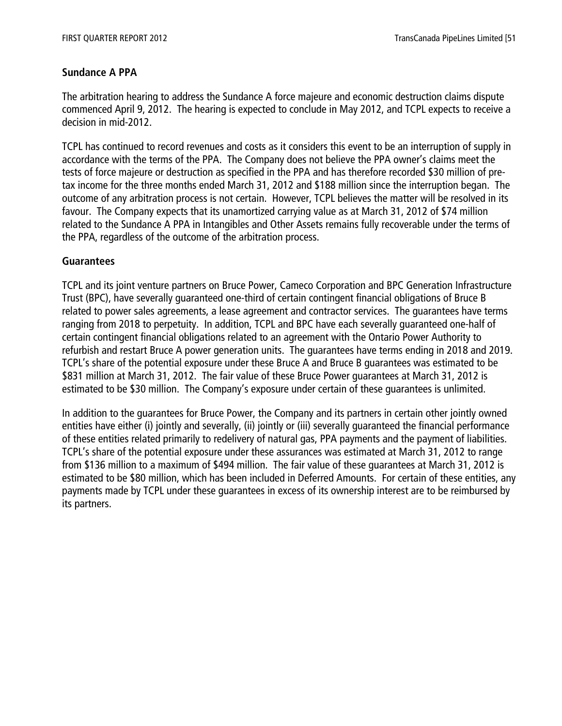#### **Sundance A PPA**

The arbitration hearing to address the Sundance A force majeure and economic destruction claims dispute commenced April 9, 2012. The hearing is expected to conclude in May 2012, and TCPL expects to receive a decision in mid-2012.

TCPL has continued to record revenues and costs as it considers this event to be an interruption of supply in accordance with the terms of the PPA. The Company does not believe the PPA owner's claims meet the tests of force majeure or destruction as specified in the PPA and has therefore recorded \$30 million of pretax income for the three months ended March 31, 2012 and \$188 million since the interruption began. The outcome of any arbitration process is not certain. However, TCPL believes the matter will be resolved in its favour. The Company expects that its unamortized carrying value as at March 31, 2012 of \$74 million related to the Sundance A PPA in Intangibles and Other Assets remains fully recoverable under the terms of the PPA, regardless of the outcome of the arbitration process.

#### **Guarantees**

TCPL and its joint venture partners on Bruce Power, Cameco Corporation and BPC Generation Infrastructure Trust (BPC), have severally guaranteed one-third of certain contingent financial obligations of Bruce B related to power sales agreements, a lease agreement and contractor services. The guarantees have terms ranging from 2018 to perpetuity. In addition, TCPL and BPC have each severally guaranteed one-half of certain contingent financial obligations related to an agreement with the Ontario Power Authority to refurbish and restart Bruce A power generation units. The guarantees have terms ending in 2018 and 2019. TCPL's share of the potential exposure under these Bruce A and Bruce B guarantees was estimated to be \$831 million at March 31, 2012. The fair value of these Bruce Power guarantees at March 31, 2012 is estimated to be \$30 million. The Company's exposure under certain of these guarantees is unlimited.

In addition to the guarantees for Bruce Power, the Company and its partners in certain other jointly owned entities have either (i) jointly and severally, (ii) jointly or (iii) severally guaranteed the financial performance of these entities related primarily to redelivery of natural gas, PPA payments and the payment of liabilities. TCPL's share of the potential exposure under these assurances was estimated at March 31, 2012 to range from \$136 million to a maximum of \$494 million. The fair value of these guarantees at March 31, 2012 is estimated to be \$80 million, which has been included in Deferred Amounts. For certain of these entities, any payments made by TCPL under these guarantees in excess of its ownership interest are to be reimbursed by its partners.